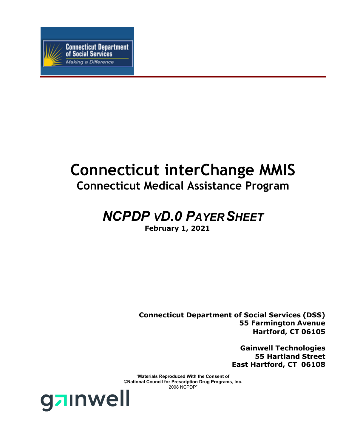

# **Connecticut interChange MMIS Connecticut Medical Assistance Program**

# *NCPDP VD.0 PAYERSHEET*

**February 1, 2021**

**Connecticut Department of Social Services (DSS) 55 Farmington Avenue Hartford, CT 06105**

> **Gainwell Technologies 55 Hartland Street East Hartford, CT 06108**

"**Materials Reproduced With the Consent of ©National Council for Prescription Drug Programs, Inc.** 2008 NCPDP"

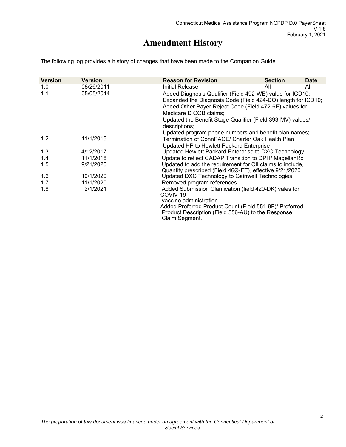## **Amendment History**

The following log provides a history of changes that have been made to the Companion Guide.

| <b>Version</b> | <b>Version</b> | <b>Reason for Revision</b>                                                                                                | <b>Section</b> | <b>Date</b> |
|----------------|----------------|---------------------------------------------------------------------------------------------------------------------------|----------------|-------------|
| 1.0            | 08/26/2011     | Initial Release                                                                                                           | All            | All         |
| 1.1            | 05/05/2014     | Added Diagnosis Qualifier (Field 492-WE) value for ICD10;<br>Expanded the Diagnosis Code (Field 424-DO) length for ICD10; |                |             |
|                |                | Added Other Payer Reject Code (Field 472-6E) values for                                                                   |                |             |
|                |                | Medicare D COB claims;<br>Updated the Benefit Stage Qualifier (Field 393-MV) values/                                      |                |             |
|                |                | descriptions;                                                                                                             |                |             |
|                |                | Updated program phone numbers and benefit plan names;                                                                     |                |             |
| 1.2            | 11/1/2015      | Termination of ConnPACE/ Charter Oak Health Plan                                                                          |                |             |
|                |                | Updated HP to Hewlett Packard Enterprise                                                                                  |                |             |
| 1.3            | 4/12/2017      | Updated Hewlett Packard Enterprise to DXC Technology                                                                      |                |             |
| 1.4            | 11/1/2018      | Update to reflect CADAP Transition to DPH/ MagellanRx                                                                     |                |             |
| 1.5            | 9/21/2020      | Updated to add the requirement for CII claims to include,                                                                 |                |             |
|                |                | Quantity prescribed (Field 46Ø-ET), effective 9/21/2020                                                                   |                |             |
| 1.6            | 10/1/2020      | Updated DXC Technology to Gainwell Technologies                                                                           |                |             |
| 1.7            | 11/1/2020      | Removed program references                                                                                                |                |             |
| 1.8            | 2/1/2021       | Added Submission Clarification (field 420-DK) vales for                                                                   |                |             |
|                |                | COVIV-19                                                                                                                  |                |             |
|                |                | vaccine administration                                                                                                    |                |             |
|                |                | Added Preferred Product Count (Field 551-9F)/ Preferred                                                                   |                |             |
|                |                | Product Description (Field 556-AU) to the Response                                                                        |                |             |
|                |                | Claim Segment.                                                                                                            |                |             |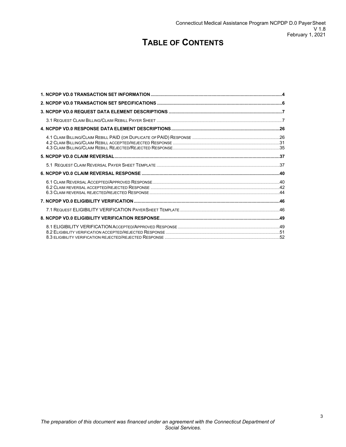## **TABLE OF CONTENTS**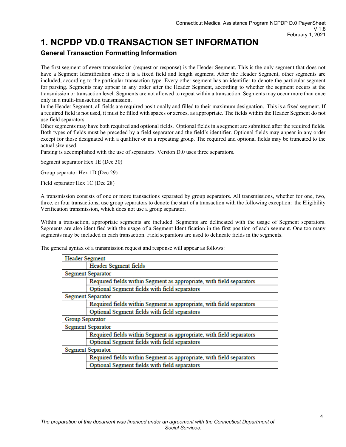## <span id="page-3-0"></span>**1. NCPDP VD.0 TRANSACTION SET INFORMATION**

## **General Transaction Formatting Information**

The first segment of every transmission (request or response) is the Header Segment. This is the only segment that does not have a Segment Identification since it is a fixed field and length segment. After the Header Segment, other segments are included, according to the particular transaction type. Every other segment has an identifier to denote the particular segment for parsing. Segments may appear in any order after the Header Segment, according to whether the segment occurs at the transmission or transaction level. Segments are not allowed to repeat within a transaction. Segments may occur more than once only in a multi-transaction transmission.

In the Header Segment, all fields are required positionally and filled to their maximum designation. This is a fixed segment. If a required field is not used, it must be filled with spaces or zeroes, as appropriate. The fields within the Header Segment do not use field separators.

Other segments may have both required and optional fields. Optional fields in a segment are submitted after the required fields. Both types of fields must be preceded by a field separator and the field's identifier. Optional fields may appear in any order except for those designated with a qualifier or in a repeating group. The required and optional fields may be truncated to the actual size used.

Parsing is accomplished with the use of separators. Version D.0 uses three separators.

Segment separator Hex 1E (Dec 30)

Group separator Hex 1D (Dec 29)

Field separator Hex 1C (Dec 28)

A transmission consists of one or more transactions separated by group separators. All transmissions, whether for one, two, three, or four transactions, use group separators to denote the start of a transaction with the following exception: the Eligibility Verification transmission, which does not use a group separator.

Within a transaction, appropriate segments are included. Segments are delineated with the usage of Segment separators. Segments are also identified with the usage of a Segment Identification in the first position of each segment. One too many segments may be included in each transaction. Field separators are used to delineate fields in the segments.

The general syntax of a transmission request and response will appear as follows:

| <b>Header Segment</b> |                                                                      |  |  |  |  |  |
|-----------------------|----------------------------------------------------------------------|--|--|--|--|--|
|                       | Header Segment fields                                                |  |  |  |  |  |
|                       | <b>Segment Separator</b>                                             |  |  |  |  |  |
|                       | Required fields within Segment as appropriate, with field separators |  |  |  |  |  |
|                       | Optional Segment fields with field separators                        |  |  |  |  |  |
|                       | <b>Segment Separator</b>                                             |  |  |  |  |  |
|                       | Required fields within Segment as appropriate, with field separators |  |  |  |  |  |
|                       | Optional Segment fields with field separators                        |  |  |  |  |  |
| Group Separator       |                                                                      |  |  |  |  |  |
|                       | <b>Segment Separator</b>                                             |  |  |  |  |  |
|                       | Required fields within Segment as appropriate, with field separators |  |  |  |  |  |
|                       | Optional Segment fields with field separators                        |  |  |  |  |  |
|                       | <b>Segment Separator</b>                                             |  |  |  |  |  |
|                       | Required fields within Segment as appropriate, with field separators |  |  |  |  |  |
|                       | Optional Segment fields with field separators                        |  |  |  |  |  |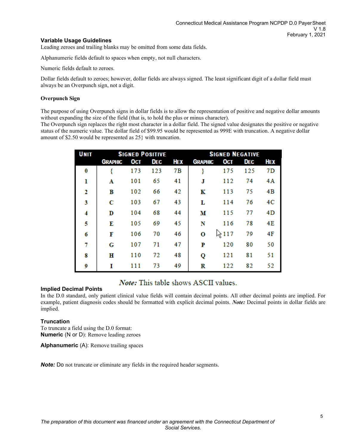## **Variable Usage Guidelines**

Leading zeroes and trailing blanks may be omitted from some data fields.

Alphanumeric fields default to spaces when empty, not null characters.

Numeric fields default to zeroes.

Dollar fields default to zeroes; however, dollar fields are always signed. The least significant digit of a dollar field must always be an Overpunch sign, not a digit.

## **Overpunch Sign**

The purpose of using Overpunch signs in dollar fields is to allow the representation of positive and negative dollar amounts without expanding the size of the field (that is, to hold the plus or minus character).

The Overpunch sign replaces the right most character in a dollar field. The signed value designates the positive or negative status of the numeric value. The dollar field of \$99.95 would be represented as 999E with truncation. A negative dollar amount of \$2.50 would be represented as 25} with truncation.

| <b>UNIT</b> | <b>SIGNED POSITIVE</b> |     |            |            | <b>SIGNED NEGATIVE</b> |         |            |                |
|-------------|------------------------|-----|------------|------------|------------------------|---------|------------|----------------|
|             | <b>GRAPHIC</b>         | OCT | <b>DEC</b> | <b>HEX</b> | <b>GRAPHIC</b>         | OCT     | <b>DEC</b> | HEX            |
| 0           |                        | 173 | 123        | 7B         |                        | 175     | 125        | 7D             |
| ı           | Α                      | 101 | 65         | 41         | J                      | 112     | 74         | 4A             |
| 2           | в                      | 102 | 66         | 42         | K                      | 113     | 75         | 4B             |
| 3           | С                      | 103 | 67         | 43         | L                      | 114     | 76         | 4 <sup>C</sup> |
| 4           | D                      | 104 | 68         | 44         | м                      | 115     | 77         | 4D             |
| 5           | E                      | 105 | 69         | 45         | N                      | 116     | 78         | 4E             |
| 6           | F                      | 106 | 70         | 46         | о                      | ∖∖ূ 117 | 79         | 4F             |
| 7           | G                      | 107 | 71         | 47         | P                      | 120     | 80         | 50             |
| 8           | н                      | 110 | 72         | 48         | Q                      | 121     | 81         | 51             |
| 9           | T                      | 111 | 73         | 49         | R                      | 122     | 82         | 52             |

## *Note:* This table shows ASCII values.

## **Implied Decimal Points**

In the D.0 standard, only patient clinical value fields will contain decimal points. All other decimal points are implied. For example, patient diagnosis codes should be formatted with explicit decimal points. *Note:* Decimal points in dollar fields are implied.

## **Truncation**

To truncate a field using the D.0 format: **Numeric** (N or D): Remove leading zeroes

**Alphanumeric** (A): Remove trailing spaces

*Note:* Do not truncate or eliminate any fields in the required header segments.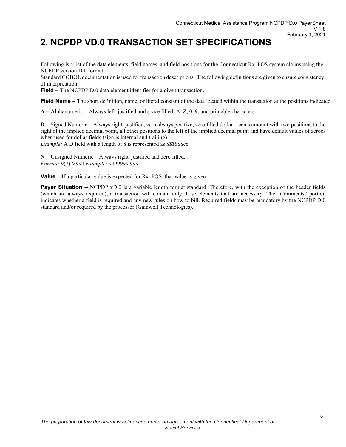## <span id="page-5-0"></span>**2. NCPDP VD.0 TRANSACTION SET SPECIFICATIONS**

Following is a list of the data elements, field names, and field positions for the Connecticut Rx–POS system claims using the NCPDP version D.0 format.

Standard COBOL documentation is used for transaction descriptions. The following definitions are given to ensure consistency of interpretation:

**Field** – The NCPDP D.0 data element identifier for a given transaction.

**Field Name** – The short definition, name, or literal constant of the data located within the transaction at the positions indicated.

**A** = Alphanumeric – Always left–justified and space filled; A–Z, 0–9, and printable characters.

**D** = Signed Numeric – Always right–justified, zero always positive, zero filled dollar – cents amount with two positions to the right of the implied decimal point, all other positions to the left of the implied decimal point and have default values of zeroes when used for dollar fields (sign is internal and trailing).

*Example:* A D field with a length of 8 is represented as \$\$\$\$\$\$cc.

 $N =$  Unsigned Numeric – Always right–justified and zero filled. *Format:* 9(7) V999 *Example:* 9999999.999

**Value –** If a particular value is expected for Rx–POS, that value is given.

**Payer Situation –** NCPDP vD.0 is a variable length format standard. Therefore, with the exception of the header fields (which are always required), a transaction will contain only those elements that are necessary. The "Comments" portion indicates whether a field is required and any new rules on how to bill. Required fields may be mandatory by the NCPDP D.0 standard and/or required by the processor (Gainwell Technologies).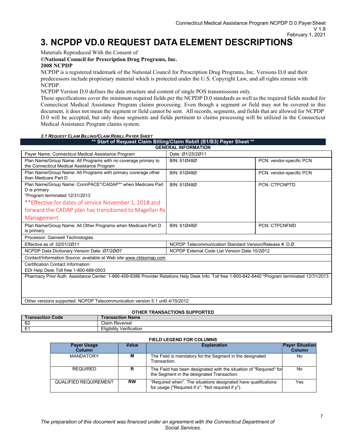## <span id="page-6-0"></span>**3. NCPDP VD.0 REQUEST DATA ELEMENT DESCRIPTIONS**

Materials Reproduced With the Consent of

**©National Council for Prescription Drug Programs, Inc.** 

## **2008 NCPDP**

NCPDP is a registered trademark of the National Council for Prescription Drug Programs, Inc. Versions D.0 and their predecessors include proprietary material which is protected under the U.S. Copyright Law, and all rights remain with NCPDP.

NCPDP Version D.0 defines the data structure and content of single POS transmissions only.

These specifications cover the minimum required fields per the NCPDP D.0 standards as well as the required fields needed for Connecticut Medical Assistance Program claims processing. Even though a segment or field may not be covered in this document, it does not mean the segment or field cannot be sent. All records, segments, and fields that are allowed for NCPDP D.0 will be accepted, but only those segments and fields pertinent to claims processing will be utilized in the Connecticut Medical Assistance Program claims system.

### *3.1 REQUEST CLAIM BILLING/CLAIM REBILL PAYER SHEET*

<span id="page-6-1"></span>

| ** Start of Request Claim Billing/Claim Rebill (B1/B3) Payer Sheet **                                                                             |                                                         |                          |  |  |
|---------------------------------------------------------------------------------------------------------------------------------------------------|---------------------------------------------------------|--------------------------|--|--|
|                                                                                                                                                   | <b>GENERAL INFORMATION</b>                              |                          |  |  |
| Payer Name: Connecticut Medical Assistance Program                                                                                                | Date: Ø1/25/2Ø11                                        |                          |  |  |
| Plan Name/Group Name: All Programs with no coverage primary to<br>the Connecticut Medical Assistance Program                                      | BIN: 610480                                             | PCN: vendor-specific PCN |  |  |
| Plan Name/Group Name: All Programs with primary coverage other<br>than Medicare Part D                                                            | BIN: 610480                                             | PCN: vendor-specific PCN |  |  |
| Plan Name/Group Name: ConnPACE*/CADAP** when Medicare Part<br>D is primary<br>*Program terminated 12/31/2013                                      | BIN: 610480                                             | <b>PCN: CTPCNPTD</b>     |  |  |
| **Effective for dates of service November 1, 2018 and                                                                                             |                                                         |                          |  |  |
| forward the CADAP plan has transitioned to Magellan Rx                                                                                            |                                                         |                          |  |  |
| Management.                                                                                                                                       |                                                         |                          |  |  |
| Plan Name/Group Name: All Other Programs when Medicare Part D<br>is primary                                                                       | BIN: 610480                                             | <b>PCN: CTPCNFMD</b>     |  |  |
| Processor: Gainwell Technologies                                                                                                                  |                                                         |                          |  |  |
| Effective as of: 02/01/2011                                                                                                                       | NCPDP Telecommunication Standard Version/Release #: D.Ø |                          |  |  |
| NCPDP Data Dictionary Version Date: 07/2007                                                                                                       | NCPDP External Code List Version Date: 10/2012          |                          |  |  |
| Contact/Information Source: available at Web site www.ctdssmap.com                                                                                |                                                         |                          |  |  |
| Certification Contact Information:<br>EDI Help Desk Toll free 1-800-688-0503                                                                      |                                                         |                          |  |  |
| Pharmacy Prior Auth. Assistance Center: 1-866-409-8386 Provider Relations Help Desk Info: Toll free 1-800-842-8440 *Program terminated 12/31/2013 |                                                         |                          |  |  |

Other versions supported: NCPDP Telecommunication version 5.1 until 4/15/2012

#### **OTHER TRANSACTIONS SUPPORTED**

| Code<br>™usacuon. | <b>Fransaction Name</b>                     |
|-------------------|---------------------------------------------|
| B <sub>2</sub>    | Claim<br>⊦ Reversal                         |
| -                 | .<br><br>-<br>/ Verification<br>liqibility۔ |

#### **FIELD LEGEND FOR COLUMNS**

| <b>Payer Usage</b><br>Column | Value     | <b>Explanation</b>                                                                                                        | <b>Payer Situation</b><br>Column |
|------------------------------|-----------|---------------------------------------------------------------------------------------------------------------------------|----------------------------------|
| <b>MANDATORY</b>             | м         | The Field is mandatory for the Segment in the designated<br>Transaction                                                   | No.                              |
| <b>REQUIRED</b>              | R         | The Field has been designated with the situation of "Required" for<br>the Segment in the designated Transaction.          | No                               |
| <b>QUALIFIED REQUIREMENT</b> | <b>RW</b> | "Required when". The situations designated have qualifications<br>for usage ("Required if $x$ ", "Not required if $y$ "). | Yes                              |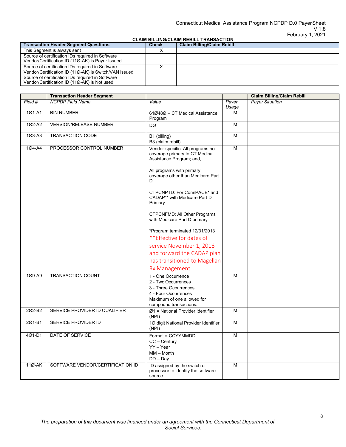### Connecticut Medical Assistance Program NCPDP D.0 PayerSheet V 1.8 February 1, 2021

## **CLAIM BILLING/CLAIM REBILL TRANSACTION**

| <b>Transaction Header Segment Questions</b>                                                               | <b>Check</b> | <b>Claim Billing/Claim Rebill</b> |
|-----------------------------------------------------------------------------------------------------------|--------------|-----------------------------------|
| This Segment is always sent                                                                               |              |                                   |
| Source of certification IDs required in Software<br>Vendor/Certification ID (11Ø-AK) is Payer Issued      |              |                                   |
| Source of certification IDs required in Software<br>Vendor/Certification ID (11Ø-AK) is Switch/VAN issued |              |                                   |
| Source of certification IDs required in Software<br>Vendor/Certification ID (11Ø-AK) is Not used          |              |                                   |

|            | <b>Transaction Header Segment</b> |                                                                                                                                                                        |                | <b>Claim Billing/Claim Rebill</b> |
|------------|-----------------------------------|------------------------------------------------------------------------------------------------------------------------------------------------------------------------|----------------|-----------------------------------|
| Field #    | <b>NCPDP Field Name</b>           | Value                                                                                                                                                                  | Payer<br>Usage | <b>Payer Situation</b>            |
| 1Ø1-A1     | <b>BIN NUMBER</b>                 | 61Ø48Ø - CT Medical Assistance<br>Program                                                                                                                              | M              |                                   |
| 1Ø2-A2     | <b>VERSION/RELEASE NUMBER</b>     | DØ                                                                                                                                                                     | M              |                                   |
| $103 - A3$ | <b>TRANSACTION CODE</b>           | B1 (billing)<br>B3 (claim rebill)                                                                                                                                      | M              |                                   |
| 1Ø4-A4     | PROCESSOR CONTROL NUMBER          | Vendor-specific: All programs no<br>coverage primary to CT Medical<br>Assistance Program; and,<br>All programs with primary<br>coverage other than Medicare Part<br>D. | M              |                                   |
|            |                                   | CTPCNPTD: For ConnPACE* and<br>CADAP** with Medicare Part D<br>Primary                                                                                                 |                |                                   |
|            |                                   | CTPCNFMD: All Other Programs<br>with Medicare Part D primary                                                                                                           |                |                                   |
|            |                                   | *Program terminated 12/31/2013                                                                                                                                         |                |                                   |
|            |                                   | **Effective for dates of                                                                                                                                               |                |                                   |
|            |                                   | service November 1, 2018                                                                                                                                               |                |                                   |
|            |                                   | and forward the CADAP plan                                                                                                                                             |                |                                   |
|            |                                   | has transitioned to Magellan                                                                                                                                           |                |                                   |
|            |                                   | Rx Management.                                                                                                                                                         |                |                                   |
| 1Ø9-A9     | <b>TRANSACTION COUNT</b>          | 1 - One Occurrence<br>2 - Two Occurrences<br>3 - Three Occurrences<br>4 - Four Occurrences<br>Maximum of one allowed for<br>compound transactions.                     | M              |                                   |
| 202-B2     | SERVICE PROVIDER ID QUALIFIER     | $Ø1$ = National Provider Identifier<br>(NPI)                                                                                                                           | M              |                                   |
| 2Ø1-B1     | SERVICE PROVIDER ID               | 1Ø digit National Provider Identifier<br>(NPI)                                                                                                                         | M              |                                   |
| 4Ø1-D1     | DATE OF SERVICE                   | Format = CCYYMMDD<br>$CC - Century$<br>YY - Year<br>$MM - Month$<br>$DD - Day$                                                                                         | M              |                                   |
| 11Ø-AK     | SOFTWARE VENDOR/CERTIFICATION ID  | ID assigned by the switch or<br>processor to identify the software<br>source.                                                                                          | M              |                                   |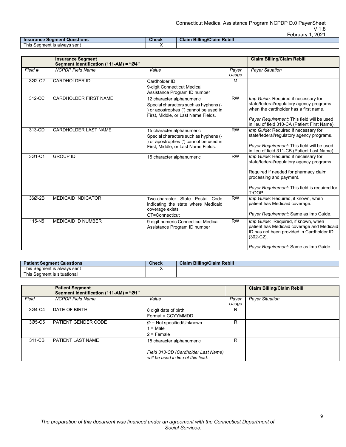|                                    |       | GUIUQIV<br>. LUL                  |
|------------------------------------|-------|-----------------------------------|
| <b>Insurance Segment Questions</b> | Check | <b>Claim Billing/Claim Rebill</b> |
| This Seament is alwavs sent        |       |                                   |

|            | <b>Insurance Segment</b><br>Segment Identification (111-AM) = "Ø4" |                                                                                                                                                     |                | <b>Claim Billing/Claim Rebill</b>                                                                                                                                                                                        |
|------------|--------------------------------------------------------------------|-----------------------------------------------------------------------------------------------------------------------------------------------------|----------------|--------------------------------------------------------------------------------------------------------------------------------------------------------------------------------------------------------------------------|
| Field #    | <b>NCPDP</b> Field Name                                            | Value                                                                                                                                               | Payer<br>Usage | <b>Payer Situation</b>                                                                                                                                                                                                   |
| 3Ø2-C2     | <b>CARDHOLDER ID</b>                                               | Cardholder ID<br>9-digit Connecticut Medical<br>Assistance Program ID number                                                                        | M              |                                                                                                                                                                                                                          |
| 312-CC     | <b>CARDHOLDER FIRST NAME</b>                                       | 12 character alphanumeric<br>Special characters such as hyphens (-<br>or apostrophes (') cannot be used in<br>First, Middle, or Last Name Fields.   | <b>RW</b>      | Imp Guide: Required if necessary for<br>state/federal/regulatory agency programs<br>when the cardholder has a first name.<br>Payer Requirement: This field will be used<br>in lieu of field 310-CA (Patient First Name). |
| 313-CD     | <b>CARDHOLDER LAST NAME</b>                                        | 15 character alphanumeric<br>Special characters such as hyphens (-<br>) or apostrophes (') cannot be used in<br>First, Middle, or Last Name Fields. | <b>RW</b>      | Imp Guide: Required if necessary for<br>state/federal/regulatory agency programs.<br>Payer Requirement: This field will be used<br>in lieu of field 311-CB (Patient Last Name).                                          |
| 3Ø1-C1     | <b>GROUP ID</b>                                                    | 15 character alphanumeric                                                                                                                           | <b>RW</b>      | Imp Guide: Required if necessary for<br>state/federal/regulatory agency programs.<br>Required if needed for pharmacy claim<br>processing and payment.<br>Payer Requirement: This field is required for<br>TrOOP.         |
| 36Ø-2B     | <b>MEDICAID INDICATOR</b>                                          | Two-character State Postal Codel<br>indicating the state where Medicaid<br>coverage exists<br>CT=Connecticut                                        | <b>RW</b>      | Imp Guide: Required, if known, when<br>patient has Medicaid coverage.<br>Payer Requirement: Same as Imp Guide.                                                                                                           |
| $115 - N5$ | <b>MEDICAID ID NUMBER</b>                                          | 9 digit numeric Connecticut Medical<br>Assistance Program ID number                                                                                 | <b>RW</b>      | Imp Guide: Required, if known, when<br>patient has Medicaid coverage and Medicaid<br>ID has not been provided in Cardholder ID<br>$(302-C2)$ .<br>Payer Requirement: Same as Imp Guide.                                  |

| 'atient Segment Questions'         | Check | <b>Claim Billing/Claim Rebill</b> |
|------------------------------------|-------|-----------------------------------|
| This 、<br>s Seament is alwavs sent |       |                                   |
| This Seament is situational        |       |                                   |

|        | <b>Patient Segment</b><br>Segment Identification (111-AM) = "Ø1" |                                                                            |                | <b>Claim Billing/Claim Rebill</b> |
|--------|------------------------------------------------------------------|----------------------------------------------------------------------------|----------------|-----------------------------------|
| Field  | <b>NCPDP</b> Field Name                                          | Value                                                                      | Payer<br>Usage | <b>Payer Situation</b>            |
| 3Ø4-C4 | <b>DATE OF BIRTH</b>                                             | 8 digit date of birth<br>Format = CCYYMMDD                                 | R              |                                   |
| 3Ø5-C5 | <b>IPATIENT GENDER CODE</b>                                      | $\varnothing$ = Not specified/Unknown<br>$I = Male$<br>$2$ = Female        | R              |                                   |
| 311-CB | <b>IPATIENT LAST NAME</b>                                        | 15 character alphanumeric                                                  | R              |                                   |
|        |                                                                  | Field 313-CD (Cardholder Last Name)<br>will be used in lieu of this field. |                |                                   |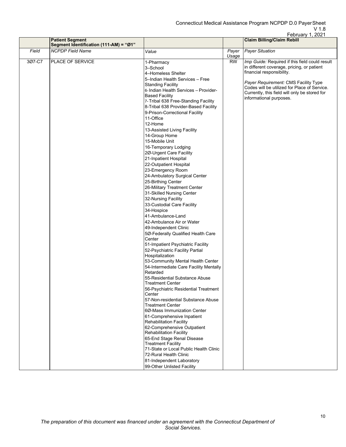|        |                                            |                                                                                                                                                                                                                                                                                                                                                                                                                                                                                                                                                                                                                                                                                                                                                                                       |                | February 1, 2021                                                                                                                                                                                                                                                                                                                   |
|--------|--------------------------------------------|---------------------------------------------------------------------------------------------------------------------------------------------------------------------------------------------------------------------------------------------------------------------------------------------------------------------------------------------------------------------------------------------------------------------------------------------------------------------------------------------------------------------------------------------------------------------------------------------------------------------------------------------------------------------------------------------------------------------------------------------------------------------------------------|----------------|------------------------------------------------------------------------------------------------------------------------------------------------------------------------------------------------------------------------------------------------------------------------------------------------------------------------------------|
|        | Segment Identification (111-AM) = "Ø1"     |                                                                                                                                                                                                                                                                                                                                                                                                                                                                                                                                                                                                                                                                                                                                                                                       |                |                                                                                                                                                                                                                                                                                                                                    |
| Field  | <b>NCPDP</b> Field Name                    | Value                                                                                                                                                                                                                                                                                                                                                                                                                                                                                                                                                                                                                                                                                                                                                                                 | Payer<br>Usage | <b>Payer Situation</b>                                                                                                                                                                                                                                                                                                             |
| 3Ø7-C7 | <b>Patient Segment</b><br>PLACE OF SERVICE | 1-Pharmacy<br>3-School<br>4-Homeless Shelter<br>5-Indian Health Services - Free<br><b>Standing Facility</b><br>6-Indian Health Services - Provider-<br><b>Based Facility</b><br>7- Tribal 638 Free-Standing Facility<br>8-Tribal 638 Provider-Based Facility<br>9-Prison-Correctional Facility<br>11-Office<br>12-Home<br>13-Assisted Living Facility<br>14-Group Home<br>15-Mobile Unit<br>16-Temporary Lodging<br>2Ø-Urgent Care Facility<br>21-Inpatient Hospital<br>22-Outpatient Hospital<br>23-Emergency Room<br>24-Ambulatory Surgical Center<br>25-Birthing Center<br>26-Military Treatment Center<br>31-Skilled Nursing Center<br>32-Nursing Facility<br>33-Custodial Care Facility<br>34-Hospice<br>41-Ambulance-Land<br>42-Ambulance Air or Water<br>49-Independent Clinic | <b>RW</b>      | <b>Claim Billing/Claim Rebill</b><br>Imp Guide: Required if this field could result<br>in different coverage, pricing, or patient<br>financial responsibility.<br>Payer Requirement: CMS Facility Type<br>Codes will be utilized for Place of Service.<br>Currently, this field will only be stored for<br>informational purposes. |
|        |                                            | 5Ø-Federally Qualified Health Care<br>Center<br>51-Impatient Psychiatric Facility<br>52-Psychiatric Facility Partial<br>Hospitalization<br>53-Community Mental Health Center<br>54-Intermediate Care Facility Mentally<br>Retarded<br>55-Residential Substance Abuse<br><b>Treatment Center</b><br>56-Psychiatric Residential Treatment<br>Center<br>57-Non-residential Substance Abuse<br><b>Treatment Center</b><br>6Ø-Mass Immunization Center<br>61-Comprehensive Inpatient<br><b>Rehabilitation Facility</b><br>62-Comprehensive Outpatient<br><b>Rehabilitation Facility</b><br>65-End Stage Renal Disease<br><b>Treatment Facility</b><br>71-State or Local Public Health Clinic<br>72-Rural Health Clinic<br>81-Independent Laboratory<br>99-Other Unlisted Facility          |                |                                                                                                                                                                                                                                                                                                                                    |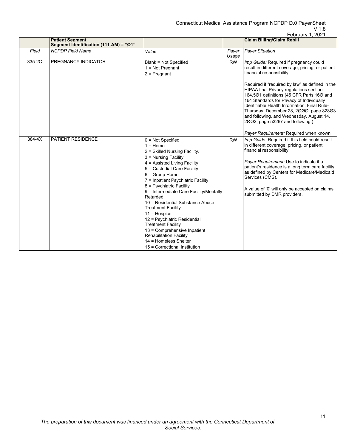|        |                                                                  |                                                                                                                                                                                                                                                                                                                                                                                                                                                                                                                                                                                    |                | February 1, 2021                                                                                                                                                                                                                                                                                                                                                                                                                                                                                                                             |
|--------|------------------------------------------------------------------|------------------------------------------------------------------------------------------------------------------------------------------------------------------------------------------------------------------------------------------------------------------------------------------------------------------------------------------------------------------------------------------------------------------------------------------------------------------------------------------------------------------------------------------------------------------------------------|----------------|----------------------------------------------------------------------------------------------------------------------------------------------------------------------------------------------------------------------------------------------------------------------------------------------------------------------------------------------------------------------------------------------------------------------------------------------------------------------------------------------------------------------------------------------|
|        | <b>Patient Segment</b><br>Segment Identification (111-AM) = "Ø1" |                                                                                                                                                                                                                                                                                                                                                                                                                                                                                                                                                                                    |                | <b>Claim Billing/Claim Rebill</b>                                                                                                                                                                                                                                                                                                                                                                                                                                                                                                            |
| Field  | <b>NCPDP Field Name</b>                                          | Value                                                                                                                                                                                                                                                                                                                                                                                                                                                                                                                                                                              | Payer<br>Usage | <b>Payer Situation</b>                                                                                                                                                                                                                                                                                                                                                                                                                                                                                                                       |
| 335-2C | PREGNANCY INDICATOR                                              | <b>Blank = Not Specified</b><br>$1 = Not$ Pregnant<br>$2$ = Pregnant                                                                                                                                                                                                                                                                                                                                                                                                                                                                                                               | <b>RW</b>      | Imp Guide: Required if pregnancy could<br>result in different coverage, pricing, or patient<br>financial responsibility.<br>Required if "required by law" as defined in the<br><b>HIPAA final Privacy regulations section</b><br>164.501 definitions (45 CFR Parts 160 and<br>164 Standards for Privacy of Individually<br>Identifiable Health Information; Final Rule-<br>Thursday, December 28, 2000, page 82803<br>and following, and Wednesday, August 14,<br>2002, page 53267 and following.)<br>Payer Requirement: Required when known |
| 384-4X | <b>PATIENT RESIDENCE</b>                                         | $0 = Not$ Specified<br>$1 =$ Home<br>2 = Skilled Nursing Facility.<br>3 = Nursing Facility<br>4 = Assisted Living Facility<br>5 = Custodial Care Facility<br>$6 = Group Home$<br>7 = Inpatient Psychiatric Facility<br>8 = Psychiatric Facility<br>9 = Intermediate Care Facility/Mentally<br>Retarded<br>10 = Residential Substance Abuse<br><b>Treatment Facility</b><br>$11 = Hospice$<br>12 = Psychiatric Residential<br><b>Treatment Facility</b><br>13 = Comprehensive Inpatient<br><b>Rehabilitation Facility</b><br>14 = Homeless Shelter<br>15 = Correctional Institution | <b>RW</b>      | Imp Guide: Required if this field could result<br>in different coverage, pricing, or patient<br>financial responsibility.<br>Payer Requirement: Use to indicate if a<br>patient's residence is a long term care facility,<br>as defined by Centers for Medicare/Medicaid<br>Services (CMS).<br>A value of '0' will only be accepted on claims<br>submitted by DMR providers.                                                                                                                                                                 |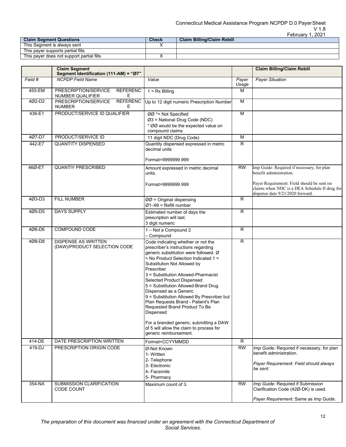|                                           |              | UULUCIIVII. LULI                  |
|-------------------------------------------|--------------|-----------------------------------|
| <b>Claim Seament Questions</b>            | <b>Check</b> | <b>Claim Billing/Claim Rebill</b> |
| This Seament is alwavs sent               |              |                                   |
| This paver supports partial fills         |              |                                   |
| This payer does not support partial fills |              |                                   |

|          | <b>Claim Segment</b><br>Segment Identification (111-AM) = "Ø7"           |                                                                                                                                                                                                                                                                                                                                                                                                                                                                                                                                                                                                      |                | <b>Claim Billing/Claim Rebill</b>                                                                                               |
|----------|--------------------------------------------------------------------------|------------------------------------------------------------------------------------------------------------------------------------------------------------------------------------------------------------------------------------------------------------------------------------------------------------------------------------------------------------------------------------------------------------------------------------------------------------------------------------------------------------------------------------------------------------------------------------------------------|----------------|---------------------------------------------------------------------------------------------------------------------------------|
| Field #  | <b>NCPDP</b> Field Name                                                  | Value                                                                                                                                                                                                                                                                                                                                                                                                                                                                                                                                                                                                | Payer<br>Usage | <b>Payer Situation</b>                                                                                                          |
| 455-EM   | <b>REFERENC</b><br>PRESCRIPTION/SERVICE<br><b>NUMBER QUALIFIER</b><br>E. | $1 = Rx$ Billing                                                                                                                                                                                                                                                                                                                                                                                                                                                                                                                                                                                     | М              |                                                                                                                                 |
| 4Ø2-D2   | <b>REFERENC</b><br>PRESCRIPTION/SERVICE<br><b>NUMBER</b><br>E.           | Up to 12 digit numeric Prescription Number                                                                                                                                                                                                                                                                                                                                                                                                                                                                                                                                                           | М              |                                                                                                                                 |
| 436-E1   | PRODUCT/SERVICE ID QUALIFIER                                             | ØØ *= Not Specified<br>Ø3 = National Drug Code (NDC)<br>* ØØ would be the expected value on<br>compound claims                                                                                                                                                                                                                                                                                                                                                                                                                                                                                       | $\overline{M}$ |                                                                                                                                 |
| 407-D7   | PRODUCT/SERVICE ID                                                       | 11 digit NDC (Drug Code)                                                                                                                                                                                                                                                                                                                                                                                                                                                                                                                                                                             | М              |                                                                                                                                 |
| 442-E7   | <b>QUANTITY DISPENSED</b>                                                | Quantity dispensed expressed in metric<br>decimal units                                                                                                                                                                                                                                                                                                                                                                                                                                                                                                                                              | $\overline{R}$ |                                                                                                                                 |
|          |                                                                          | Format=9999999.999                                                                                                                                                                                                                                                                                                                                                                                                                                                                                                                                                                                   |                |                                                                                                                                 |
| 46Ø-ET   | <b>QUANTIY PRESCRIBED</b>                                                | Amount expressed in metric decimal<br>units.                                                                                                                                                                                                                                                                                                                                                                                                                                                                                                                                                         | <b>RW</b>      | Imp Guide: Required if necessary, for plan<br>benefit administration.                                                           |
|          |                                                                          | Format=9999999.999                                                                                                                                                                                                                                                                                                                                                                                                                                                                                                                                                                                   |                | Payer Requirement: Field should be sent on<br>claims when NDC is a DEA Schedule II drug for<br>dispense date 9/21/2020 forward. |
| 4Ø3-D3   | <b>FILL NUMBER</b>                                                       | $ØØ$ = Original dispensing<br>$Ø1-99 = Refill number$                                                                                                                                                                                                                                                                                                                                                                                                                                                                                                                                                | $\overline{R}$ |                                                                                                                                 |
| 405-D5   | <b>DAYS SUPPLY</b>                                                       | Estimated number of days the<br>prescription will last.<br>3 digit numeric                                                                                                                                                                                                                                                                                                                                                                                                                                                                                                                           | $\overline{R}$ |                                                                                                                                 |
| 4Ø6-D6   | COMPOUND CODE                                                            | 1 - Not a Compound 2<br>- Compound                                                                                                                                                                                                                                                                                                                                                                                                                                                                                                                                                                   | $\mathsf{R}$   |                                                                                                                                 |
| 4Ø8-D8   | <b>DISPENSE AS WRITTEN</b><br>(DAW)/PRODUCT SELECTION CODE               | Code indicating whether or not the<br>prescriber's instructions regarding<br>generic substitution were followed. Ø<br>$=$ No Product Selection Indicated 1 =<br>Substitution Not Allowed by<br>Prescriber<br>3 = Substitution Allowed-Pharmacist<br>Selected Product Dispensed<br>5 = Substitution Allowed-Brand Drug<br>Dispensed as a Generic<br>9 = Substitution Allowed By Prescriber but<br>Plan Requests Brand - Patient's Plan<br>Requested Brand Product To Be<br>Dispensed<br>For a branded generic, submitting a DAW<br>of 5 will allow the claim to process for<br>generic reimbursement. | $\overline{R}$ |                                                                                                                                 |
| 414-DE   | DATE PRESCRIPTION WRITTEN                                                | Format=CCYYMMDD                                                                                                                                                                                                                                                                                                                                                                                                                                                                                                                                                                                      | R              |                                                                                                                                 |
| 419-DJ   | PRESCRIPTION ORIGIN CODE                                                 | Ø-Not Known<br>1- Written<br>2- Telephone<br>3- Electronic<br>4- Facsimile<br>5- Pharmacy                                                                                                                                                                                                                                                                                                                                                                                                                                                                                                            | <b>RW</b>      | Imp Guide: Required if necessary, for plan<br>benefit administration.<br>Payer Requirement: Field should always<br>be sent.     |
| $354-NX$ | SUBMISSION CLARIFICATION                                                 | Maximum count of 3.                                                                                                                                                                                                                                                                                                                                                                                                                                                                                                                                                                                  | <b>RW</b>      | Imp Guide: Required if Submission                                                                                               |
|          | CODE COUNT                                                               |                                                                                                                                                                                                                                                                                                                                                                                                                                                                                                                                                                                                      |                | Clarification Code (42Ø-DK) is used.<br>Payer Requirement: Same as Imp Guide.                                                   |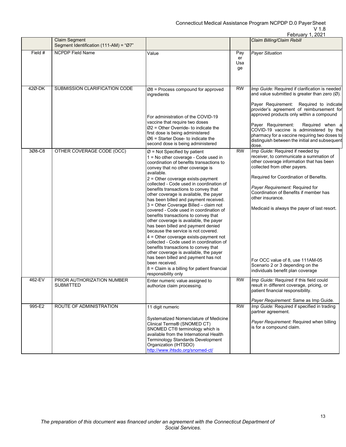|         |                                                                |                                                                                                                                                                                                                                                                                                                                                                                                                                                                                                                                                                                                                                                                                                                                                                                                                                                                                                                                                     |                        | February 1, 2021                                                                                                                                                                                                                                                                                                                                                                                                                                                |
|---------|----------------------------------------------------------------|-----------------------------------------------------------------------------------------------------------------------------------------------------------------------------------------------------------------------------------------------------------------------------------------------------------------------------------------------------------------------------------------------------------------------------------------------------------------------------------------------------------------------------------------------------------------------------------------------------------------------------------------------------------------------------------------------------------------------------------------------------------------------------------------------------------------------------------------------------------------------------------------------------------------------------------------------------|------------------------|-----------------------------------------------------------------------------------------------------------------------------------------------------------------------------------------------------------------------------------------------------------------------------------------------------------------------------------------------------------------------------------------------------------------------------------------------------------------|
|         | <b>Claim Segment</b><br>Segment Identification (111-AM) = "Ø7" |                                                                                                                                                                                                                                                                                                                                                                                                                                                                                                                                                                                                                                                                                                                                                                                                                                                                                                                                                     |                        | Claim Billing/Claim Rebill                                                                                                                                                                                                                                                                                                                                                                                                                                      |
| Field # | <b>NCPDP Field Name</b>                                        | Value                                                                                                                                                                                                                                                                                                                                                                                                                                                                                                                                                                                                                                                                                                                                                                                                                                                                                                                                               | Pay<br>er<br>Usa<br>ge | <b>Payer Situation</b>                                                                                                                                                                                                                                                                                                                                                                                                                                          |
| 42Ø-DK  | SUBMISSION CLARIFICATION CODE                                  | $Ø8$ = Process compound for approved<br>ingredients<br>For administration of the COVID-19<br>vaccine that require two doses<br>$Ø2$ = Other Override- to indicate the<br>first dose is being administered<br>$\varnothing$ 6 = Starter Dose- to indicate the<br>second dose is being administered                                                                                                                                                                                                                                                                                                                                                                                                                                                                                                                                                                                                                                                   | <b>RW</b>              | Imp Guide: Required if clarification is needed<br>and value submitted is greater than zero $(\emptyset)$ .<br>Payer Requirement: Required to indicate<br>provider's agreement of reimbursement for<br>approved products only within a compound<br>Payer Requirement:<br>Required when a<br>COVID-19 vaccine is administered by the<br>pharmacy for a vaccine requiring two doses to<br>distinguish between the initial and subsequent<br>dose.                  |
| 3Ø8-C8  | OTHER COVERAGE CODE (OCC)                                      | $\varnothing$ = Not Specified by patient<br>1 = No other coverage - Code used in<br>coordination of benefits transactions to<br>convey that no other coverage is<br>available.<br>2 = Other coverage exists-payment<br>collected - Code used in coordination of<br>benefits transactions to convey that<br>other coverage is available, the payer<br>has been billed and payment received.<br>3 = Other Coverage Billed - claim not<br>covered - Code used in coordination of<br>benefits transactions to convey that<br>other coverage is available, the payer<br>has been billed and payment denied<br>because the service is not covered.<br>4 = Other coverage exists-payment not<br>collected - Code used in coordination of<br>benefits transactions to convey that<br>other coverage is available, the payer<br>has been billed and payment has not<br>been received.<br>8 = Claim is a billing for patient financial<br>responsibility only | <b>RW</b>              | Imp Guide: Required if needed by<br>receiver, to communicate a summation of<br>other coverage information that has been<br>collected from other payers.<br>Required for Coordination of Benefits.<br>Payer Requirement: Required for<br>Coordination of Benefits if member has<br>other insurance.<br>Medicaid is always the payer of last resort.<br>For OCC value of 8, use 111AM-05<br>Scenario 2 or 3 depending on the<br>individuals benefit plan coverage |
| 462-EV  | PRIOR AUTHORIZATION NUMBER<br>SUBMITTED                        | Enter numeric value assigned to<br>authorize claim processing.                                                                                                                                                                                                                                                                                                                                                                                                                                                                                                                                                                                                                                                                                                                                                                                                                                                                                      | <b>RW</b>              | Imp Guide: Required if this field could<br>result in different coverage, pricing, or<br>patient financial responsibility.<br>Payer Requirement: Same as Imp Guide.                                                                                                                                                                                                                                                                                              |
| 995-E2  | ROUTE OF ADMINISTRATION                                        | 11 digit numeric<br>Systematized Nomenclature of Medicine<br>Clinical Terms® (SNOMED CT)<br>SNOMED CT® terminology which is<br>available from the International Health<br>Terminology Standards Development<br>Organization (IHTSDO)<br>http://www.ihtsdo.org/snomed-ct/                                                                                                                                                                                                                                                                                                                                                                                                                                                                                                                                                                                                                                                                            | <b>RW</b>              | Imp Guide: Required if specified in trading<br>partner agreement.<br>Payer Requirement: Required when billing<br>is for a compound claim.                                                                                                                                                                                                                                                                                                                       |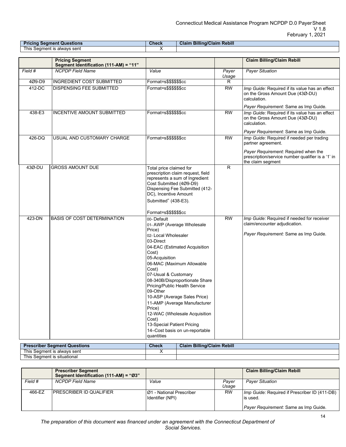| <b>Pricing Segment Questions</b>                          | Check<br>$\mathcal{L}^{\text{max}}_{\text{max}}$ and $\mathcal{L}^{\text{max}}_{\text{max}}$ and $\mathcal{L}^{\text{max}}_{\text{max}}$ and $\mathcal{L}^{\text{max}}_{\text{max}}$ | <b>Rebill</b><br><b>Claim Billing/Claim</b> |
|-----------------------------------------------------------|--------------------------------------------------------------------------------------------------------------------------------------------------------------------------------------|---------------------------------------------|
| This $\overline{\mathbf{y}}$<br>` Seament is alwavs sent_ |                                                                                                                                                                                      |                                             |

|         | <b>Pricing Segment</b>                 |                                                                                                                                                                                                                                                                                                                                                                                                                                                                                                  |                 | <b>Claim Billing/Claim Rebill</b>                                                                                    |
|---------|----------------------------------------|--------------------------------------------------------------------------------------------------------------------------------------------------------------------------------------------------------------------------------------------------------------------------------------------------------------------------------------------------------------------------------------------------------------------------------------------------------------------------------------------------|-----------------|----------------------------------------------------------------------------------------------------------------------|
|         | Segment Identification (111-AM) = "11" |                                                                                                                                                                                                                                                                                                                                                                                                                                                                                                  |                 |                                                                                                                      |
| Field # | <b>NCPDP Field Name</b>                | Value                                                                                                                                                                                                                                                                                                                                                                                                                                                                                            | Payer<br>Usage  | <b>Payer Situation</b>                                                                                               |
| 4Ø9-D9  | <b>INGREDIENT COST SUBMITTED</b>       | Format=s\$\$\$\$\$\$cc                                                                                                                                                                                                                                                                                                                                                                                                                                                                           | R               |                                                                                                                      |
| 412-DC  | <b>DISPENSING FEE SUBMITTED</b>        | Format=s\$\$\$\$\$\$cc                                                                                                                                                                                                                                                                                                                                                                                                                                                                           | $\overline{RW}$ | Imp Guide: Required if its value has an effect<br>on the Gross Amount Due (43Ø-DU)<br>calculation.                   |
|         |                                        |                                                                                                                                                                                                                                                                                                                                                                                                                                                                                                  |                 | Payer Requirement: Same as Imp Guide.                                                                                |
| 438-E3  | INCENTIVE AMOUNT SUBMITTED             | Format=s\$\$\$\$\$\$cc                                                                                                                                                                                                                                                                                                                                                                                                                                                                           | <b>RW</b>       | Imp Guide: Required if its value has an effect<br>on the Gross Amount Due (43Ø-DU)<br>calculation.                   |
|         |                                        |                                                                                                                                                                                                                                                                                                                                                                                                                                                                                                  |                 | Payer Requirement: Same as Imp Guide.                                                                                |
| 426-DQ  | USUAL AND CUSTOMARY CHARGE             | Format=s\$\$\$\$\$\$cc                                                                                                                                                                                                                                                                                                                                                                                                                                                                           | <b>RW</b>       | Imp Guide: Required if needed per trading<br>partner agreement.                                                      |
|         |                                        |                                                                                                                                                                                                                                                                                                                                                                                                                                                                                                  |                 | Payer Requirement: Required when the<br>prescription/service number qualifier is a '1' in<br>the claim segment       |
| 43Ø-DU  | <b>GROSS AMOUNT DUE</b>                | Total price claimed for<br>prescription claim request, field<br>represents a sum of Ingredient<br>Cost Submitted (4Ø9-D9)<br>Dispensing Fee Submitted (412-<br>DC), Incentive Amount<br>Submitted" (438-E3).                                                                                                                                                                                                                                                                                     | R               |                                                                                                                      |
|         |                                        | Format=s\$\$\$\$\$\$cc                                                                                                                                                                                                                                                                                                                                                                                                                                                                           |                 |                                                                                                                      |
| 423-DN  | <b>BASIS OF COST DETERMINATION</b>     | 00-Default<br>01-AWP (Average Wholesale<br>Price)<br>02-Local Wholesaler<br>03-Direct<br>04-EAC (Estimated Acquisition<br>Cost)<br>05-Acquisition<br>06-MAC (Maximum Allowable<br>Cost)<br>07-Usual & Customary<br>08-340B/Disproportionate Share<br>Pricing/Public Health Service<br>09-Other<br>10-ASP (Average Sales Price)<br>11-AMP (Average Manufacturer<br>Price)<br>12-WAC (Wholesale Acquisition<br>Cost)<br>13-Special Patient Pricing<br>14-Cost basis on un-reportable<br>quantities | $\overline{RW}$ | Imp Guide: Required if needed for receiver<br>claim/encounter adjudication.<br>Payer Requirement: Same as Imp Guide. |

| <b>Prescriber Segment Questions</b>         | Check | <b>Claim Billing/Claim Rebill</b> |
|---------------------------------------------|-------|-----------------------------------|
| This $\cdot$<br>alwavs sent<br>. Seament is |       |                                   |
| This $\cdot$<br>s Seɑment is situational    |       |                                   |

|         | <b>Prescriber Segment</b><br>Segment Identification (111-AM) = "Ø3" |                                               |                | <b>Claim Billing/Claim Rebill</b>                                 |
|---------|---------------------------------------------------------------------|-----------------------------------------------|----------------|-------------------------------------------------------------------|
| Field # | <b>NCPDP Field Name</b>                                             | Value                                         | Paver<br>Usage | <b>Payer Situation</b>                                            |
| 466-EZ  | IPRESCRIBER ID QUALIFIER                                            | IØ1 - National Prescriber<br>Identifier (NPI) | <b>RW</b>      | <i>Imp Guide:</i> Required if Prescriber ID (411-DB)<br>lis used. |
|         |                                                                     |                                               |                | <i>Payer Requirement:</i> Same as Imp Guide.                      |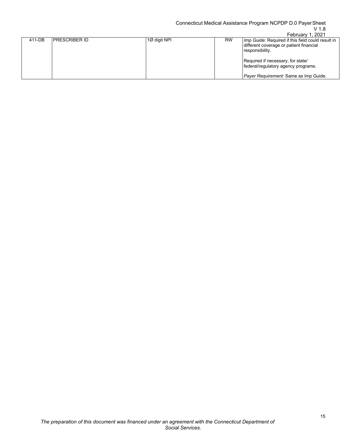## V 1.8

| <b>PRESCRIBER ID</b><br>1Ø digit NPI<br>411-DB<br><b>RW</b> |                                                                                                                                                                                                                                      |
|-------------------------------------------------------------|--------------------------------------------------------------------------------------------------------------------------------------------------------------------------------------------------------------------------------------|
|                                                             | Imp Guide: Required if this field could result in<br>different coverage or patient financial<br>responsibility.<br>Required if necessary, for state/<br>federal/regulatory agency programs.<br>Payer Requirement: Same as Imp Guide. |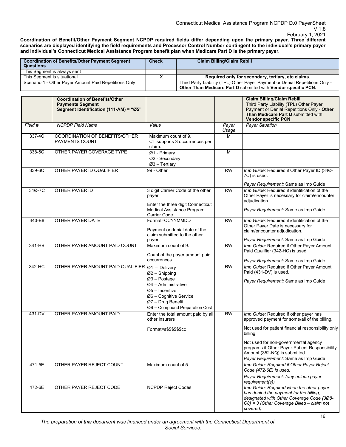**Coordination of Benefit/Other Payment Segment NCPDP required fields differ depending upon the primary payer. Three different**  scenarios are displayed identifying the field requirements and Processor Control Number contingent to the individual's primary payer **and individual's Connecticut Medical Assistance Program benefit plan when Medicare Part D is the primarypayer.**

| Coordination of Benefits/Other Payment Segment<br><b>Questions</b> | <b>Check</b> | <b>Claim Billing/Claim Rebill</b>                                                                                                              |
|--------------------------------------------------------------------|--------------|------------------------------------------------------------------------------------------------------------------------------------------------|
| This Segment is always sent                                        |              |                                                                                                                                                |
| This Segment is situational                                        |              | Required only for secondary, tertiary, etc claims.                                                                                             |
| Scenario 1 - Other Payer Amount Paid Repetitions Only              |              | Third Party Liability (TPL) Other Payer Payment or Denial Repetitions Only -<br>Other Than Medicare Part D submitted with Vendor specific PCN. |

|            | <b>Coordination of Benefits/Other</b><br><b>Payments Segment</b><br>Segment Identification (111-AM) = "Ø5" |                                                                                                                                                                                  |                 | <b>Claim Billing/Claim Rebill</b><br>Third Party Liability (TPL) Other Payer<br>Payment or Denial Repetitions Only - Other<br>Than Medicare Part D submitted with<br><b>Vendor specific PCN</b> |
|------------|------------------------------------------------------------------------------------------------------------|----------------------------------------------------------------------------------------------------------------------------------------------------------------------------------|-----------------|-------------------------------------------------------------------------------------------------------------------------------------------------------------------------------------------------|
| Field #    | <b>NCPDP</b> Field Name                                                                                    | Value                                                                                                                                                                            | Payer<br>Usage  | <b>Payer Situation</b>                                                                                                                                                                          |
| 337-4C     | COORDINATION OF BENEFITS/OTHER<br><b>PAYMENTS COUNT</b>                                                    | Maximum count of 9.<br>CT supports 3 occurrences per<br>claim.                                                                                                                   | М               |                                                                                                                                                                                                 |
| 338-5C     | OTHER PAYER COVERAGE TYPE                                                                                  | Ø1 - Primary<br>Ø2 - Secondary<br>$Ø3$ - Tertiary                                                                                                                                | M               |                                                                                                                                                                                                 |
| 339-6C     | OTHER PAYER ID QUALIFIER                                                                                   | 99 - Other                                                                                                                                                                       | RW              | Imp Guide: Required if Other Payer ID (34Ø-<br>7C) is used.                                                                                                                                     |
|            |                                                                                                            |                                                                                                                                                                                  |                 | Payer Requirement: Same as Imp Guide                                                                                                                                                            |
| 34Ø-7C     | OTHER PAYER ID                                                                                             | 3 digit Carrier Code of the other<br>payer<br>Enter the three digit Connecticut                                                                                                  | <b>RW</b>       | Imp Guide: Required if identification of the<br>Other Payer is necessary for claim/encounter<br>adjudication.                                                                                   |
|            |                                                                                                            | Medical Assistance Program<br>Carrier Code                                                                                                                                       |                 | Payer Requirement: Same as Imp Guide                                                                                                                                                            |
| 443-E8     | OTHER PAYER DATE                                                                                           | Format=CCYYMMDD<br>Payment or denial date of the                                                                                                                                 | <b>RW</b>       | Imp Guide: Required if identification of the<br>Other Payer Date is necessary for<br>claim/encounter adjudication.                                                                              |
|            |                                                                                                            | claim submitted to the other<br>payer.                                                                                                                                           |                 | Payer Requirement: Same as Imp Guide                                                                                                                                                            |
| $341 - HB$ | OTHER PAYER AMOUNT PAID COUNT                                                                              | Maximum count of 9.<br>Count of the payer amount paid                                                                                                                            | $\overline{RW}$ | Imp Guide: Required if Other Payer Amount<br>Paid Qualifier (342-HC) is used.                                                                                                                   |
|            |                                                                                                            | occurrences                                                                                                                                                                      |                 | Payer Requirement: Same as Imp Guide                                                                                                                                                            |
| 342-HC     | OTHER PAYER AMOUNT PAID QUALIFIER                                                                          | $Ø1$ - Delivery<br>$Ø2$ – Shipping<br>Ø3 - Postage<br>$Ø4 -$ Administrative<br>$Ø5$ – Incentive<br>Ø6 - Cognitive Service<br>Ø7 - Drug Benefit<br>Ø9 - Compound Preparation Cost | <b>RW</b>       | Imp Guide: Required if Other Payer Amount<br>Paid (431-DV) is used.<br>Payer Requirement: Same as Imp Guide                                                                                     |
| 431-DV     | OTHER PAYER AMOUNT PAID                                                                                    | Enter the total amount paid by all<br>other insurers<br>Format=s\$\$\$\$\$\$cc                                                                                                   | <b>RW</b>       | Imp Guide: Required if other payer has<br>approved payment for some/all of the billing.<br>Not used for patient financial responsibility only                                                   |
|            |                                                                                                            |                                                                                                                                                                                  |                 | billing.<br>Not used for non-governmental agency<br>programs if Other Payer-Patient Responsibility<br>Amount (352-NQ) is submitted.<br>Payer Requirement: Same as Imp Guide                     |
| 471-5E     | OTHER PAYER REJECT COUNT                                                                                   | Maximum count of 5.                                                                                                                                                              |                 | Imp Guide: Required if Other Payer Reject<br>Code (472-6E) is used.                                                                                                                             |
|            |                                                                                                            |                                                                                                                                                                                  |                 | Payer Requirement: (any unique payer<br>requirement(s))                                                                                                                                         |
| 472-6E     | OTHER PAYER REJECT CODE                                                                                    | <b>NCPDP Reject Codes</b>                                                                                                                                                        |                 | Imp Guide: Required when the other payer<br>has denied the payment for the billing,<br>designated with Other Coverage Code (308-<br>$C8$ ) = 3 (Other Coverage Billed - claim not<br>covered).  |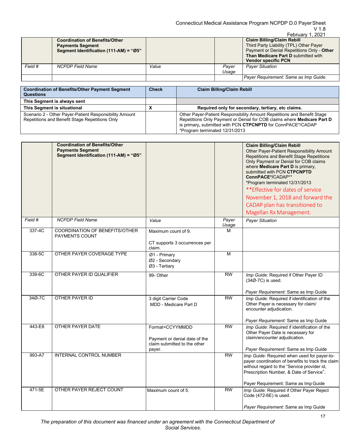|         |                                                                                                            |       |                | February 1, 2021                                                                                                                                                                                |
|---------|------------------------------------------------------------------------------------------------------------|-------|----------------|-------------------------------------------------------------------------------------------------------------------------------------------------------------------------------------------------|
|         | <b>Coordination of Benefits/Other</b><br><b>Payments Segment</b><br>Segment Identification (111-AM) = "Ø5" |       |                | <b>Claim Billing/Claim Rebill</b><br>Third Party Liability (TPL) Other Payer<br>Payment or Denial Repetitions Only - Other<br>Than Medicare Part D submitted with<br><b>Vendor specific PCN</b> |
| Field # | <b>NCPDP</b> Field Name                                                                                    | Value | Paver<br>Usage | <b>Paver Situation</b>                                                                                                                                                                          |
|         |                                                                                                            |       |                | Payer Requirement: Same as Imp Guide.                                                                                                                                                           |

| <b>Coordination of Benefits/Other Payment Segment</b><br><b>Questions</b>                                | <b>Check</b> | <b>Claim Billing/Claim Rebill</b>                                                                                                                                                                                                                   |
|----------------------------------------------------------------------------------------------------------|--------------|-----------------------------------------------------------------------------------------------------------------------------------------------------------------------------------------------------------------------------------------------------|
| This Segment is always sent                                                                              |              |                                                                                                                                                                                                                                                     |
| This Segment is situational                                                                              | Y<br>Λ       | Required only for secondary, tertiary, etc claims.                                                                                                                                                                                                  |
| Scenario 2 - Other Payer-Patient Responsibility Amount<br>Repetitions and Benefit Stage Repetitions Only |              | Other Payer-Patient Responsibility Amount Repetitions and Benefit Stage<br>Repetitions Only Payment or Denial for COB claims where Medicare Part D<br>is primary, submitted with PCN CTPCNPTD for ConnPACE*/CADAP<br>*Program terminated 12/31/2013 |

|         | <b>Coordination of Benefits/Other</b><br><b>Payments Segment</b><br>Segment Identification (111-AM) = "Ø5" |                                                                                            |                | <b>Claim Billing/Claim Rebill</b><br>Other Payer-Patient Responsibility Amount<br>Repetitions and Benefit Stage Repetitions<br>Only Payment or Denial for COB claims<br>where Medicare Part D is primary,<br>submitted with PCN CTPCNPTD<br>ConnPACE*/CADAP**<br>*Program terminated 12/31/2013<br>** Effective for dates of service<br>November 1, 2018 and forward the<br>CADAP plan has transitioned to<br>Magellan Rx Management. |
|---------|------------------------------------------------------------------------------------------------------------|--------------------------------------------------------------------------------------------|----------------|---------------------------------------------------------------------------------------------------------------------------------------------------------------------------------------------------------------------------------------------------------------------------------------------------------------------------------------------------------------------------------------------------------------------------------------|
| Field # | <b>NCPDP Field Name</b>                                                                                    | Value                                                                                      | Payer<br>Usage | <b>Payer Situation</b>                                                                                                                                                                                                                                                                                                                                                                                                                |
| 337-4C  | <b>COORDINATION OF BENEFITS/OTHER</b><br><b>PAYMENTS COUNT</b>                                             | Maximum count of 9.<br>CT supports 3 occurrences per<br>claim.                             | м              |                                                                                                                                                                                                                                                                                                                                                                                                                                       |
| 338-5C  | OTHER PAYER COVERAGE TYPE                                                                                  | Ø1 - Primary<br>Ø2 - Secondary<br>Ø3 - Tertiary                                            | M              |                                                                                                                                                                                                                                                                                                                                                                                                                                       |
| 339-6C  | OTHER PAYER ID QUALIFIER                                                                                   | 99- Other                                                                                  | <b>RW</b>      | Imp Guide: Required if Other Payer ID<br>(34Ø-7C) is used.<br>Payer Requirement: Same as Imp Guide                                                                                                                                                                                                                                                                                                                                    |
| 34Ø-7C  | OTHER PAYER ID                                                                                             | 3 digit Carrier Code<br>MDD - Medicare Part D                                              | <b>RW</b>      | Imp Guide: Required if identification of the<br>Other Payer is necessary for claim/<br>encounter adjudication.<br>Payer Requirement: Same as Imp Guide                                                                                                                                                                                                                                                                                |
| 443-E8  | OTHER PAYER DATE                                                                                           | Format=CCYYMMDD<br>Payment or denial date of the<br>claim submitted to the other<br>payer. | <b>RW</b>      | Imp Guide: Required if identification of the<br>Other Payer Date is necessary for<br>claim/encounter adjudication.<br>Payer Requirement: Same as Imp Guide                                                                                                                                                                                                                                                                            |
| 993-A7  | <b>INTERNAL CONTROL NUMBER</b>                                                                             |                                                                                            | <b>RW</b>      | Imp Guide: Required when used for payer-to-<br>payer coordination of benefits to track the claim<br>without regard to the "Service provider id,<br>Prescription Number, & Date of Service".<br>Payer Requirement: Same as Imp Guide                                                                                                                                                                                                   |
| 471-5E  | OTHER PAYER REJECT COUNT                                                                                   | Maximum count of 5.                                                                        | <b>RW</b>      | Imp Guide: Required if Other Payer Reject<br>Code (472-6E) is used.<br>Payer Requirement: Same as Imp Guide                                                                                                                                                                                                                                                                                                                           |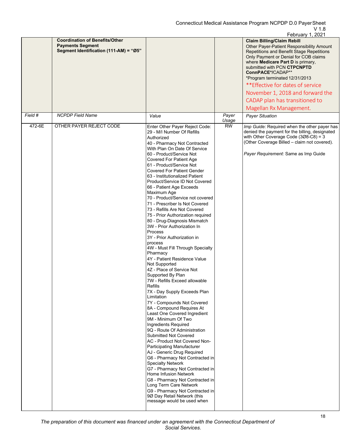|         |                                                                                                            |                                                                                                                                                                                                                                                                                                                                                                                                                                                                                                                                                                                                                                                                                                                                                                                                                                                                                                                                                                                                                                                                                                                                                                                                                                                                                                                                                                                                                                                                                              |                | February 1, 2021                                                                                                                                                                                                                                                                                                                                                                                                                      |
|---------|------------------------------------------------------------------------------------------------------------|----------------------------------------------------------------------------------------------------------------------------------------------------------------------------------------------------------------------------------------------------------------------------------------------------------------------------------------------------------------------------------------------------------------------------------------------------------------------------------------------------------------------------------------------------------------------------------------------------------------------------------------------------------------------------------------------------------------------------------------------------------------------------------------------------------------------------------------------------------------------------------------------------------------------------------------------------------------------------------------------------------------------------------------------------------------------------------------------------------------------------------------------------------------------------------------------------------------------------------------------------------------------------------------------------------------------------------------------------------------------------------------------------------------------------------------------------------------------------------------------|----------------|---------------------------------------------------------------------------------------------------------------------------------------------------------------------------------------------------------------------------------------------------------------------------------------------------------------------------------------------------------------------------------------------------------------------------------------|
|         | <b>Coordination of Benefits/Other</b><br><b>Payments Segment</b><br>Segment Identification (111-AM) = "Ø5" |                                                                                                                                                                                                                                                                                                                                                                                                                                                                                                                                                                                                                                                                                                                                                                                                                                                                                                                                                                                                                                                                                                                                                                                                                                                                                                                                                                                                                                                                                              |                | <b>Claim Billing/Claim Rebill</b><br>Other Payer-Patient Responsibility Amount<br>Repetitions and Benefit Stage Repetitions<br>Only Payment or Denial for COB claims<br>where Medicare Part D is primary,<br>submitted with PCN CTPCNPTD<br>ConnPACE*/CADAP**<br>*Program terminated 12/31/2013<br>** Effective for dates of service<br>November 1, 2018 and forward the<br>CADAP plan has transitioned to<br>Magellan Rx Management. |
| Field # | <b>NCPDP Field Name</b>                                                                                    | Value                                                                                                                                                                                                                                                                                                                                                                                                                                                                                                                                                                                                                                                                                                                                                                                                                                                                                                                                                                                                                                                                                                                                                                                                                                                                                                                                                                                                                                                                                        | Payer<br>Usage | <b>Payer Situation</b>                                                                                                                                                                                                                                                                                                                                                                                                                |
| 472-6E  | OTHER PAYER REJECT CODE                                                                                    | Enter Other Payer Reject Code:<br>29 - M/I Number Of Refills<br>Authorized<br>40 - Pharmacy Not Contracted<br>With Plan On Date Of Service<br>60 - Product/Service Not<br>Covered For Patient Age<br>61 - Product/Service Not<br><b>Covered For Patient Gender</b><br>63 - Institutionalized Patient<br>Product/Service ID Not Covered<br>66 - Patient Age Exceeds<br>Maximum Age<br>70 - Product/Service not covered<br>71 - Prescriber Is Not Covered<br>73 - Refills Are Not Covered<br>75 - Prior Authorization required<br>80 - Drug-Diagnosis Mismatch<br>3W - Prior Authorization In<br>Process<br>3Y - Prior Authorization in<br>process<br>4W - Must Fill Through Specialty<br>Pharmacy<br>4Y - Patient Residence Value<br>Not Supported<br>4Z - Place of Service Not<br>Supported By Plan<br>7W - Refills Exceed allowable<br>Refills<br>7X - Day Supply Exceeds Plan<br>Limitation<br>7Y - Compounds Not Covered<br>8A - Compound Requires At<br>Least One Covered Ingredient<br>9M - Minimum Of Two<br>Ingredients Required<br>9Q - Route Of Administration<br>Submitted Not Covered<br>AC - Product Not Covered Non-<br><b>Participating Manufacturer</b><br>AJ - Generic Drug Required<br>G6 - Pharmacy Not Contracted in<br><b>Specialty Network</b><br>G7 - Pharmacy Not Contracted in<br>Home Infusion Network<br>G8 - Pharmacy Not Contracted in<br>Long Term Care Network<br>G9 - Pharmacy Not Contracted in<br>9Ø Day Retail Network (this<br>message would be used when | <b>RW</b>      | Imp Guide: Required when the other payer has<br>denied the payment for the billing, designated<br>with Other Coverage Code $(308-C8) = 3$<br>(Other Coverage Billed - claim not covered).<br>Payer Requirement: Same as Imp Guide                                                                                                                                                                                                     |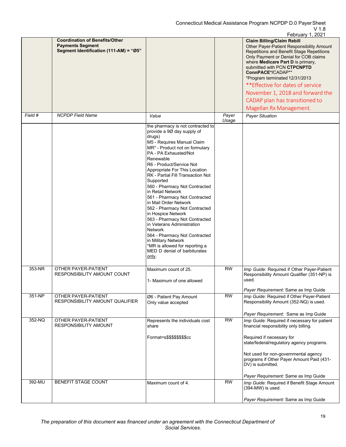|         |                                                                                                            |                                                                                                                                                                                                                                                                                                                                                                                                                                                                                                                                                                                                                                                                                           |                 | February 1, 2021                                                                                                                                                                                                                                                                                                                                                                                                                      |
|---------|------------------------------------------------------------------------------------------------------------|-------------------------------------------------------------------------------------------------------------------------------------------------------------------------------------------------------------------------------------------------------------------------------------------------------------------------------------------------------------------------------------------------------------------------------------------------------------------------------------------------------------------------------------------------------------------------------------------------------------------------------------------------------------------------------------------|-----------------|---------------------------------------------------------------------------------------------------------------------------------------------------------------------------------------------------------------------------------------------------------------------------------------------------------------------------------------------------------------------------------------------------------------------------------------|
|         | <b>Coordination of Benefits/Other</b><br><b>Payments Segment</b><br>Segment Identification (111-AM) = "Ø5" |                                                                                                                                                                                                                                                                                                                                                                                                                                                                                                                                                                                                                                                                                           |                 | <b>Claim Billing/Claim Rebill</b><br>Other Payer-Patient Responsibility Amount<br>Repetitions and Benefit Stage Repetitions<br>Only Payment or Denial for COB claims<br>where Medicare Part D is primary,<br>submitted with PCN CTPCNPTD<br>ConnPACE*/CADAP**<br>*Program terminated 12/31/2013<br>** Effective for dates of service<br>November 1, 2018 and forward the<br>CADAP plan has transitioned to<br>Magellan Rx Management. |
| Field # | <b>NCPDP Field Name</b>                                                                                    | Value                                                                                                                                                                                                                                                                                                                                                                                                                                                                                                                                                                                                                                                                                     | Payer<br>Usage  | <b>Payer Situation</b>                                                                                                                                                                                                                                                                                                                                                                                                                |
|         |                                                                                                            | the pharmacy is not contracted to<br>provide a 9Ø day supply of<br>drugs)<br>M5 - Requires Manual Claim<br>MR* - Product not on formulary<br>PA - PA Exhausted/Not<br>Renewable<br>R6 - Product/Service Not<br>Appropriate For This Location<br>RK - Partial Fill Transaction Not<br>Supported<br>560 - Pharmacy Not Contracted<br>in Retail Network<br>561 - Pharmacy Not Contracted<br>in Mail Order Network<br>562 - Pharmacy Not Contracted<br>in Hospice Network<br>563 - Pharmacy Not Contracted<br>in Veterans Administration<br><b>Network</b><br>564 - Pharmacy Not Contracted<br>in Military Network<br>*MR is allowed for reporting a<br>MED D denial of barbiturates<br>only. |                 |                                                                                                                                                                                                                                                                                                                                                                                                                                       |
| 353-NR  | OTHER PAYER-PATIENT<br>RESPONSIBILITY AMOUNT COUNT                                                         | Maximum count of 25.<br>1- Maximum of one allowed                                                                                                                                                                                                                                                                                                                                                                                                                                                                                                                                                                                                                                         | <b>RW</b>       | Imp Guide: Required if Other Payer-Patient<br>Responsibility Amount Qualifier (351-NP) is<br>used.<br>Payer Requirement: Same as Imp Guide                                                                                                                                                                                                                                                                                            |
| 351-NP  | OTHER PAYER-PATIENT<br>RESPONSIBILITY AMOUNT QUALIFIER                                                     | Ø6 - Patient Pay Amount<br>Only value accepted                                                                                                                                                                                                                                                                                                                                                                                                                                                                                                                                                                                                                                            | RW              | Imp Guide: Required if Other Payer-Patient<br>Responsibility Amount (352-NQ) is used.<br>Payer Requirement: Same as Imp Guide                                                                                                                                                                                                                                                                                                         |
| 352-NQ  | OTHER PAYER-PATIENT<br><b>RESPONSIBILITY AMOUNT</b>                                                        | Represents the individuals cost<br>share<br>Format=s\$\$\$\$\$\$\$\$cc                                                                                                                                                                                                                                                                                                                                                                                                                                                                                                                                                                                                                    | $\overline{RW}$ | Imp Guide: Required if necessary for patient<br>financial responsibility only billing.<br>Required if necessary for<br>state/federal/regulatory agency programs.<br>Not used for non-governmental agency<br>programs if Other Payer Amount Paid (431-<br>DV) is submitted.<br>Payer Requirement: Same as Imp Guide                                                                                                                    |
| 392-MU  | <b>BENEFIT STAGE COUNT</b>                                                                                 | Maximum count of 4.                                                                                                                                                                                                                                                                                                                                                                                                                                                                                                                                                                                                                                                                       | $\overline{RW}$ | Imp Guide: Required if Benefit Stage Amount<br>(394-MW) is used.<br>Payer Requirement: Same as Imp Guide                                                                                                                                                                                                                                                                                                                              |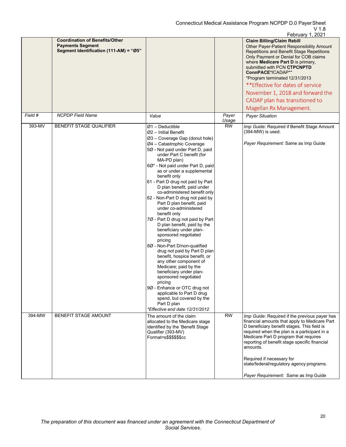|         |                                                                                                            |                                                                                                                                                                                                                                                                                                                                                                                                                                                                                                                                                                                                                                                                                                                                                                                                                                                                                                                                                                                            |                | February 1, 2021                                                                                                                                                                                                                                                                                                                                                                                                                      |
|---------|------------------------------------------------------------------------------------------------------------|--------------------------------------------------------------------------------------------------------------------------------------------------------------------------------------------------------------------------------------------------------------------------------------------------------------------------------------------------------------------------------------------------------------------------------------------------------------------------------------------------------------------------------------------------------------------------------------------------------------------------------------------------------------------------------------------------------------------------------------------------------------------------------------------------------------------------------------------------------------------------------------------------------------------------------------------------------------------------------------------|----------------|---------------------------------------------------------------------------------------------------------------------------------------------------------------------------------------------------------------------------------------------------------------------------------------------------------------------------------------------------------------------------------------------------------------------------------------|
|         | <b>Coordination of Benefits/Other</b><br><b>Payments Segment</b><br>Segment Identification (111-AM) = "Ø5" |                                                                                                                                                                                                                                                                                                                                                                                                                                                                                                                                                                                                                                                                                                                                                                                                                                                                                                                                                                                            |                | <b>Claim Billing/Claim Rebill</b><br>Other Payer-Patient Responsibility Amount<br>Repetitions and Benefit Stage Repetitions<br>Only Payment or Denial for COB claims<br>where Medicare Part D is primary.<br>submitted with PCN CTPCNPTD<br>ConnPACE*/CADAP**<br>*Program terminated 12/31/2013<br>** Effective for dates of service<br>November 1, 2018 and forward the<br>CADAP plan has transitioned to<br>Magellan Rx Management. |
| Field # | <b>NCPDP</b> Field Name                                                                                    | Value                                                                                                                                                                                                                                                                                                                                                                                                                                                                                                                                                                                                                                                                                                                                                                                                                                                                                                                                                                                      | Payer<br>Usage | <b>Payer Situation</b>                                                                                                                                                                                                                                                                                                                                                                                                                |
| 393-MV  | <b>BENEFIT STAGE QUALIFIER</b>                                                                             | $Ø1 - Deductible$<br>$Ø2$ – Initial Benefit<br>Ø3 - Coverage Gap (donut hole)<br>Ø4 - Catastrophic Coverage<br>5Ø - Not paid under Part D, paid<br>under Part C benefit (for<br>MA-PD plan)<br>6Ø* - Not paid under Part D, paid<br>as or under a supplemental<br>benefit only<br>61 - Part D drug not paid by Part<br>D plan benefit, paid under<br>co-administered benefit only<br>62 - Non-Part D drug not paid by<br>Part D plan benefit, paid<br>under co-administered<br>benefit only<br>7Ø - Part D drug not paid by Part<br>D plan benefit, paid by the<br>beneficiary under plan-<br>sponsored negotiated<br>pricing<br>8Ø - Non-Part D/non-qualified<br>drug not paid by Part D plan<br>benefit, hospice benefit, or<br>any other component of<br>Medicare; paid by the<br>beneficiary under plan-<br>sponsored negotiated<br>pricing<br>9Ø - Enhance or OTC drug not<br>applicable to Part D drug<br>spend, but covered by the<br>Part D plan<br>*Effective end date 12/31/2012 | <b>RW</b>      | Imp Guide: Required if Benefit Stage Amount<br>(394-MW) is used.<br>Payer Requirement: Same as Imp Guide                                                                                                                                                                                                                                                                                                                              |
| 394-MW  | <b>BENEFIT STAGE AMOUNT</b>                                                                                | The amount of the claim<br>allocated to the Medicare stage<br>identified by the 'Benefit Stage<br>Qualifier (393-MV)<br>Format=s\$\$\$\$\$\$cc                                                                                                                                                                                                                                                                                                                                                                                                                                                                                                                                                                                                                                                                                                                                                                                                                                             | RW             | Imp Guide: Required if the previous payer has<br>financial amounts that apply to Medicare Part<br>D beneficiary benefit stages. This field is<br>required when the plan is a participant in a<br>Medicare Part D program that requires<br>reporting of benefit stage specific financial<br>amounts.<br>Required if necessary for<br>state/federal/regulatory agency programs.<br>Payer Requirement: Same as Imp Guide                 |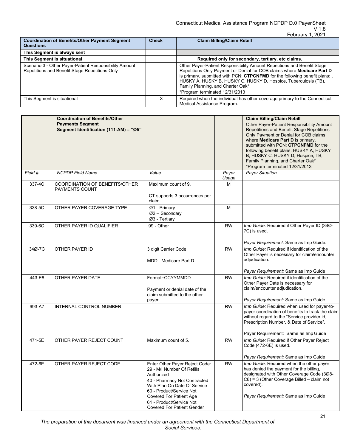| <b>Coordination of Benefits/Other Payment Segment</b><br><b>Questions</b>                                | <b>Check</b> | <b>Claim Billing/Claim Rebill</b>                                                                                                                                                                                                                                                                                                                                                 |
|----------------------------------------------------------------------------------------------------------|--------------|-----------------------------------------------------------------------------------------------------------------------------------------------------------------------------------------------------------------------------------------------------------------------------------------------------------------------------------------------------------------------------------|
| This Segment is always sent                                                                              |              |                                                                                                                                                                                                                                                                                                                                                                                   |
| This Segment is situational                                                                              |              | Required only for secondary, tertiary, etc claims.                                                                                                                                                                                                                                                                                                                                |
| Scenario 3 - Other Payer-Patient Responsibility Amount<br>Repetitions and Benefit Stage Repetitions Only |              | Other Payer-Patient Responsibility Amount Repetitions and Benefit Stage<br>Repetitions Only Payment or Denial for COB claims where <b>Medicare Part D</b><br>is primary, submitted with PCN: CTPCNFMD for the following benefit plans:,<br>HUSKY A, HUSKY B, HUSKY C, HUSKY D, Hospice, Tuberculosis (TB),<br>Family Planning, and Charter Oak*<br>*Program terminated 12/31/2013 |
| This Segment is situational                                                                              |              | Required when the individual has other coverage primary to the Connecticut<br>Medical Assistance Program.                                                                                                                                                                                                                                                                         |

|         | <b>Coordination of Benefits/Other</b><br><b>Payments Segment</b><br>Segment Identification (111-AM) = "Ø5" |                                                                                                                                                                                                                                                                    |                | <b>Claim Billing/Claim Rebill</b><br>Other Payer-Patient Responsibility Amount<br>Repetitions and Benefit Stage Repetitions<br>Only Payment or Denial for COB claims<br>where <b>Medicare Part D</b> is primary,<br>submitted with PCN: CTPCNFMD for the<br>following benefit plans: HUSKY A, HUSKY<br>B, HUSKY C, HUSKY D, Hospice, TB,<br>Family Planning, and Charter Oak*<br>*Program terminated 12/31/2013 |
|---------|------------------------------------------------------------------------------------------------------------|--------------------------------------------------------------------------------------------------------------------------------------------------------------------------------------------------------------------------------------------------------------------|----------------|-----------------------------------------------------------------------------------------------------------------------------------------------------------------------------------------------------------------------------------------------------------------------------------------------------------------------------------------------------------------------------------------------------------------|
| Field # | <b>NCPDP Field Name</b>                                                                                    | Value                                                                                                                                                                                                                                                              | Payer<br>Usage | <b>Payer Situation</b>                                                                                                                                                                                                                                                                                                                                                                                          |
| 337-4C  | COORDINATION OF BENEFITS/OTHER<br><b>PAYMENTS COUNT</b>                                                    | Maximum count of 9.<br>CT supports 3 occurrences per<br>claim.                                                                                                                                                                                                     | м              |                                                                                                                                                                                                                                                                                                                                                                                                                 |
| 338-5C  | OTHER PAYER COVERAGE TYPE                                                                                  | Ø1 - Primary<br>$Ø2 -$ Secondary<br>Ø3 - Tertiary                                                                                                                                                                                                                  | M              |                                                                                                                                                                                                                                                                                                                                                                                                                 |
| 339-6C  | OTHER PAYER ID QUALIFIER                                                                                   | 99 - Other                                                                                                                                                                                                                                                         | <b>RW</b>      | Imp Guide: Required if Other Payer ID (340-<br>7C) is used.<br>Payer Requirement: Same as Imp Guide.                                                                                                                                                                                                                                                                                                            |
| 34Ø-7C  | OTHER PAYER ID                                                                                             | 3 digit Carrier Code<br>MDD - Medicare Part D                                                                                                                                                                                                                      | <b>RW</b>      | Imp Guide: Required if identification of the<br>Other Payer is necessary for claim/encounter<br>adjudication.                                                                                                                                                                                                                                                                                                   |
|         |                                                                                                            |                                                                                                                                                                                                                                                                    |                | Payer Requirement: Same as Imp Guide                                                                                                                                                                                                                                                                                                                                                                            |
| 443-E8  | OTHER PAYER DATE                                                                                           | Format=CCYYMMDD<br>Payment or denial date of the<br>claim submitted to the other<br>payer.                                                                                                                                                                         | <b>RW</b>      | Imp Guide: Required if identification of the<br>Other Payer Date is necessary for<br>claim/encounter adjudication.<br>Payer Requirement: Same as Imp Guide                                                                                                                                                                                                                                                      |
| 993-A7  | INTERNAL CONTROL NUMBER                                                                                    |                                                                                                                                                                                                                                                                    | <b>RW</b>      | Imp Guide: Required when used for payer-to-<br>payer coordination of benefits to track the claim<br>without regard to the "Service provider id,<br>Prescription Number, & Date of Service".<br>Payer Requirement: Same as Imp Guide                                                                                                                                                                             |
| 471-5E  | OTHER PAYER REJECT COUNT                                                                                   | Maximum count of 5.                                                                                                                                                                                                                                                | <b>RW</b>      | Imp Guide: Required if Other Payer Reject<br>Code (472-6E) is used.<br>Payer Requirement: Same as Imp Guide                                                                                                                                                                                                                                                                                                     |
| 472-6E  | OTHER PAYER REJECT CODE                                                                                    | Enter Other Payer Reject Code:<br>29 - M/I Number Of Refills<br>Authorized<br>40 - Pharmacy Not Contracted<br>With Plan On Date Of Service<br>60 - Product/Service Not<br>Covered For Patient Age<br>61 - Product/Service Not<br><b>Covered For Patient Gender</b> | <b>RW</b>      | Imp Guide: Required when the other payer<br>has denied the payment for the billing,<br>designated with Other Coverage Code (308-<br>$C8$ ) = 3 (Other Coverage Billed – claim not<br>covered).<br>Payer Requirement: Same as Imp Guide                                                                                                                                                                          |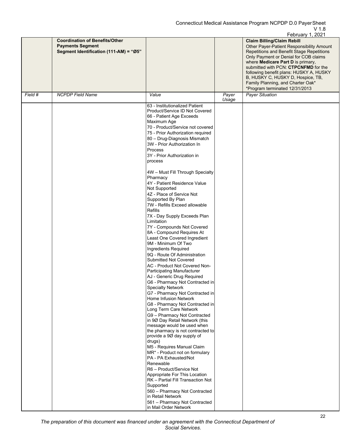|         |                                                                                                            |                                                                                                                                                                                                                                                                                                                                                                                                                                                                                                                                                                                                                                                                                                                                                                                                                                                                                                                                                                                                                                                                                                                                                                                                                                                                                                                                                                                                                                                                                                                     |       | February 1, 2021                                                                                                                                                                                                                                         |
|---------|------------------------------------------------------------------------------------------------------------|---------------------------------------------------------------------------------------------------------------------------------------------------------------------------------------------------------------------------------------------------------------------------------------------------------------------------------------------------------------------------------------------------------------------------------------------------------------------------------------------------------------------------------------------------------------------------------------------------------------------------------------------------------------------------------------------------------------------------------------------------------------------------------------------------------------------------------------------------------------------------------------------------------------------------------------------------------------------------------------------------------------------------------------------------------------------------------------------------------------------------------------------------------------------------------------------------------------------------------------------------------------------------------------------------------------------------------------------------------------------------------------------------------------------------------------------------------------------------------------------------------------------|-------|----------------------------------------------------------------------------------------------------------------------------------------------------------------------------------------------------------------------------------------------------------|
|         | <b>Coordination of Benefits/Other</b><br><b>Payments Segment</b><br>Segment Identification (111-AM) = "Ø5" |                                                                                                                                                                                                                                                                                                                                                                                                                                                                                                                                                                                                                                                                                                                                                                                                                                                                                                                                                                                                                                                                                                                                                                                                                                                                                                                                                                                                                                                                                                                     |       | <b>Claim Billing/Claim Rebill</b><br>Other Payer-Patient Responsibility Amount<br>Repetitions and Benefit Stage Repetitions<br>Only Payment or Denial for COB claims<br>where Medicare Part D is primary,<br>submitted with PCN: <b>CTPCNFMD</b> for the |
|         |                                                                                                            |                                                                                                                                                                                                                                                                                                                                                                                                                                                                                                                                                                                                                                                                                                                                                                                                                                                                                                                                                                                                                                                                                                                                                                                                                                                                                                                                                                                                                                                                                                                     |       | following benefit plans: HUSKY A, HUSKY<br>B, HUSKY C, HUSKY D, Hospice, TB,<br>Family Planning, and Charter Oak*<br>*Program terminated 12/31/2013                                                                                                      |
| Field # | <b>NCPDP Field Name</b>                                                                                    | Value                                                                                                                                                                                                                                                                                                                                                                                                                                                                                                                                                                                                                                                                                                                                                                                                                                                                                                                                                                                                                                                                                                                                                                                                                                                                                                                                                                                                                                                                                                               | Payer | <b>Payer Situation</b>                                                                                                                                                                                                                                   |
|         |                                                                                                            | 63 - Institutionalized Patient<br>Product/Service ID Not Covered<br>66 - Patient Age Exceeds<br>Maximum Age<br>70 - Product/Service not covered<br>75 - Prior Authorization required<br>80 - Drug-Diagnosis Mismatch<br>3W - Prior Authorization In<br>Process<br>3Y - Prior Authorization in<br>process<br>4W - Must Fill Through Specialty<br>Pharmacy<br>4Y - Patient Residence Value<br>Not Supported<br>4Z - Place of Service Not<br>Supported By Plan<br>7W - Refills Exceed allowable<br><b>Refills</b><br>7X - Day Supply Exceeds Plan<br>Limitation<br>7Y - Compounds Not Covered<br>8A - Compound Requires At<br>Least One Covered Ingredient<br>9M - Minimum Of Two<br>Ingredients Required<br>9Q - Route Of Administration<br><b>Submitted Not Covered</b><br>AC - Product Not Covered Non-<br><b>Participating Manufacturer</b><br>AJ - Generic Drug Required<br>G6 - Pharmacy Not Contracted in<br>Specialty Network<br>G7 - Pharmacy Not Contracted in<br>Home Infusion Network<br>G8 - Pharmacy Not Contracted in<br>Long Term Care Network<br>G9 - Pharmacy Not Contracted<br>in 90 Day Retail Network (this<br>message would be used when<br>the pharmacy is not contracted to<br>provide a 90 day supply of<br>drugs)<br>M5 - Requires Manual Claim<br>MR* - Product not on formulary<br>PA - PA Exhausted/Not<br>Renewable<br>R6 - Product/Service Not<br>Appropriate For This Location<br>RK - Partial Fill Transaction Not<br>Supported<br>560 - Pharmacy Not Contracted<br>in Retail Network | Usage |                                                                                                                                                                                                                                                          |
|         |                                                                                                            | 561 - Pharmacy Not Contracted<br>in Mail Order Network                                                                                                                                                                                                                                                                                                                                                                                                                                                                                                                                                                                                                                                                                                                                                                                                                                                                                                                                                                                                                                                                                                                                                                                                                                                                                                                                                                                                                                                              |       |                                                                                                                                                                                                                                                          |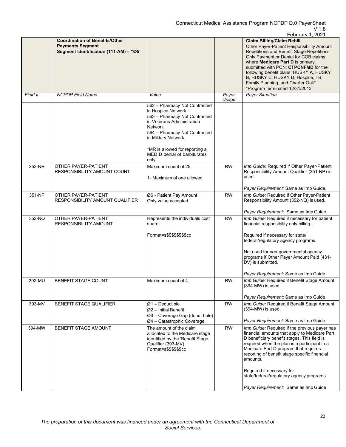|         |                                                                                                            |                                                                                                                                                                                                                                                                |                | February 1, 2021                                                                                                                                                                                                                                                                                                                                                                                         |
|---------|------------------------------------------------------------------------------------------------------------|----------------------------------------------------------------------------------------------------------------------------------------------------------------------------------------------------------------------------------------------------------------|----------------|----------------------------------------------------------------------------------------------------------------------------------------------------------------------------------------------------------------------------------------------------------------------------------------------------------------------------------------------------------------------------------------------------------|
|         | <b>Coordination of Benefits/Other</b><br><b>Payments Segment</b><br>Segment Identification (111-AM) = "Ø5" |                                                                                                                                                                                                                                                                |                | <b>Claim Billing/Claim Rebill</b><br>Other Payer-Patient Responsibility Amount<br>Repetitions and Benefit Stage Repetitions<br>Only Payment or Denial for COB claims<br>where Medicare Part D is primary,<br>submitted with PCN: CTPCNFMD for the<br>following benefit plans: HUSKY A, HUSKY<br>B, HUSKY C, HUSKY D, Hospice, TB,<br>Family Planning, and Charter Oak*<br>*Program terminated 12/31/2013 |
| Field # | <b>NCPDP Field Name</b>                                                                                    | Value                                                                                                                                                                                                                                                          | Payer<br>Usage | <b>Payer Situation</b>                                                                                                                                                                                                                                                                                                                                                                                   |
|         |                                                                                                            | 562 - Pharmacy Not Contracted<br>in Hospice Network<br>563 - Pharmacy Not Contracted<br>in Veterans Administration<br><b>Network</b><br>564 - Pharmacy Not Contracted<br>in Military Network<br>*MR is allowed for reporting a<br>MED D denial of barbiturates |                |                                                                                                                                                                                                                                                                                                                                                                                                          |
|         |                                                                                                            | only.                                                                                                                                                                                                                                                          |                |                                                                                                                                                                                                                                                                                                                                                                                                          |
| 353-NR  | OTHER PAYER-PATIENT<br>RESPONSIBILITY AMOUNT COUNT                                                         | Maximum count of 25.<br>1- Maximum of one allowed                                                                                                                                                                                                              | RW             | Imp Guide: Required if Other Payer-Patient<br>Responsibility Amount Qualifier (351-NP) is<br>used.                                                                                                                                                                                                                                                                                                       |
|         |                                                                                                            |                                                                                                                                                                                                                                                                |                | Payer Requirement: Same as Imp Guide.                                                                                                                                                                                                                                                                                                                                                                    |
| 351-NP  | OTHER PAYER-PATIENT<br>RESPONSIBILITY AMOUNT QUALIFIER                                                     | Ø6 - Patient Pay Amount<br>Only value accepted                                                                                                                                                                                                                 | <b>RW</b>      | Imp Guide: Required if Other Payer-Patient<br>Responsibility Amount (352-NQ) is used.                                                                                                                                                                                                                                                                                                                    |
|         |                                                                                                            |                                                                                                                                                                                                                                                                |                | Payer Requirement: Same as Imp Guide                                                                                                                                                                                                                                                                                                                                                                     |
| 352-NQ  | OTHER PAYER-PATIENT<br><b>RESPONSIBILITY AMOUNT</b>                                                        | Represents the individuals cost<br>share<br>Format=s\$\$\$\$\$\$\$\$cc                                                                                                                                                                                         | <b>RW</b>      | Imp Guide: Required if necessary for patient<br>financial responsibility only billing.<br>Required if necessary for state/<br>federal/regulatory agency programs.                                                                                                                                                                                                                                        |
|         |                                                                                                            |                                                                                                                                                                                                                                                                |                | Not used for non-governmental agency<br>programs if Other Payer Amount Paid (431-<br>DV) is submitted.<br>Payer Requirement: Same as Imp Guide                                                                                                                                                                                                                                                           |
| 392-MU  | <b>BENEFIT STAGE COUNT</b>                                                                                 | Maximum count of 4.                                                                                                                                                                                                                                            | <b>RW</b>      | Imp Guide: Required if Benefit Stage Amount<br>(394-MW) is used.                                                                                                                                                                                                                                                                                                                                         |
|         |                                                                                                            |                                                                                                                                                                                                                                                                |                |                                                                                                                                                                                                                                                                                                                                                                                                          |
| 393-MV  | BENEFIT STAGE QUALIFIER                                                                                    | $Ø1$ – Deductible                                                                                                                                                                                                                                              | <b>RW</b>      | Payer Requirement: Same as Imp Guide<br>Imp Guide: Required if Benefit Stage Amount                                                                                                                                                                                                                                                                                                                      |
|         |                                                                                                            | $Ø2$ – Initial Benefit<br>$Ø3$ – Coverage Gap (donut hole)                                                                                                                                                                                                     |                | (394-MW) is used.<br>Payer Requirement: Same as Imp Guide                                                                                                                                                                                                                                                                                                                                                |
| 394-MW  | BENEFIT STAGE AMOUNT                                                                                       | $Ø4$ – Catastrophic Coverage<br>The amount of the claim                                                                                                                                                                                                        | <b>RW</b>      | Imp Guide: Required if the previous payer has                                                                                                                                                                                                                                                                                                                                                            |
|         |                                                                                                            | allocated to the Medicare stage<br>identified by the 'Benefit Stage<br>Qualifier (393-MV)<br>Format=s\$\$\$\$\$\$cc                                                                                                                                            |                | financial amounts that apply to Medicare Part<br>D beneficiary benefit stages. This field is<br>required when the plan is a participant in a<br>Medicare Part D program that requires<br>reporting of benefit stage specific financial<br>amounts.<br>Required if necessary for<br>state/federal/regulatory agency programs.                                                                             |
|         |                                                                                                            |                                                                                                                                                                                                                                                                |                | Payer Requirement: Same as Imp Guide                                                                                                                                                                                                                                                                                                                                                                     |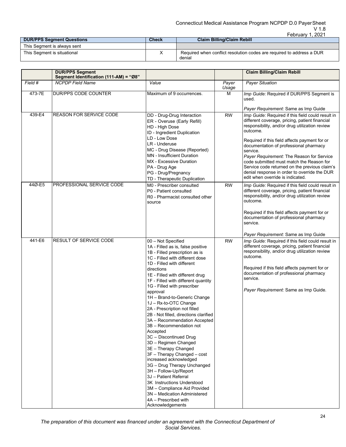## Connecticut Medical Assistance Program NCPDP D.0 PayerSheet V 1.8

|                                  |              | .2021<br><b>February</b>                                              |
|----------------------------------|--------------|-----------------------------------------------------------------------|
| <b>DUR/PPS Segment Questions</b> | <b>Check</b> | <b>Claim Billing/Claim Rebill</b>                                     |
| This Segment is always sent      |              |                                                                       |
| This Segment is situational      |              | Required when conflict resolution codes are required to address a DUR |
|                                  |              | denial                                                                |

|         | <b>DUR/PPS Segment</b><br>Segment Identification (111-AM) = "Ø8" |                                                                                                                                                                                                                                                                                                                                                                                                                                                                                                                                                                                                                                                                                                                                                                                                                                                                      |                | <b>Claim Billing/Claim Rebill</b>                                                                                                                                                                                                                                                                                                                                                                                                                                                                                                              |
|---------|------------------------------------------------------------------|----------------------------------------------------------------------------------------------------------------------------------------------------------------------------------------------------------------------------------------------------------------------------------------------------------------------------------------------------------------------------------------------------------------------------------------------------------------------------------------------------------------------------------------------------------------------------------------------------------------------------------------------------------------------------------------------------------------------------------------------------------------------------------------------------------------------------------------------------------------------|----------------|------------------------------------------------------------------------------------------------------------------------------------------------------------------------------------------------------------------------------------------------------------------------------------------------------------------------------------------------------------------------------------------------------------------------------------------------------------------------------------------------------------------------------------------------|
| Field # | <b>NCPDP</b> Field Name                                          | Value                                                                                                                                                                                                                                                                                                                                                                                                                                                                                                                                                                                                                                                                                                                                                                                                                                                                | Payer<br>Usage | <b>Payer Situation</b>                                                                                                                                                                                                                                                                                                                                                                                                                                                                                                                         |
| 473-7E  | DUR/PPS CODE COUNTER                                             | Maximum of 9 occurrences.                                                                                                                                                                                                                                                                                                                                                                                                                                                                                                                                                                                                                                                                                                                                                                                                                                            | м              | Imp Guide: Required if DUR/PPS Segment is<br>used.                                                                                                                                                                                                                                                                                                                                                                                                                                                                                             |
| 439-E4  | <b>REASON FOR SERVICE CODE</b>                                   | DD - Drug-Drug Interaction<br>ER - Overuse (Early Refill)<br>HD - High Dose<br>ID - Ingredient Duplication<br>LD - Low Dose<br>LR - Underuse<br>MC - Drug Disease (Reported)<br><b>MN</b> - Insufficient Duration<br>MX - Excessive Duration<br>PA - Drug Age<br>PG - Drug/Pregnancy<br>TD - Therapeutic Duplication                                                                                                                                                                                                                                                                                                                                                                                                                                                                                                                                                 | <b>RW</b>      | Payer Requirement: Same as Imp Guide<br>Imp Guide: Required if this field could result in<br>different coverage, pricing, patient financial<br>responsibility, and/or drug utilization review<br>outcome.<br>Required if this field affects payment for or<br>documentation of professional pharmacy<br>service.<br>Payer Requirement: The Reason for Service<br>code submitted must match the Reason for<br>Service code returned on the previous claim's<br>denial response in order to override the DUR<br>edit when override is indicated. |
| 44Ø-E5  | PROFESSIONAL SERVICE CODE                                        | M0 - Prescriber consulted<br>P0 - Patient consulted<br>R0 - Pharmacist consulted other<br>source                                                                                                                                                                                                                                                                                                                                                                                                                                                                                                                                                                                                                                                                                                                                                                     | <b>RW</b>      | Imp Guide: Required if this field could result in<br>different coverage, pricing, patient financial<br>responsibility, and/or drug utilization review<br>outcome.<br>Required if this field affects payment for or<br>documentation of professional pharmacy<br>service.<br>Payer Requirement: Same as Imp Guide                                                                                                                                                                                                                               |
| 441-E6  | RESULT OF SERVICE CODE                                           | 00 - Not Specified<br>1A - Filled as is, false positive<br>1B - Filled prescription as is<br>1C - Filled with different dose<br>1D - Filled with different<br>directions<br>1E - Filled with different drug<br>1F - Filled with different quantity<br>1G - Filled with prescriber<br>approval<br>1H - Brand-to-Generic Change<br>1J - Rx-to-OTC Change<br>2A - Prescription not filled<br>2B - Not filled, directions clarified<br>3A - Recommendation Accepted<br>3B - Recommendation not<br>Accepted<br>3C - Discontinued Drug<br>3D - Regimen Changed<br>3E - Therapy Changed<br>3F - Therapy Changed - cost<br>increased acknowledged<br>3G - Drug Therapy Unchanged<br>3H - Follow-Up/Report<br>3J - Patient Referral<br>3K Instructions Understood<br>3M - Compliance Aid Provided<br>3N - Medication Administered<br>4A - Prescribed with<br>Acknowledgements | <b>RW</b>      | Imp Guide: Required if this field could result in<br>different coverage, pricing, patient financial<br>responsibility, and/or drug utilization review<br>outcome.<br>Required if this field affects payment for or<br>documentation of professional pharmacy<br>service.<br>Payer Requirement: Same as Imp Guide.                                                                                                                                                                                                                              |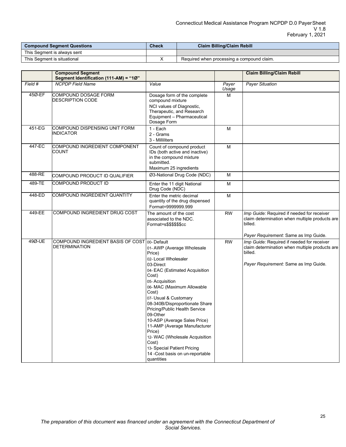| <b>Compound Segment Questions</b> | <b>Check</b> | <b>Claim Billing/Claim Rebill</b>          |
|-----------------------------------|--------------|--------------------------------------------|
| This Seament is always sent       |              |                                            |
| This Seament is situational       |              | Required when processing a compound claim. |

|         | <b>Compound Segment</b><br>Segment Identification (111-AM) = "1Ø" |                                                                                                                                                                                                                                                                                                                                                                                                                                                                                                         |                | <b>Claim Billing/Claim Rebill</b>                                                                                                                |
|---------|-------------------------------------------------------------------|---------------------------------------------------------------------------------------------------------------------------------------------------------------------------------------------------------------------------------------------------------------------------------------------------------------------------------------------------------------------------------------------------------------------------------------------------------------------------------------------------------|----------------|--------------------------------------------------------------------------------------------------------------------------------------------------|
| Field # | <b>NCPDP Field Name</b>                                           | Value                                                                                                                                                                                                                                                                                                                                                                                                                                                                                                   | Payer<br>Usage | <b>Payer Situation</b>                                                                                                                           |
| 45Ø-EF  | <b>COMPOUND DOSAGE FORM</b><br><b>DESCRIPTION CODE</b>            | Dosage form of the complete<br>compound mixture<br>NCI values of Diagnostic,<br>Therapeutic, and Research<br>Equipment - Pharmaceutical<br>Dosage Form                                                                                                                                                                                                                                                                                                                                                  | M              |                                                                                                                                                  |
| 451-EG  | COMPOUND DISPENSING UNIT FORM<br><b>INDICATOR</b>                 | 1 - Each<br>2 - Grams<br>3 - Milliliters                                                                                                                                                                                                                                                                                                                                                                                                                                                                | M              |                                                                                                                                                  |
| 447-EC  | COMPOUND INGREDIENT COMPONENT<br><b>COUNT</b>                     | Count of compound product<br>IDs (both active and inactive)<br>in the compound mixture<br>submitted.<br>Maximum 25 ingredients                                                                                                                                                                                                                                                                                                                                                                          | M              |                                                                                                                                                  |
| 488-RE  | COMPOUND PRODUCT ID QUALIFIER                                     | Ø3-National Drug Code (NDC)                                                                                                                                                                                                                                                                                                                                                                                                                                                                             | M              |                                                                                                                                                  |
| 489-TE  | COMPOUND PRODUCT ID                                               | Enter the 11 digit National<br>Drug Code (NDC)                                                                                                                                                                                                                                                                                                                                                                                                                                                          | M              |                                                                                                                                                  |
| 448-ED  | COMPOUND INGREDIENT QUANTITY                                      | Enter the metric decimal<br>quantity of the drug dispensed<br>Format=9999999.999                                                                                                                                                                                                                                                                                                                                                                                                                        | M              |                                                                                                                                                  |
| 449-EE  | COMPOUND INGREDIENT DRUG COST                                     | The amount of the cost<br>associated to the NDC.<br>Format=s\$\$\$\$\$\$cc                                                                                                                                                                                                                                                                                                                                                                                                                              | <b>RW</b>      | Imp Guide: Required if needed for receiver<br>claim determination when multiple products are<br>billed.                                          |
|         |                                                                   |                                                                                                                                                                                                                                                                                                                                                                                                                                                                                                         |                | Payer Requirement: Same as Imp Guide.                                                                                                            |
| 49Ø-UE  | <b>COMPOUND INGREDIENT BASIS OF COST</b><br><b>DETERMINATION</b>  | 00-Default<br>01-AWP (Average Wholesale<br>Price)<br>02- Local Wholesaler<br>03-Direct<br>04- EAC (Estimated Acquisition<br>Cost)<br>05-Acquisition<br>06- MAC (Maximum Allowable<br>Cost)<br>07- Usual & Customary<br>08-340B/Disproportionate Share<br>Pricing/Public Health Service<br>09-Other<br>10-ASP (Average Sales Price)<br>11-AMP (Average Manufacturer<br>Price)<br>12- WAC (Wholesale Acquisition<br>Cost)<br>13- Special Patient Pricing<br>14 -Cost basis on un-reportable<br>quantities | <b>RW</b>      | Imp Guide: Required if needed for receiver<br>claim determination when multiple products are<br>billed.<br>Payer Requirement: Same as Imp Guide. |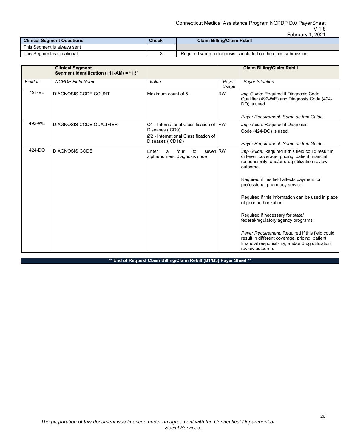## Connecticut Medical Assistance Program NCPDP D.0 PayerSheet V 1.8

|                                   |              | Februarv<br>2021                                              |
|-----------------------------------|--------------|---------------------------------------------------------------|
| <b>Clinical Segment Questions</b> | <b>Check</b> | <b>Claim Billing/Claim Rebill</b>                             |
| This Segment is always sent       |              |                                                               |
| This Segment is situational       |              | Required when a diagnosis is included on the claim submission |

|         | <b>Clinical Segment</b>                |                                                                      |                | <b>Claim Billing/Claim Rebill</b>                                                                                                                                         |
|---------|----------------------------------------|----------------------------------------------------------------------|----------------|---------------------------------------------------------------------------------------------------------------------------------------------------------------------------|
|         | Segment Identification (111-AM) = "13" |                                                                      |                |                                                                                                                                                                           |
| Field # | <b>NCPDP</b> Field Name                | Value                                                                | Payer<br>Usage | <b>Payer Situation</b>                                                                                                                                                    |
| 491-VE  | DIAGNOSIS CODE COUNT                   | Maximum count of 5.                                                  | <b>RW</b>      | Imp Guide: Required if Diagnosis Code<br>Qualifier (492-WE) and Diagnosis Code (424-<br>DO) is used.                                                                      |
|         |                                        |                                                                      |                | Payer Requirement: Same as Imp Guide.                                                                                                                                     |
| 492-WE  | <b>DIAGNOSIS CODE QUALIFIER</b>        | Ø1 - International Classification of IRW                             |                | Imp Guide: Required if Diagnosis                                                                                                                                          |
|         |                                        | Diseases (ICD9)                                                      |                | Code (424-DO) is used.                                                                                                                                                    |
|         |                                        | Ø2 - International Classification of<br>Diseases (ICD1Ø)             |                |                                                                                                                                                                           |
|         |                                        |                                                                      |                | Payer Requirement: Same as Imp Guide.                                                                                                                                     |
| 424-DO  | <b>DIAGNOSIS CODE</b>                  | seven RW<br>Enter<br>to<br>four<br>a<br>alpha/numeric diagnosis code |                | Imp Guide: Required if this field could result in<br>different coverage, pricing, patient financial<br>responsibility, and/or drug utilization review<br>outcome.         |
|         |                                        |                                                                      |                | Required if this field affects payment for<br>professional pharmacy service.                                                                                              |
|         |                                        |                                                                      |                | Required if this information can be used in place<br>of prior authorization.                                                                                              |
|         |                                        |                                                                      |                | Required if necessary for state/<br>federal/regulatory agency programs.                                                                                                   |
|         |                                        |                                                                      |                | Payer Requirement: Required if this field could<br>result in different coverage, pricing, patient<br>financial responsibility, and/or drug utilization<br>review outcome. |

**\*\* End of Request Claim Billing/Claim Rebill (B1/B3) Payer Sheet \*\***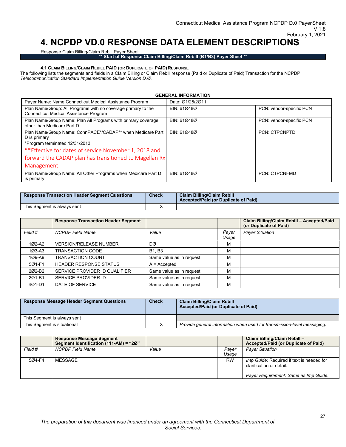## <span id="page-26-0"></span>**4. NCPDP VD.0 RESPONSE DATA ELEMENT DESCRIPTIONS**

Response Claim Billing/Claim Rebill Payer Sheet

**\*\* Start of Response Claim Billing/Claim Rebill (B1/B3) Payer Sheet \*\***

### **4.1 CLAIM BILLING/CLAIM REBILL PAID (OR DUPLICATE OF PAID) RESPONSE**

<span id="page-26-1"></span>The following lists the segments and fields in a Claim Billing or Claim Rebill response (Paid or Duplicate of Paid) Transaction for the NCPDP *Telecommunication Standard Implementation Guide Version D.Ø*.

**GENERAL INFORMATION**

| Payer Name: Name Connecticut Medical Assistance Program                                                        | Date: Ø1/25/2011 |                          |
|----------------------------------------------------------------------------------------------------------------|------------------|--------------------------|
| Plan Name/Group: All Programs with no coverage primary to the<br><b>Connecticut Medical Assistance Program</b> | BIN: 610480      | PCN: vendor-specific PCN |
| Plan Name/Group Name: Plan All Programs with primary coverage<br>other than Medicare Part D                    | BIN: 610480      | PCN: vendor-specific PCN |
| Plan Name/Group Name: ConnPACE*/CADAP** when Medicare Part<br>D is primary                                     | BIN: 610480      | <b>PCN: CTPCNPTD</b>     |
| *Program terminated 12/31/2013                                                                                 |                  |                          |
| ** Effective for dates of service November 1, 2018 and                                                         |                  |                          |
| forward the CADAP plan has transitioned to Magellan Rx                                                         |                  |                          |
| Management.                                                                                                    |                  |                          |
| Plan Name/Group Name: All Other Programs when Medicare Part D<br>is primary                                    | BIN: 610480      | <b>PCN: CTPCNFMD</b>     |

| <b>Response Transaction Header Segment Questions</b> | <b>Check</b> | <b>Claim Billing/Claim Rebill</b><br><b>Accepted/Paid (or Duplicate of Paid)</b> |
|------------------------------------------------------|--------------|----------------------------------------------------------------------------------|
| This Seament is always sent                          |              |                                                                                  |

|            | <b>Response Transaction Header Segment</b> |                          |                | Claim Billing/Claim Rebill - Accepted/Paid<br>(or Duplicate of Paid) |
|------------|--------------------------------------------|--------------------------|----------------|----------------------------------------------------------------------|
| Field #    | <b>NCPDP Field Name</b>                    | Value                    | Payer<br>Usage | <b>Payer Situation</b>                                               |
| 1Ø2-A2     | <b>VERSION/RELEASE NUMBER</b>              | DØ                       | м              |                                                                      |
| 1Ø3-A3     | TRANSACTION CODE                           | <b>B1, B3</b>            | м              |                                                                      |
| $109 - A9$ | <b>TRANSACTION COUNT</b>                   | Same value as in request | м              |                                                                      |
| 5Ø1-F1     | <b>HEADER RESPONSE STATUS</b>              | $A =$ Accepted           | М              |                                                                      |
| 2Ø2-B2     | SERVICE PROVIDER ID QUALIFIER              | Same value as in request | М              |                                                                      |
| 201-B1     | SERVICE PROVIDER ID                        | Same value as in request | м              |                                                                      |
| 4Ø1-D1     | DATE OF SERVICE                            | Same value as in request | М              |                                                                      |

| <b>Response Message Header Segment Questions</b> | <b>Check</b> | <b>Claim Billing/Claim Rebill</b><br>Accepted/Paid (or Duplicate of Paid) |
|--------------------------------------------------|--------------|---------------------------------------------------------------------------|
| This Segment is always sent                      |              |                                                                           |
| This Segment is situational                      |              | Provide general information when used for transmission-level messaging.   |

|         | <b>Response Message Segment</b><br>Segment Identification (111-AM) = "20" |       |                | Claim Billing/Claim Rebill -<br>Accepted/Paid (or Duplicate of Paid)                                                  |
|---------|---------------------------------------------------------------------------|-------|----------------|-----------------------------------------------------------------------------------------------------------------------|
| Field # | <b>NCPDP Field Name</b>                                                   | Value | Paver<br>Usage | <b>Paver Situation</b>                                                                                                |
| 5Ø4-F4  | MESSAGE                                                                   |       | <b>RW</b>      | <i>Imp Guide:</i> Required if text is needed for<br>clarification or detail.<br>Payer Requirement: Same as Imp Guide. |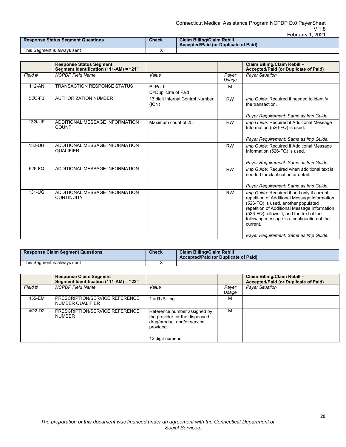#### Connecticut Medical Assistance Program NCPDP D.0 PayerSheet V 1.8 February 1, 2021

| <b>Response Status Segment Questions</b> | Check | <b>Claim Billing/Claim Rebill</b><br><b>Accepted/Paid (or Duplicate of Paid)</b> |  |
|------------------------------------------|-------|----------------------------------------------------------------------------------|--|
| This Seament is always sent              |       |                                                                                  |  |

|         | <b>Response Status Segment</b><br>Segment Identification (111-AM) = "21" |                                           |                | Claim Billing/Claim Rebill -<br>Accepted/Paid (or Duplicate of Paid)                                                                                                                                                                                                                                                             |
|---------|--------------------------------------------------------------------------|-------------------------------------------|----------------|----------------------------------------------------------------------------------------------------------------------------------------------------------------------------------------------------------------------------------------------------------------------------------------------------------------------------------|
| Field # | <b>NCPDP</b> Field Name                                                  | Value                                     | Payer<br>Usage | <b>Payer Situation</b>                                                                                                                                                                                                                                                                                                           |
| 112-AN  | <b>TRANSACTION RESPONSE STATUS</b>                                       | P=Paid<br>D=Duplicate of Paid             | M              |                                                                                                                                                                                                                                                                                                                                  |
| 5Ø3-F3  | <b>AUTHORIZATION NUMBER</b>                                              | 13 digit Internal Control Number<br>(ICN) | <b>RW</b>      | Imp Guide: Required if needed to identify<br>the transaction.<br>Payer Requirement: Same as Imp Guide.                                                                                                                                                                                                                           |
| 13Ø-UF  | ADDITIONAL MESSAGE INFORMATION<br><b>COUNT</b>                           | Maximum count of 25.                      | <b>RW</b>      | Imp Guide: Required if Additional Message<br>Information (526-FQ) is used.<br>Payer Requirement: Same as Imp Guide.                                                                                                                                                                                                              |
| 132-UH  | ADDITIONAL MESSAGE INFORMATION<br><b>QUALIFIER</b>                       |                                           | <b>RW</b>      | Imp Guide: Required if Additional Message<br>Information (526-FQ) is used.<br>Payer Requirement: Same as Imp Guide.                                                                                                                                                                                                              |
| 526-FQ  | ADDITIONAL MESSAGE INFORMATION                                           |                                           | <b>RW</b>      | Imp Guide: Required when additional text is<br>needed for clarification or detail.<br>Payer Requirement: Same as Imp Guide.                                                                                                                                                                                                      |
| 131-UG  | ADDITIONAL MESSAGE INFORMATION<br><b>CONTINUITY</b>                      |                                           | <b>RW</b>      | Imp Guide: Required if and only if current<br>repetition of Additional Message Information<br>(526-FQ) is used, another populated<br>repetition of Additional Message Information<br>(526-FQ) follows it, and the text of the<br>following message is a continuation of the<br>current.<br>Payer Requirement: Same as Imp Guide. |

| <b>Response Claim Segment Questions</b> | <b>Check</b> | <b>Claim Billing/Claim Rebill</b><br><b>Accepted/Paid (or Duplicate of Paid)</b> |
|-----------------------------------------|--------------|----------------------------------------------------------------------------------|
| This Seament is always sent             |              |                                                                                  |

|                    | <b>Response Claim Segment</b><br>Segment Identification (111-AM) = "22" |                                                                                                                                |                | Claim Billing/Claim Rebill -<br>Accepted/Paid (or Duplicate of Paid) |
|--------------------|-------------------------------------------------------------------------|--------------------------------------------------------------------------------------------------------------------------------|----------------|----------------------------------------------------------------------|
| Field #            | <b>NCPDP Field Name</b>                                                 | Value                                                                                                                          | Payer<br>Usage | <b>Payer Situation</b>                                               |
| 455-EM             | PRESCRIPTION/SERVICE REFERENCE<br>NUMBER QUALIFIER                      | $=$ RxBilling                                                                                                                  | м              |                                                                      |
| 402-D <sub>2</sub> | PRESCRIPTION/SERVICE REFERENCE<br><b>NUMBER</b>                         | Reference number assigned by<br>the provider for the dispensed<br>drug/product and/or service<br>provided.<br>12 digit numeric | м              |                                                                      |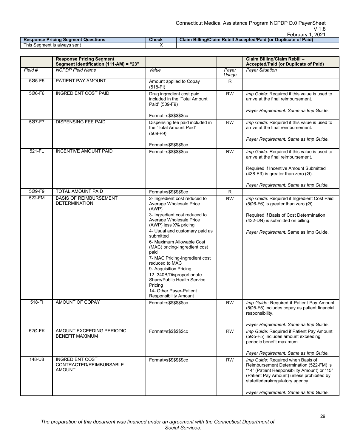|                                           |       | <b>UDIUCIV</b><br>$-202$                                        |
|-------------------------------------------|-------|-----------------------------------------------------------------|
| <b>Response Pricing Segment Questions</b> | Check | Claim Billing/Claim Rebill Accepted/Paid (or Duplicate of Paid) |
| This Seament is always sent               |       |                                                                 |

|                  | <b>Response Pricing Segment</b><br>Segment Identification (111-AM) = "23" |                                                                                                                                                                                                                                                                                                                                                                                                                                                                                                               |                        | Claim Billing/Claim Rebill -<br>Accepted/Paid (or Duplicate of Paid)                                                                                                                                                                                                                                               |
|------------------|---------------------------------------------------------------------------|---------------------------------------------------------------------------------------------------------------------------------------------------------------------------------------------------------------------------------------------------------------------------------------------------------------------------------------------------------------------------------------------------------------------------------------------------------------------------------------------------------------|------------------------|--------------------------------------------------------------------------------------------------------------------------------------------------------------------------------------------------------------------------------------------------------------------------------------------------------------------|
| Field #          | <b>NCPDP Field Name</b>                                                   | Value                                                                                                                                                                                                                                                                                                                                                                                                                                                                                                         | Payer<br>Usage         | <b>Paver Situation</b>                                                                                                                                                                                                                                                                                             |
| 5Ø5-F5           | PATIENT PAY AMOUNT                                                        | Amount applied to Copay<br>$(518-FI)$                                                                                                                                                                                                                                                                                                                                                                                                                                                                         | R                      |                                                                                                                                                                                                                                                                                                                    |
| 506-F6           | <b>INGREDIENT COST PAID</b>                                               | Drug ingredient cost paid<br>included in the 'Total Amount<br>Paid' (509-F9)                                                                                                                                                                                                                                                                                                                                                                                                                                  | <b>RW</b>              | Imp Guide: Required if this value is used to<br>arrive at the final reimbursement.                                                                                                                                                                                                                                 |
|                  |                                                                           | Format=s\$\$\$\$\$\$cc                                                                                                                                                                                                                                                                                                                                                                                                                                                                                        |                        | Payer Requirement: Same as Imp Guide.                                                                                                                                                                                                                                                                              |
| 5Ø7-F7           | <b>DISPENSING FEE PAID</b>                                                | Dispensing fee paid included in<br>the 'Total Amount Paid'<br>$(509-F9)$                                                                                                                                                                                                                                                                                                                                                                                                                                      | <b>RW</b>              | Imp Guide: Required if this value is used to<br>arrive at the final reimbursement.                                                                                                                                                                                                                                 |
|                  |                                                                           | Format=s\$\$\$\$\$\$cc                                                                                                                                                                                                                                                                                                                                                                                                                                                                                        |                        | Payer Requirement: Same as Imp Guide.                                                                                                                                                                                                                                                                              |
| 521-FL           | <b>INCENTIVE AMOUNT PAID</b>                                              | Format=s\$\$\$\$\$\$cc                                                                                                                                                                                                                                                                                                                                                                                                                                                                                        | <b>RW</b>              | Imp Guide: Required if this value is used to<br>arrive at the final reimbursement.                                                                                                                                                                                                                                 |
|                  |                                                                           |                                                                                                                                                                                                                                                                                                                                                                                                                                                                                                               |                        | Required if Incentive Amount Submitted<br>$(438-E3)$ is greater than zero $(\emptyset)$ .                                                                                                                                                                                                                          |
|                  |                                                                           |                                                                                                                                                                                                                                                                                                                                                                                                                                                                                                               |                        | Payer Requirement: Same as Imp Guide.                                                                                                                                                                                                                                                                              |
| 5Ø9-F9           | <b>TOTAL AMOUNT PAID</b>                                                  | Format=s\$\$\$\$\$\$cc                                                                                                                                                                                                                                                                                                                                                                                                                                                                                        | $\mathsf R$            |                                                                                                                                                                                                                                                                                                                    |
| 522-FM<br>518-FI | <b>BASIS OF REIMBURSEMENT</b><br><b>DETERMINATION</b><br>AMOUNT OF COPAY  | 2- Ingredient cost reduced to<br>Average Wholesale Price<br>(AWP)<br>3- Ingredient cost reduced to<br>Average Wholesale Price<br>(AWP) less X% pricing<br>4- Usual and customary paid as<br>submitted<br>6- Maximum Allowable Cost<br>(MAC) pricing-Ingredient cost<br>paid<br>7- MAC Pricing-Ingredient cost<br>reduced to MAC<br>9- Acquisition Pricing<br>12-340B/Disproportionate<br>Share/Public Health Service<br>Pricing<br>14- Other Payer-Patient<br>Responsibility Amount<br>Format=s\$\$\$\$\$\$cc | <b>RW</b><br><b>RW</b> | Imp Guide: Required if Ingredient Cost Paid<br>(506-F6) is greater than zero $(\emptyset)$ .<br>Required if Basis of Cost Determination<br>(432-DN) is submitted on billing.<br>Payer Requirement: Same as Imp Guide.<br>Imp Guide: Required if Patient Pay Amount<br>(5Ø5-F5) includes copay as patient financial |
|                  |                                                                           |                                                                                                                                                                                                                                                                                                                                                                                                                                                                                                               |                        | responsibility.<br>Payer Requirement: Same as Imp Guide.                                                                                                                                                                                                                                                           |
| 52Ø-FK           | AMOUNT EXCEEDING PERIODIC<br><b>BENEFIT MAXIMUM</b>                       | Format=s\$\$\$\$\$\$cc                                                                                                                                                                                                                                                                                                                                                                                                                                                                                        | <b>RW</b>              | Imp Guide: Required if Patient Pay Amount<br>(5Ø5-F5) includes amount exceeding<br>periodic benefit maximum.<br>Payer Requirement: Same as Imp Guide.                                                                                                                                                              |
| 148-U8           | <b>INGREDIENT COST</b><br>CONTRACTED/REIMBURSABLE<br><b>AMOUNT</b>        | Format=s\$\$\$\$\$\$cc                                                                                                                                                                                                                                                                                                                                                                                                                                                                                        | <b>RW</b>              | Imp Guide: Required when Basis of<br>Reimbursement Determination (522-FM) is<br>"14" (Patient Responsibility Amount) or "15"<br>(Patient Pay Amount) unless prohibited by<br>state/federal/regulatory agency.<br>Payer Requirement: Same as Imp Guide.                                                             |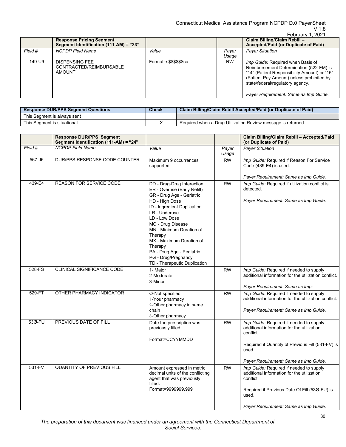## V 1.8

|         |                                                                           |                        |                | February 1, 2021                                                                                                                                                                                                                                       |
|---------|---------------------------------------------------------------------------|------------------------|----------------|--------------------------------------------------------------------------------------------------------------------------------------------------------------------------------------------------------------------------------------------------------|
|         | <b>Response Pricing Segment</b><br>Segment Identification (111-AM) = "23" |                        |                | Claim Billing/Claim Rebill -<br>Accepted/Paid (or Duplicate of Paid)                                                                                                                                                                                   |
| Field # | <b>NCPDP</b> Field Name                                                   | Value                  | Paver<br>Usage | <b>Payer Situation</b>                                                                                                                                                                                                                                 |
| 149-U9  | <b>DISPENSING FEE</b><br>CONTRACTED/REIMBURSABLE<br><b>AMOUNT</b>         | Format=s\$\$\$\$\$\$cc | <b>RW</b>      | Imp Guide: Required when Basis of<br>Reimbursement Determination (522-FM) is<br>"14" (Patient Responsibility Amount) or "15"<br>(Patient Pay Amount) unless prohibited by<br>state/federal/regulatory agency.<br>Payer Requirement: Same as Imp Guide. |

| <b>Response DUR/PPS Segment Questions</b> | <b>Check</b> | Claim Billing/Claim Rebill Accepted/Paid (or Duplicate of Paid) |  |
|-------------------------------------------|--------------|-----------------------------------------------------------------|--|
| This Seament is always sent               |              |                                                                 |  |
| This Seament is situational               |              | Required when a Drug Utilization Review message is returned     |  |

|          | <b>Response DUR/PPS Segment</b><br>Segment Identification (111-AM) = "24" |                                                                                                                                                                                                                                                                                                                                  |                | Claim Billing/Claim Rebill - Accepted/Paid<br>(or Duplicate of Paid)                                                                                                                                      |
|----------|---------------------------------------------------------------------------|----------------------------------------------------------------------------------------------------------------------------------------------------------------------------------------------------------------------------------------------------------------------------------------------------------------------------------|----------------|-----------------------------------------------------------------------------------------------------------------------------------------------------------------------------------------------------------|
| Field #  | <b>NCPDP</b> Field Name                                                   | Value                                                                                                                                                                                                                                                                                                                            | Payer<br>Usage | <b>Payer Situation</b>                                                                                                                                                                                    |
| 567-J6   | DUR/PPS RESPONSE CODE COUNTER                                             | Maximum 9 occurrences<br>supported.                                                                                                                                                                                                                                                                                              | <b>RW</b>      | Imp Guide: Required if Reason For Service<br>Code (439-E4) is used.                                                                                                                                       |
|          |                                                                           |                                                                                                                                                                                                                                                                                                                                  |                | Payer Requirement: Same as Imp Guide.                                                                                                                                                                     |
| 439-E4   | <b>REASON FOR SERVICE CODE</b>                                            | DD - Drug-Drug Interaction<br>ER - Overuse (Early Refill)<br>GR - Drug Age - Geriatric<br>HD - High Dose<br>ID - Ingredient Duplication<br>LR - Underuse<br>LD - Low Dose<br>MC - Drug Disease<br>MN - Minimum Duration of<br>Therapy<br>MX - Maximum Duration of<br>Therapy<br>PA - Drug Age - Pediatric<br>PG - Drug/Pregnancy | <b>RW</b>      | Imp Guide: Required if utilization conflict is<br>detected.<br>Payer Requirement: Same as Imp Guide.                                                                                                      |
| 528-FS   | CLINICAL SIGNIFICANCE CODE                                                | TD - Therapeutic Duplication<br>1- Major                                                                                                                                                                                                                                                                                         | <b>RW</b>      | Imp Guide: Required if needed to supply                                                                                                                                                                   |
|          |                                                                           | 2-Moderate<br>3-Minor                                                                                                                                                                                                                                                                                                            |                | additional information for the utilization conflict.                                                                                                                                                      |
|          |                                                                           |                                                                                                                                                                                                                                                                                                                                  |                | Payer Requirement: Same as Imp:                                                                                                                                                                           |
| 529-FT   | OTHER PHARMACY INDICATOR                                                  | Ø-Not specified<br>1-Your pharmacy<br>2-Other pharmacy in same<br>chain<br>3-Other pharmacy                                                                                                                                                                                                                                      | <b>RW</b>      | Imp Guide: Required if needed to supply<br>additional information for the utilization conflict.<br>Payer Requirement: Same as Imp Guide.                                                                  |
| 53Ø-FU   | PREVIOUS DATE OF FILL                                                     | Date the prescription was<br>previously filled<br>Format=CCYYMMDD                                                                                                                                                                                                                                                                | <b>RW</b>      | Imp Guide: Required if needed to supply<br>additional information for the utilization<br>conflict.<br>Required if Quantity of Previous Fill (531-FV) is<br>used.<br>Payer Requirement: Same as Imp Guide. |
| $531-FV$ | <b>QUANTITY OF PREVIOUS FILL</b>                                          | Amount expressed in metric<br>decimal units of the conflicting<br>agent that was previously<br>filled.<br>Format=9999999.999                                                                                                                                                                                                     | <b>RW</b>      | Imp Guide: Required if needed to supply<br>additional information for the utilization<br>conflict.<br>Required if Previous Date Of Fill (53Ø-FU) is<br>used.<br>Payer Requirement: Same as Imp Guide.     |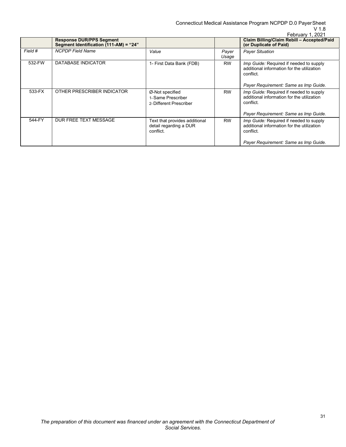Connecticut Medical Assistance Program NCPDP D.0 PayerSheet V 1.8

|         |                                                                           |                                                                      |                | February 1, 2021                                                                                                                                   |
|---------|---------------------------------------------------------------------------|----------------------------------------------------------------------|----------------|----------------------------------------------------------------------------------------------------------------------------------------------------|
|         | <b>Response DUR/PPS Segment</b><br>Segment Identification (111-AM) = "24" |                                                                      |                | Claim Billing/Claim Rebill - Accepted/Paid<br>(or Duplicate of Paid)                                                                               |
| Field # | <b>NCPDP</b> Field Name                                                   | Value                                                                | Payer<br>Usage | <b>Payer Situation</b>                                                                                                                             |
| 532-FW  | DATABASE INDICATOR                                                        | 1- First Data Bank (FDB)                                             | <b>RW</b>      | <i>Imp Guide:</i> Required if needed to supply<br>additional information for the utilization<br>conflict.<br>Payer Requirement: Same as Imp Guide. |
| 533-FX  | OTHER PRESCRIBER INDICATOR                                                | Ø-Not specified<br>1-Same Prescriber<br>2-Different Prescriber       | <b>RW</b>      | Imp Guide: Required if needed to supply<br>additional information for the utilization<br>conflict.<br>Payer Requirement: Same as Imp Guide.        |
| 544-FY  | DUR FREE TEXT MESSAGE                                                     | Text that provides additional<br>detail regarding a DUR<br>conflict. | <b>RW</b>      | Imp Guide: Required if needed to supply<br>additional information for the utilization<br>conflict.<br>Payer Requirement: Same as Imp Guide.        |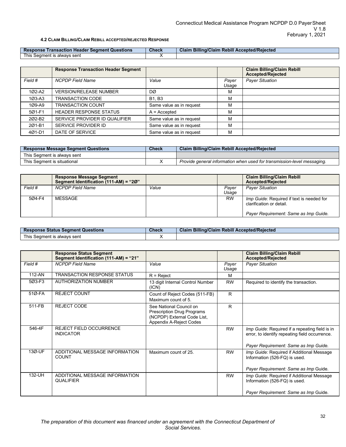### **4.2 CLAIM BILLING/CLAIM REBILL ACCEPTED/REJECTED RESPONSE**

<span id="page-31-0"></span>

| r Seament Questions<br><b>Transaction Header</b><br>Response | <b>Check</b> | <b>Billing/Claim Rebill Accepted/Reiected</b><br>Claim |
|--------------------------------------------------------------|--------------|--------------------------------------------------------|
| <b>This</b><br>alwavs sent<br>Seament is                     |              |                                                        |

|            | <b>Response Transaction Header Segment</b> |                          |                | <b>Claim Billing/Claim Rebill</b><br><b>Accepted/Rejected</b> |
|------------|--------------------------------------------|--------------------------|----------------|---------------------------------------------------------------|
| Field #    | <b>NCPDP Field Name</b>                    | Value                    | Payer<br>Usage | <b>Payer Situation</b>                                        |
| 1Ø2-A2     | <b>VERSION/RELEASE NUMBER</b>              | DØ                       | м              |                                                               |
| $103 - A3$ | TRANSACTION CODE                           | <b>B1.B3</b>             | М              |                                                               |
| 1Ø9-A9     | <b>TRANSACTION COUNT</b>                   | Same value as in request | М              |                                                               |
| 5Ø1-F1     | <b>HEADER RESPONSE STATUS</b>              | $A =$ Accepted           | м              |                                                               |
| 202-B2     | SERVICE PROVIDER ID QUALIFIER              | Same value as in request | м              |                                                               |
| 201-B1     | SERVICE PROVIDER ID                        | Same value as in request | м              |                                                               |
| 4Ø1-D1     | DATE OF SERVICE                            | Same value as in request | м              |                                                               |

| <b>Response Message Segment Questions</b> | Check | <b>Claim Billing/Claim Rebill Accepted/Rejected</b>                     |
|-------------------------------------------|-------|-------------------------------------------------------------------------|
| This Segment is always sent               |       |                                                                         |
| This Segment is situational               |       | Provide general information when used for transmission-level messaging. |

|         | <b>Response Message Segment</b><br>Segment Identification (111-AM) = "20" |       |                | <b>Claim Billing/Claim Rebill</b><br><b>Accepted/Rejected</b>                                                         |
|---------|---------------------------------------------------------------------------|-------|----------------|-----------------------------------------------------------------------------------------------------------------------|
| Field # | <b>NCPDP Field Name</b>                                                   | Value | Paver<br>Usage | <b>Payer Situation</b>                                                                                                |
| 5Ø4-F4  | MESSAGE                                                                   |       | <b>RW</b>      | <i>Imp Guide:</i> Required if text is needed for<br>clarification or detail.<br>Payer Requirement: Same as Imp Guide. |

| <b>Response Status Segment Questions</b> | <b>Check</b> | Billing/Claim Rebill Accepted/Rejected<br>Claim |
|------------------------------------------|--------------|-------------------------------------------------|
| This 、<br>Seament is always sent         |              |                                                 |

|         | <b>Response Status Segment</b><br>Segment Identification (111-AM) = "21" |                                                                                                                 |                | <b>Claim Billing/Claim Rebill</b><br><b>Accepted/Rejected</b>                                                                             |
|---------|--------------------------------------------------------------------------|-----------------------------------------------------------------------------------------------------------------|----------------|-------------------------------------------------------------------------------------------------------------------------------------------|
| Field # | <b>NCPDP Field Name</b>                                                  | Value                                                                                                           | Payer<br>Usage | <b>Payer Situation</b>                                                                                                                    |
| 112-AN  | <b>TRANSACTION RESPONSE STATUS</b>                                       | $R =$ Reject                                                                                                    | м              |                                                                                                                                           |
| 5Ø3-F3  | <b>AUTHORIZATION NUMBER</b>                                              | 13 digit Internal Control Number<br>(ICN)                                                                       | <b>RW</b>      | Required to identify the transaction.                                                                                                     |
| 51Ø-FA  | <b>REJECT COUNT</b>                                                      | Count of Reject Codes (511-FB)<br>Maximum count of 5.                                                           | R              |                                                                                                                                           |
| 511-FB  | <b>REJECT CODE</b>                                                       | See National Council on<br>Prescription Drug Programs<br>(NCPDP) External Code List,<br>Appendix A-Reject Codes | R              |                                                                                                                                           |
| 546-4F  | <b>REJECT FIELD OCCURRENCE</b><br><b>INDICATOR</b>                       |                                                                                                                 | <b>RW</b>      | Imp Guide: Required if a repeating field is in<br>error, to identify repeating field occurrence.<br>Payer Requirement: Same as Imp Guide. |
| 13Ø-UF  | ADDITIONAL MESSAGE INFORMATION<br><b>COUNT</b>                           | Maximum count of 25.                                                                                            | <b>RW</b>      | Imp Guide: Required if Additional Message<br>Information (526-FQ) is used.<br>Payer Requirement: Same as Imp Guide.                       |
| 132-UH  | ADDITIONAL MESSAGE INFORMATION<br><b>QUALIFIER</b>                       |                                                                                                                 | <b>RW</b>      | Imp Guide: Required if Additional Message<br>Information (526-FQ) is used.<br>Payer Requirement: Same as Imp Guide.                       |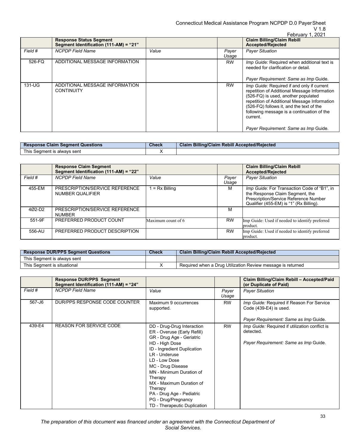## V 1.8

|         |                                                                          |       |                | February 1, 2021                                                                                                                                                                                                                                                                        |
|---------|--------------------------------------------------------------------------|-------|----------------|-----------------------------------------------------------------------------------------------------------------------------------------------------------------------------------------------------------------------------------------------------------------------------------------|
|         | <b>Response Status Segment</b><br>Segment Identification (111-AM) = "21" |       |                | <b>Claim Billing/Claim Rebill</b><br><b>Accepted/Rejected</b>                                                                                                                                                                                                                           |
| Field # | <b>NCPDP</b> Field Name                                                  | Value | Payer<br>Usage | <b>Payer Situation</b>                                                                                                                                                                                                                                                                  |
| 526-FQ  | ADDITIONAL MESSAGE INFORMATION                                           |       | <b>RW</b>      | Imp Guide: Required when additional text is<br>needed for clarification or detail.                                                                                                                                                                                                      |
|         |                                                                          |       |                | Payer Requirement: Same as Imp Guide.                                                                                                                                                                                                                                                   |
| 131-UG  | ADDITIONAL MESSAGE INFORMATION<br><b>CONTINUITY</b>                      |       | <b>RW</b>      | Imp Guide: Required if and only if current<br>repetition of Additional Message Information<br>(526-FQ) is used, another populated<br>repetition of Additional Message Information<br>(526-FQ) follows it, and the text of the<br>following message is a continuation of the<br>current. |
|         |                                                                          |       |                | Payer Requirement: Same as Imp Guide.                                                                                                                                                                                                                                                   |

| Response Claim Segment Questions | <b>Check</b> | <b>Claim Billing/Claim Rebill Accepted/Rejected</b> |
|----------------------------------|--------------|-----------------------------------------------------|
| This Segment is always sent      |              |                                                     |

|                    | <b>Response Claim Segment</b><br>Segment Identification (111-AM) = "22" |                    |                | <b>Claim Billing/Claim Rebill</b><br><b>Accepted/Rejected</b>                                                                                                      |
|--------------------|-------------------------------------------------------------------------|--------------------|----------------|--------------------------------------------------------------------------------------------------------------------------------------------------------------------|
| Field #            | <b>NCPDP</b> Field Name                                                 | Value              | Payer<br>Usage | <b>Payer Situation</b>                                                                                                                                             |
| 455-EM             | PRESCRIPTION/SERVICE REFERENCE<br>NUMBER QUALIFIER                      | $= Rx$ Billing     | м              | Imp Guide: For Transaction Code of "B1", in<br>the Response Claim Segment, the<br>Prescription/Service Reference Number<br>Qualifier (455-EM) is "1" (Rx Billing). |
| 402-D <sub>2</sub> | PRESCRIPTION/SERVICE REFERENCE<br><b>NUMBER</b>                         |                    | м              |                                                                                                                                                                    |
| 551-9F             | PREFERRED PRODUCT COUNT                                                 | Maximum count of 6 | <b>RW</b>      | Imp Guide: Used if needed to identify preferred<br>product.                                                                                                        |
| 556-AU             | PREFERRED PRODUCT DESCRIPTION                                           |                    | <b>RW</b>      | Imp Guide: Used if needed to identify preferred<br>product.                                                                                                        |

| <b>Response DUR/PPS Segment Questions</b> | <b>Check</b> | <b>Claim Billing/Claim Rebill Accepted/Rejected</b>         |
|-------------------------------------------|--------------|-------------------------------------------------------------|
| This Seament is alwavs sent               |              |                                                             |
| This Seament is situational               |              | Required when a Drug Utilization Review message is returned |

|         | <b>Response DUR/PPS Segment</b>        |                                                                                                                                                                                                                                                                                                                                                                  |                | Claim Billing/Claim Rebill - Accepted/Paid                                                           |
|---------|----------------------------------------|------------------------------------------------------------------------------------------------------------------------------------------------------------------------------------------------------------------------------------------------------------------------------------------------------------------------------------------------------------------|----------------|------------------------------------------------------------------------------------------------------|
|         | Segment Identification (111-AM) = "24" |                                                                                                                                                                                                                                                                                                                                                                  |                | (or Duplicate of Paid)                                                                               |
| Field # | <b>NCPDP Field Name</b>                | Value                                                                                                                                                                                                                                                                                                                                                            | Payer<br>Usage | <b>Payer Situation</b>                                                                               |
| 567-J6  | DUR/PPS RESPONSE CODE COUNTER          | Maximum 9 occurrences<br>supported.                                                                                                                                                                                                                                                                                                                              | <b>RW</b>      | Imp Guide: Required if Reason For Service<br>Code (439-E4) is used.                                  |
|         |                                        |                                                                                                                                                                                                                                                                                                                                                                  |                | Payer Requirement: Same as Imp Guide.                                                                |
| 439-E4  | <b>REASON FOR SERVICE CODE</b>         | DD - Drug-Drug Interaction<br>ER - Overuse (Early Refill)<br>GR - Drug Age - Geriatric<br>HD - High Dose<br>ID - Ingredient Duplication<br>LR - Underuse<br>LD - Low Dose<br>MC - Drug Disease<br>MN - Minimum Duration of<br>Therapy<br>MX - Maximum Duration of<br>Therapy<br>PA - Drug Age - Pediatric<br>PG - Drug/Pregnancy<br>TD - Therapeutic Duplication | <b>RW</b>      | Imp Guide: Required if utilization conflict is<br>detected.<br>Payer Requirement: Same as Imp Guide. |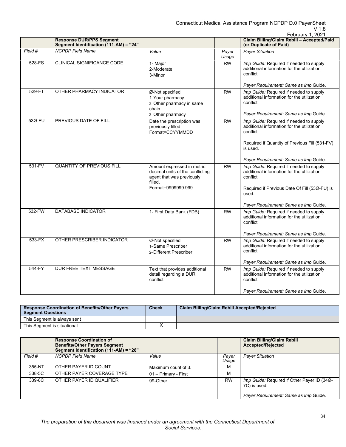|         |                                                                           |                                                                                                                              |                | February 1, 2021                                                                                                                                                |
|---------|---------------------------------------------------------------------------|------------------------------------------------------------------------------------------------------------------------------|----------------|-----------------------------------------------------------------------------------------------------------------------------------------------------------------|
|         | <b>Response DUR/PPS Segment</b><br>Segment Identification (111-AM) = "24" |                                                                                                                              |                | Claim Billing/Claim Rebill - Accepted/Paid<br>(or Duplicate of Paid)                                                                                            |
| Field # | <b>NCPDP</b> Field Name                                                   | Value                                                                                                                        | Payer<br>Usage | <b>Payer Situation</b>                                                                                                                                          |
| 528-FS  | CLINICAL SIGNIFICANCE CODE                                                | 1- Major<br>2-Moderate<br>3-Minor                                                                                            | <b>RW</b>      | Imp Guide: Required if needed to supply<br>additional information for the utilization<br>conflict                                                               |
|         |                                                                           |                                                                                                                              |                | Payer Requirement: Same as Imp Guide.                                                                                                                           |
| 529-FT  | OTHER PHARMACY INDICATOR                                                  | Ø-Not specified<br>1-Your pharmacy<br>2-Other pharmacy in same<br>chain<br>3-Other pharmacy                                  | <b>RW</b>      | Imp Guide: Required if needed to supply<br>additional information for the utilization<br>conflict<br>Payer Requirement: Same as Imp Guide.                      |
| 53Ø-FU  | PREVIOUS DATE OF FILL                                                     | Date the prescription was<br>previously filled<br>Format=CCYYMMDD                                                            | <b>RW</b>      | Imp Guide: Required if needed to supply<br>additional information for the utilization<br>conflict.<br>Required if Quantity of Previous Fill (531-FV)<br>is used |
|         |                                                                           |                                                                                                                              |                | Payer Requirement: Same as Imp Guide.                                                                                                                           |
| 531-FV  | <b>QUANTITY OF PREVIOUS FILL</b>                                          | Amount expressed in metric<br>decimal units of the conflicting<br>agent that was previously<br>filled.<br>Format=9999999.999 | <b>RW</b>      | Imp Guide: Required if needed to supply<br>additional information for the utilization<br>conflict.<br>Required if Previous Date Of Fill (53Ø-FU) is<br>used.    |
|         |                                                                           |                                                                                                                              |                | Payer Requirement: Same as Imp Guide.                                                                                                                           |
| 532-FW  | <b>DATABASE INDICATOR</b>                                                 | 1- First Data Bank (FDB)                                                                                                     | <b>RW</b>      | Imp Guide: Required if needed to supply<br>additional information for the utilization<br>conflict.                                                              |
|         |                                                                           |                                                                                                                              |                | Payer Requirement: Same as Imp Guide.                                                                                                                           |
| 533-FX  | OTHER PRESCRIBER INDICATOR                                                | Ø-Not specified<br>1-Same Prescriber<br>2-Different Prescriber                                                               | <b>RW</b>      | Imp Guide: Required if needed to supply<br>additional information for the utilization<br>conflict.<br>Payer Requirement: Same as Imp Guide.                     |
| 544-FY  | <b>DUR FREE TEXT MESSAGE</b>                                              | Text that provides additional                                                                                                | <b>RW</b>      | Imp Guide: Required if needed to supply                                                                                                                         |
|         |                                                                           | detail regarding a DUR<br>conflict.                                                                                          |                | additional information for the utilization<br>conflict.                                                                                                         |
|         |                                                                           |                                                                                                                              |                | Payer Requirement: Same as Imp Guide.                                                                                                                           |

| <b>Response Coordination of Benefits/Other Payers</b><br><b>Segment Questions</b> | <b>Check</b> | <b>Claim Billing/Claim Rebill Accepted/Rejected</b> |
|-----------------------------------------------------------------------------------|--------------|-----------------------------------------------------|
| This Segment is always sent                                                       |              |                                                     |
| This Segment is situational                                                       |              |                                                     |

|         | <b>Response Coordination of</b><br><b>Benefits/Other Payers Segment</b><br>Segment Identification (111-AM) = "28" |                      |                | <b>Claim Billing/Claim Rebill</b><br><b>Accepted/Rejected</b> |
|---------|-------------------------------------------------------------------------------------------------------------------|----------------------|----------------|---------------------------------------------------------------|
| Field # | <b>NCPDP Field Name</b>                                                                                           | Value                | Paver<br>Usage | <b>Payer Situation</b>                                        |
| 355-NT  | OTHER PAYER ID COUNT                                                                                              | Maximum count of 3.  | М              |                                                               |
| 338-5C  | OTHER PAYER COVERAGE TYPE                                                                                         | 01 - Primary - First | М              |                                                               |
| 339-6C  | OTHER PAYER ID QUALIFIER                                                                                          | 99-Other             | <b>RW</b>      | Imp Guide: Required if Other Payer ID (34Ø-<br>7C) is used.   |
|         |                                                                                                                   |                      |                | Payer Requirement: Same as Imp Guide.                         |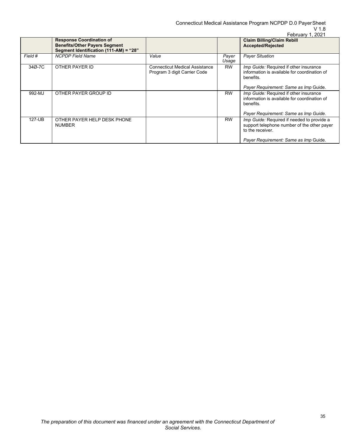|         |                                                                                                                   |                                                                       |                | February 1, 2021                                                                                                                                       |
|---------|-------------------------------------------------------------------------------------------------------------------|-----------------------------------------------------------------------|----------------|--------------------------------------------------------------------------------------------------------------------------------------------------------|
|         | <b>Response Coordination of</b><br><b>Benefits/Other Payers Segment</b><br>Segment Identification (111-AM) = "28" |                                                                       |                | <b>Claim Billing/Claim Rebill</b><br>Accepted/Rejected                                                                                                 |
| Field # | <b>NCPDP Field Name</b>                                                                                           | Value                                                                 | Payer<br>Usage | <b>Payer Situation</b>                                                                                                                                 |
| 34Ø-7C  | OTHER PAYER ID                                                                                                    | <b>Connecticut Medical Assistance</b><br>Program 3 digit Carrier Code | <b>RW</b>      | Imp Guide: Required if other insurance<br>information is available for coordination of<br>benefits.<br>Payer Requirement: Same as Imp Guide.           |
| 992-MJ  | OTHER PAYER GROUP ID                                                                                              |                                                                       | <b>RW</b>      | Imp Guide: Required if other insurance<br>information is available for coordination of<br>benefits.<br>Payer Requirement: Same as Imp Guide.           |
| 127-UB  | OTHER PAYER HELP DESK PHONE<br><b>NUMBER</b>                                                                      |                                                                       | <b>RW</b>      | Imp Guide: Required if needed to provide a<br>support telephone number of the other payer<br>to the receiver.<br>Payer Requirement: Same as Imp Guide. |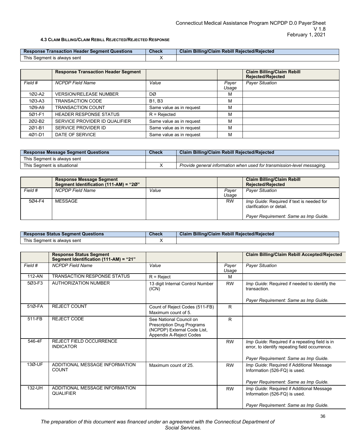### **4.3 CLAIM BILLING/CLAIM REBILL REJECTED/REJECTED RESPONSE**

<span id="page-35-0"></span>

| Res<br>' Seament Questions<br><b>ransaction</b><br>onse<br><b>Header</b> | <b>Check</b> | Rebill Reiected/Reiected<br><b>Claim Billing</b><br>$\eta$ /Claim |
|--------------------------------------------------------------------------|--------------|-------------------------------------------------------------------|
| l his<br>; Seament is alwavs sent                                        |              |                                                                   |

|            | <b>Response Transaction Header Segment</b> |                          |                | <b>Claim Billing/Claim Rebill</b><br><b>Rejected/Rejected</b> |
|------------|--------------------------------------------|--------------------------|----------------|---------------------------------------------------------------|
| Field #    | <b>NCPDP</b> Field Name                    | Value                    | Payer<br>Usage | <b>Payer Situation</b>                                        |
| 1Ø2-A2     | <b>VERSION/RELEASE NUMBER</b>              | DØ                       | м              |                                                               |
| $103 - A3$ | <b>TRANSACTION CODE</b>                    | <b>B1.</b> B3            | м              |                                                               |
| 1Ø9-A9     | <b>TRANSACTION COUNT</b>                   | Same value as in request | м              |                                                               |
| 501-F1     | <b>HEADER RESPONSE STATUS</b>              | $R =$ Rejected           | м              |                                                               |
| 202-B2     | SERVICE PROVIDER ID QUALIFIER              | Same value as in request | м              |                                                               |
| 201-B1     | SERVICE PROVIDER ID                        | Same value as in request | м              |                                                               |
| 4Ø1-D1     | DATE OF SERVICE                            | Same value as in request | м              |                                                               |

| <b>Response Message Segment Questions</b> | Check | <b>Claim Billing/Claim Rebill Rejected/Rejected</b>                     |  |
|-------------------------------------------|-------|-------------------------------------------------------------------------|--|
| This Seament is alwavs sent               |       |                                                                         |  |
| This Seament is situational               |       | Provide general information when used for transmission-level messaging. |  |

|         | <b>Response Message Segment</b><br>Segment Identification (111-AM) = "20" |       |                | <b>Claim Billing/Claim Rebill</b><br><b>Rejected/Rejected</b>         |
|---------|---------------------------------------------------------------------------|-------|----------------|-----------------------------------------------------------------------|
| Field # | <b>NCPDP Field Name</b>                                                   | Value | Paver<br>Usage | <b>Payer Situation</b>                                                |
| 5Ø4-F4  | MESSAGE                                                                   |       | <b>RW</b>      | Imp Guide: Required if text is needed for<br>clarification or detail. |
|         |                                                                           |       |                | Payer Requirement: Same as Imp Guide.                                 |

| <b>Response Status Segment Questions</b> | Check | <b>Claim Billing/Claim Rebill Rejected/Rejected</b> |
|------------------------------------------|-------|-----------------------------------------------------|
| This Seament is always sent              |       |                                                     |

|            | <b>Response Status Segment</b><br>Segment Identification (111-AM) = "21" |                                                                                                                        |                | <b>Claim Billing/Claim Rebill Accepted/Rejected</b>                                                                                       |
|------------|--------------------------------------------------------------------------|------------------------------------------------------------------------------------------------------------------------|----------------|-------------------------------------------------------------------------------------------------------------------------------------------|
| Field #    | <b>NCPDP</b> Field Name                                                  | Value                                                                                                                  | Payer<br>Usage | <b>Payer Situation</b>                                                                                                                    |
| $112 - AN$ | <b>TRANSACTION RESPONSE STATUS</b>                                       | $R =$ Reject                                                                                                           | M              |                                                                                                                                           |
| 5Ø3-F3     | <b>AUTHORIZATION NUMBER</b>                                              | 13 digit Internal Control Number<br>(ICN)                                                                              | <b>RW</b>      | Imp Guide: Required if needed to identify the<br>transaction.                                                                             |
|            |                                                                          |                                                                                                                        |                | Payer Requirement: Same as Imp Guide.                                                                                                     |
| 51Ø-FA     | <b>REJECT COUNT</b>                                                      | Count of Reject Codes (511-FB)<br>Maximum count of 5.                                                                  | R              |                                                                                                                                           |
| 511-FB     | <b>REJECT CODE</b>                                                       | See National Council on<br><b>Prescription Drug Programs</b><br>(NCPDP) External Code List,<br>Appendix A-Reject Codes | R              |                                                                                                                                           |
| 546-4F     | <b>REJECT FIELD OCCURRENCE</b><br><b>INDICATOR</b>                       |                                                                                                                        | <b>RW</b>      | Imp Guide: Required if a repeating field is in<br>error, to identify repeating field occurrence.<br>Payer Requirement: Same as Imp Guide. |
| 13Ø-UF     | ADDITIONAL MESSAGE INFORMATION<br><b>COUNT</b>                           | Maximum count of 25.                                                                                                   | <b>RW</b>      | Imp Guide: Required if Additional Message<br>Information (526-FQ) is used.<br>Payer Requirement: Same as Imp Guide.                       |
| 132-UH     | ADDITIONAL MESSAGE INFORMATION<br><b>QUALIFIER</b>                       |                                                                                                                        | <b>RW</b>      | Imp Guide: Required if Additional Message<br>Information (526-FQ) is used.<br>Payer Requirement: Same as Imp Guide.                       |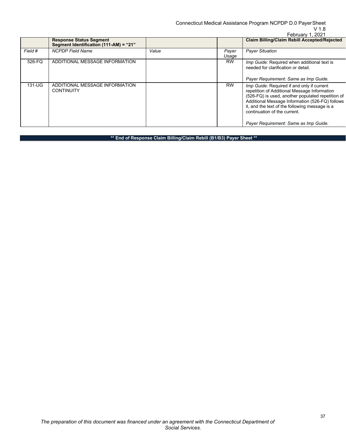Connecticut Medical Assistance Program NCPDP D.0 PayerSheet

## V 1.8

|          |                                                                          |       |                | February 1, 2021                                                                                                                                                                                                                                                                                                              |
|----------|--------------------------------------------------------------------------|-------|----------------|-------------------------------------------------------------------------------------------------------------------------------------------------------------------------------------------------------------------------------------------------------------------------------------------------------------------------------|
|          | <b>Response Status Segment</b><br>Segment Identification (111-AM) = "21" |       |                | <b>Claim Billing/Claim Rebill Accepted/Rejected</b>                                                                                                                                                                                                                                                                           |
| Field #  | <b>NCPDP Field Name</b>                                                  | Value | Payer<br>Usage | <b>Payer Situation</b>                                                                                                                                                                                                                                                                                                        |
| 526-FQ   | ADDITIONAL MESSAGE INFORMATION                                           |       | <b>RW</b>      | Imp Guide: Required when additional text is<br>needed for clarification or detail.<br>Payer Requirement: Same as Imp Guide.                                                                                                                                                                                                   |
| $131-UG$ | ADDITIONAL MESSAGE INFORMATION<br><b>CONTINUITY</b>                      |       | <b>RW</b>      | Imp Guide: Required if and only if current<br>repetition of Additional Message Information<br>(526-FQ) is used, another populated repetition of<br>Additional Message Information (526-FQ) follows<br>it, and the text of the following message is a<br>continuation of the current.<br>Payer Requirement: Same as Imp Guide. |

**\*\* End of Response Claim Billing/Claim Rebill (B1/B3) Payer Sheet \*\***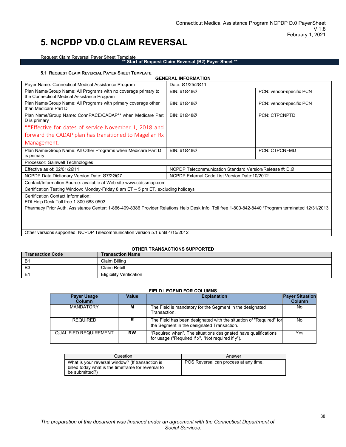## <span id="page-37-0"></span>**5. NCPDP VD.0 CLAIM REVERSAL**

Request Claim Reversal Payer Sheet Template

**\*\* Start of Request Claim Reversal (B2) Payer Sheet \*\***

#### **5.1 REQUEST CLAIM REVERSAL PAYER SHEET TEMPLATE**

<span id="page-37-1"></span>

|                                                                                                                                                   | <b>GENERAL INFORMATION</b>                              |                          |  |
|---------------------------------------------------------------------------------------------------------------------------------------------------|---------------------------------------------------------|--------------------------|--|
| Payer Name: Connecticut Medical Assistance Program                                                                                                | Date: Ø1/25/2Ø11                                        |                          |  |
| Plan Name/Group Name: All Programs with no coverage primary to<br>the Connecticut Medical Assistance Program                                      | BIN: 610480                                             | PCN: vendor-specific PCN |  |
| Plan Name/Group Name: All Programs with primary coverage other<br>than Medicare Part D                                                            | BIN: 610480                                             | PCN: vendor-specific PCN |  |
| Plan Name/Group Name: ConnPACE/CADAP** when Medicare Part<br>D is primary                                                                         | BIN: 610480                                             | <b>PCN: CTPCNPTD</b>     |  |
| **Effective for dates of service November 1, 2018 and                                                                                             |                                                         |                          |  |
| forward the CADAP plan has transitioned to Magellan Rx                                                                                            |                                                         |                          |  |
| Management.                                                                                                                                       |                                                         |                          |  |
| Plan Name/Group Name: All Other Programs when Medicare Part D<br>is primary                                                                       | BIN: 610480                                             | <b>PCN: CTPCNFMD</b>     |  |
| Processor: Gainwell Technologies                                                                                                                  |                                                         |                          |  |
| Effective as of: 02/01/2011                                                                                                                       | NCPDP Telecommunication Standard Version/Release #: D.Ø |                          |  |
| NCPDP Data Dictionary Version Date: 07/2007                                                                                                       | NCPDP External Code List Version Date: 10/2012          |                          |  |
| Contact/Information Source: available at Web site www.ctdssmap.com                                                                                |                                                         |                          |  |
| Certification Testing Window: Monday-Friday 8 am $ET - 5$ pm $ET$ , excluding holidays                                                            |                                                         |                          |  |
| Certification Contact Information:<br>EDI Help Desk Toll free 1-800-688-0503                                                                      |                                                         |                          |  |
| Pharmacy Prior Auth. Assistance Center: 1-866-409-8386 Provider Relations Help Desk Info: Toll free 1-800-842-8440 *Program terminated 12/31/2013 |                                                         |                          |  |
|                                                                                                                                                   |                                                         |                          |  |
| Other versions supported: NCPDP Telecommunication version 5.1 until 4/15/2012                                                                     |                                                         |                          |  |

### **OTHER TRANSACTIONS SUPPORTED**

| <b>Transaction Code</b> | <b>Transaction Name</b>         |
|-------------------------|---------------------------------|
| <b>B</b> 1              | Claim Billing                   |
| B <sub>3</sub>          | Claim Rebill                    |
| E <sub>1</sub>          | <b>Eligibility Verification</b> |

#### **FIELD LEGEND FOR COLUMNS**

| <b>Payer Usage</b><br><b>Column</b> | Value     | <b>Payer Situation</b><br><b>Explanation</b><br>Column                                                                    |     |
|-------------------------------------|-----------|---------------------------------------------------------------------------------------------------------------------------|-----|
| <b>MANDATORY</b>                    | м         | The Field is mandatory for the Segment in the designated<br>Transaction.                                                  | No  |
| <b>REQUIRED</b>                     | R         | The Field has been designated with the situation of "Required" for<br>the Segment in the designated Transaction.          | No  |
| <b>QUALIFIED REQUIREMENT</b>        | <b>RW</b> | "Required when". The situations designated have qualifications<br>for usage ("Required if $x$ ", "Not required if $y$ "). | Yes |

| Question                                                                                                                 | Answer                                |
|--------------------------------------------------------------------------------------------------------------------------|---------------------------------------|
| What is your reversal window? (If transaction is<br>billed today what is the timeframe for reversal to<br>be submitted?) | POS Reversal can process at any time. |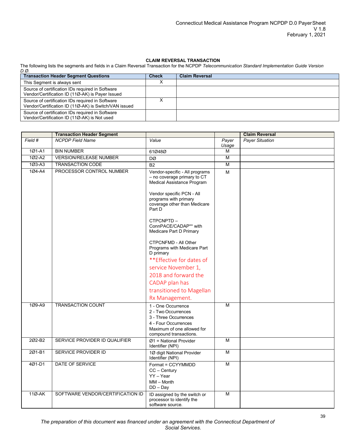### **CLAIM REVERSAL TRANSACTION**

The following lists the segments and fields in a Claim Reversal Transaction for the NCPDP *Telecommunication Standard Implementation Guide Version D.Ø*.

| <b>Transaction Header Segment Questions</b>                                                               | <b>Check</b> | <b>Claim Reversal</b> |
|-----------------------------------------------------------------------------------------------------------|--------------|-----------------------|
| This Segment is always sent                                                                               |              |                       |
| Source of certification IDs required in Software<br>Vendor/Certification ID (11Ø-AK) is Payer Issued      |              |                       |
| Source of certification IDs required in Software<br>Vendor/Certification ID (11Ø-AK) is Switch/VAN issued |              |                       |
| Source of certification IDs required in Software<br>Vendor/Certification ID (11Ø-AK) is Not used          |              |                       |

|            | <b>Transaction Header Segment</b> |                                                                                                                                                                                                                                                                                                                                                                                                                                                                                     |                         | <b>Claim Reversal</b>  |
|------------|-----------------------------------|-------------------------------------------------------------------------------------------------------------------------------------------------------------------------------------------------------------------------------------------------------------------------------------------------------------------------------------------------------------------------------------------------------------------------------------------------------------------------------------|-------------------------|------------------------|
| Field #    | <b>NCPDP</b> Field Name           | Value                                                                                                                                                                                                                                                                                                                                                                                                                                                                               | Payer<br>Usage          | <b>Payer Situation</b> |
| 101-A1     | <b>BIN NUMBER</b>                 | 61Ø48Ø                                                                                                                                                                                                                                                                                                                                                                                                                                                                              | М                       |                        |
| 1Ø2-A2     | <b>VERSION/RELEASE NUMBER</b>     | DØ                                                                                                                                                                                                                                                                                                                                                                                                                                                                                  | M                       |                        |
| $103 - A3$ | TRANSACTION CODE                  | <b>B2</b>                                                                                                                                                                                                                                                                                                                                                                                                                                                                           | $\overline{\mathsf{M}}$ |                        |
| 1Ø4-A4     | PROCESSOR CONTROL NUMBER          | Vendor-specific - All programs<br>- no coverage primary to CT<br>Medical Assistance Program<br>Vendor specific PCN - All<br>programs with primary<br>coverage other than Medicare<br>Part D<br>CTPCNPTD-<br>ConnPACE/CADAP** with<br>Medicare Part D Primary<br><b>CTPCNFMD - All Other</b><br>Programs with Medicare Part<br>D primary<br>** Effective for dates of<br>service November 1,<br>2018 and forward the<br>CADAP plan has<br>transitioned to Magellan<br>Rx Management. | M                       |                        |
| 109-A9     | <b>TRANSACTION COUNT</b>          | 1 - One Occurrence<br>2 - Two Occurrences<br>3 - Three Occurrences<br>4 - Four Occurrences<br>Maximum of one allowed for<br>compound transactions.                                                                                                                                                                                                                                                                                                                                  | М                       |                        |
| 202-B2     | SERVICE PROVIDER ID QUALIFIER     | $Ø1$ = National Provider<br>Identifier (NPI)                                                                                                                                                                                                                                                                                                                                                                                                                                        | M                       |                        |
| 2Ø1-B1     | <b>SERVICE PROVIDER ID</b>        | 1Ø digit National Provider<br>Identifier (NPI)                                                                                                                                                                                                                                                                                                                                                                                                                                      | $\overline{\mathsf{M}}$ |                        |
| 4Ø1-D1     | DATE OF SERVICE                   | Format = CCYYMMDD<br>$CC - Century$<br>$YY - Year$<br>$MM - Month$<br>$DD - Day$                                                                                                                                                                                                                                                                                                                                                                                                    | M                       |                        |
| 11Ø-AK     | SOFTWARE VENDOR/CERTIFICATION ID  | ID assigned by the switch or<br>processor to identify the<br>software source.                                                                                                                                                                                                                                                                                                                                                                                                       | M                       |                        |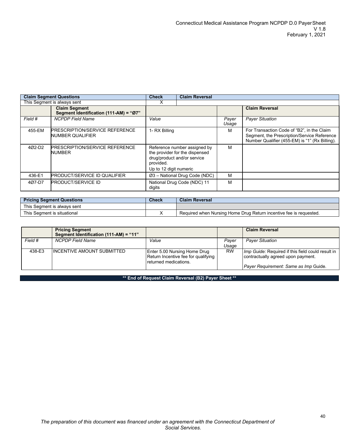| <b>Claim Segment Questions</b> |                                                                | <b>Check</b>                                                                                                                         | <b>Claim Reversal</b>       |                |                                                                                                                                             |
|--------------------------------|----------------------------------------------------------------|--------------------------------------------------------------------------------------------------------------------------------------|-----------------------------|----------------|---------------------------------------------------------------------------------------------------------------------------------------------|
| This Segment is always sent    |                                                                | ⋏                                                                                                                                    |                             |                |                                                                                                                                             |
|                                | <b>Claim Seament</b><br>Segment Identification (111-AM) = "Ø7" |                                                                                                                                      |                             |                | <b>Claim Reversal</b>                                                                                                                       |
| Field #                        | <b>NCPDP Field Name</b>                                        | Value                                                                                                                                |                             | Payer<br>Usage | <b>Payer Situation</b>                                                                                                                      |
| 455-EM                         | <b>PRESCRIPTION/SERVICE REFERENCE</b><br>NUMBER QUALIFIER      | 1- RX Billing                                                                                                                        |                             | м              | For Transaction Code of "B2", in the Claim<br>Segment, the Prescription/Service Reference<br>Number Qualifier (455-EM) is "1" (Rx Billing). |
| 402-D <sub>2</sub>             | <b>PRESCRIPTION/SERVICE REFERENCE</b><br>NUMBER                | Reference number assigned by<br>the provider for the dispensed<br>drug/product and/or service<br>provided.<br>Up to 12 digit numeric |                             | м              |                                                                                                                                             |
| 436-E1                         | <b>PRODUCT/SERVICE ID QUALIFIER</b>                            | $Ø3$ – National Drug Code (NDC)                                                                                                      |                             | м              |                                                                                                                                             |
| 407-D7                         | <b>PRODUCT/SERVICE ID</b>                                      | digits                                                                                                                               | National Drug Code (NDC) 11 | М              |                                                                                                                                             |

| <b>Pricing Segment Questions</b> | Check | <b>Claim Reversal</b>                                              |
|----------------------------------|-------|--------------------------------------------------------------------|
| This Seament is always sent      |       |                                                                    |
| This Seament is situational      |       | Required when Nursing Home Drug Return incentive fee is requested. |

|         | <b>Pricing Segment</b><br>Segment Identification (111-AM) = "11" |                                                                                              |                | <b>Claim Reversal</b>                                                                   |
|---------|------------------------------------------------------------------|----------------------------------------------------------------------------------------------|----------------|-----------------------------------------------------------------------------------------|
| Field # | <b>NCPDP Field Name</b>                                          | Value                                                                                        | Paver<br>Usage | <b>Payer Situation</b>                                                                  |
| 438-E3  | IINCENTIVE AMOUNT SUBMITTED                                      | Enter 5.00 Nursing Home Drug<br>Return Incentive fee for qualifying<br>returned medications. | <b>RW</b>      | Imp Guide: Required if this field could result in<br>contractually agreed upon payment. |
|         |                                                                  |                                                                                              |                | Payer Requirement: Same as Imp Guide.                                                   |

**\*\* End of Request Claim Reversal (B2) Payer Sheet \*\***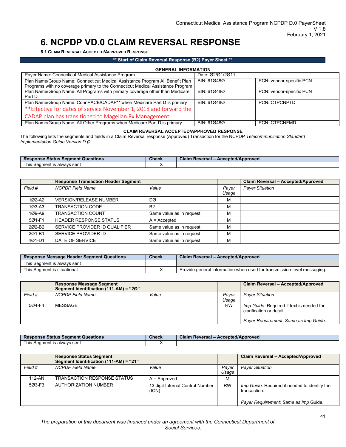## <span id="page-40-0"></span>**6. NCPDP VD.0 CLAIM REVERSAL RESPONSE**

<span id="page-40-1"></span>**6.1 CLAIM REVERSAL ACCEPTED/APPROVED RESPONSE**

### **\*\* Start of Claim Reversal Response (B2) Payer Sheet \*\***

| <b>GENERAL INFORMATION</b>                                                                                                                                       |                  |                          |  |  |
|------------------------------------------------------------------------------------------------------------------------------------------------------------------|------------------|--------------------------|--|--|
| Payer Name: Connecticut Medical Assistance Program                                                                                                               | Date: 02/01/2011 |                          |  |  |
| Plan Name/Group Name: Connecticut Medical Assistance Program All Benefit Plan<br>Programs with no coverage primary to the Connecticut Medical Assistance Program | BIN: 61Ø48Ø      | PCN: vendor-specific PCN |  |  |
| Plan Name/Group Name: All Programs with primary coverage other than Medicare<br>Part D                                                                           | BIN: 610480      | PCN: vendor-specific PCN |  |  |
| Plan Name/Group Name: ConnPACE/CADAP** when Medicare Part D is primary                                                                                           | BIN: 610480      | PCN: CTPCNPTD            |  |  |
| ** Effective for dates of service November 1, 2018 and forward the                                                                                               |                  |                          |  |  |
| CADAP plan has transitioned to Magellan Rx Management.                                                                                                           |                  |                          |  |  |
| Plan Name/Group Name: All Other Programs when Medicare Part D is primary                                                                                         | BIN: 610480      | <b>PCN: CTPCNFMD</b>     |  |  |

## **CLAIM REVERSAL ACCEPTED/APPROVED RESPONSE**

The following lists the segments and fields in a Claim Reversal response (Approved) Transaction for the NCPDP *Telecommunication Standard Implementation Guide Version D.Ø*.

| <b>Response Status Segment Questions</b> | <b>Check</b> | Claim Reversal - Accepted/Approved |
|------------------------------------------|--------------|------------------------------------|
| This Segment is always sent              |              |                                    |

|            | <b>Response Transaction Header Segment</b> |                          |                | Claim Reversal - Accepted/Approved |
|------------|--------------------------------------------|--------------------------|----------------|------------------------------------|
| Field #    | <b>NCPDP Field Name</b>                    | Value                    | Payer<br>Usage | <b>Payer Situation</b>             |
| 1Ø2-A2     | <b>VERSION/RELEASE NUMBER</b>              | DØ                       | М              |                                    |
| $103 - A3$ | <b>TRANSACTION CODE</b>                    | <b>B2</b>                | M              |                                    |
| 1Ø9-A9     | <b>TRANSACTION COUNT</b>                   | Same value as in request | M              |                                    |
| 5Ø1-F1     | <b>HEADER RESPONSE STATUS</b>              | $A =$ Accepted           | M              |                                    |
| 202-B2     | SERVICE PROVIDER ID QUALIFIER              | Same value as in request | M              |                                    |
| 201-B1     | SERVICE PROVIDER ID                        | Same value as in request | M              |                                    |
| 4Ø1-D1     | DATE OF SERVICE                            | Same value as in request | M              |                                    |

| <b>Response Message Header Segment Questions</b> | <b>Check</b> | Claim Reversal - Accepted/Approved                                      |
|--------------------------------------------------|--------------|-------------------------------------------------------------------------|
| This Segment is always sent                      |              |                                                                         |
| This Seament is situational                      |              | Provide general information when used for transmission-level messaging. |

|         | <b>Response Message Segment</b><br>Segment Identification (111-AM) = "20" |       |                | Claim Reversal - Accepted/Approved                                                                                    |
|---------|---------------------------------------------------------------------------|-------|----------------|-----------------------------------------------------------------------------------------------------------------------|
| Field # | NCPDP Field Name                                                          | Value | Paver<br>Usage | <b>Payer Situation</b>                                                                                                |
| 5Ø4-F4  | MESSAGE                                                                   |       | <b>RW</b>      | <i>Imp Guide:</i> Required if text is needed for<br>clarification or detail.<br>Payer Requirement: Same as Imp Guide. |

| <b>Response Status Segment Questions</b> | <b>Check</b> | - Accepted/Approved<br><b>Claim Reversal -</b> |
|------------------------------------------|--------------|------------------------------------------------|
| This .<br>t is alwavs sent<br>Seament    |              |                                                |

|            | <b>Response Status Segment</b><br>Segment Identification (111-AM) = "21" |                                           |                | Claim Reversal - Accepted/Approved                            |
|------------|--------------------------------------------------------------------------|-------------------------------------------|----------------|---------------------------------------------------------------|
| Field #    | <b>NCPDP Field Name</b>                                                  | Value                                     | Paver<br>Usage | <b>Payer Situation</b>                                        |
| $112 - AN$ | <b>TRANSACTION RESPONSE STATUS</b>                                       | $A =$ Approved                            | M              |                                                               |
| 503-F3     | <b>AUTHORIZATION NUMBER</b>                                              | 13 digit Internal Control Number<br>(ICN) | <b>RW</b>      | Imp Guide: Required if needed to identify the<br>transaction. |
|            |                                                                          |                                           |                | Payer Requirement: Same as Imp Guide.                         |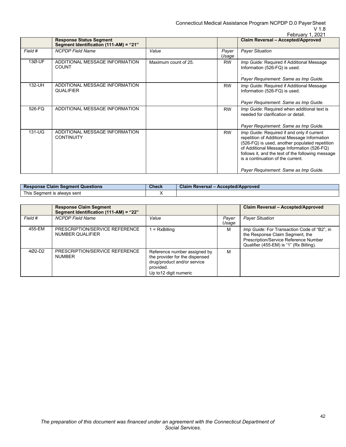Connecticut Medical Assistance Program NCPDP D.0 PayerSheet

## V 1.8

|          | <b>Response Status Segment</b>                      |                      |                | Claim Reversal - Accepted/Approved                                                                                                                                                                                                                                                                                            |
|----------|-----------------------------------------------------|----------------------|----------------|-------------------------------------------------------------------------------------------------------------------------------------------------------------------------------------------------------------------------------------------------------------------------------------------------------------------------------|
|          | Segment Identification (111-AM) = "21"              |                      |                |                                                                                                                                                                                                                                                                                                                               |
| Field #  | <b>NCPDP Field Name</b>                             | Value                | Payer<br>Usage | <b>Payer Situation</b>                                                                                                                                                                                                                                                                                                        |
| 13Ø-UF   | ADDITIONAL MESSAGE INFORMATION<br><b>COUNT</b>      | Maximum count of 25. | <b>RW</b>      | Imp Guide: Required if Additional Message<br>Information (526-FQ) is used.<br>Payer Requirement: Same as Imp Guide.                                                                                                                                                                                                           |
| 132-UH   | ADDITIONAL MESSAGE INFORMATION<br><b>QUALIFIER</b>  |                      | <b>RW</b>      | Imp Guide: Required if Additional Message<br>Information (526-FQ) is used.<br>Payer Requirement: Same as Imp Guide.                                                                                                                                                                                                           |
| 526-FQ   | ADDITIONAL MESSAGE INFORMATION                      |                      | <b>RW</b>      | Imp Guide: Required when additional text is<br>needed for clarification or detail.<br>Payer Requirement: Same as Imp Guide.                                                                                                                                                                                                   |
| $131-UG$ | ADDITIONAL MESSAGE INFORMATION<br><b>CONTINUITY</b> |                      | <b>RW</b>      | Imp Guide: Required if and only if current<br>repetition of Additional Message Information<br>(526-FQ) is used, another populated repetition<br>of Additional Message Information (526-FQ)<br>follows it, and the text of the following message<br>is a continuation of the current.<br>Payer Requirement: Same as Imp Guide. |

| <b>Response Claim Segment Questions</b> | <b>Check</b> | - Accepted/Approved<br>Claim Reversal - |
|-----------------------------------------|--------------|-----------------------------------------|
| This 、<br>s Seament is alwavs sent_     |              |                                         |

|          | <b>Response Claim Segment</b><br>Segment Identification (111-AM) = "22" |                                                                                                                                      |                | Claim Reversal - Accepted/Approved                                                                                                                                        |
|----------|-------------------------------------------------------------------------|--------------------------------------------------------------------------------------------------------------------------------------|----------------|---------------------------------------------------------------------------------------------------------------------------------------------------------------------------|
| Field #  | <b>NCPDP Field Name</b>                                                 | Value                                                                                                                                | Payer<br>Usage | <b>Payer Situation</b>                                                                                                                                                    |
| 455-EM   | PRESCRIPTION/SERVICE REFERENCE<br>NUMBER QUALIFIER                      | $=$ RxBilling                                                                                                                        | м              | <i>Imp Guide:</i> For Transaction Code of "B2", in<br>the Response Claim Segment, the<br>Prescription/Service Reference Number<br>Qualifier (455-EM) is "1" (Rx Billing). |
| $402-D2$ | PRESCRIPTION/SERVICE REFERENCE<br><b>NUMBER</b>                         | Reference number assigned by<br>the provider for the dispensed<br>drug/product and/or service<br>provided.<br>Up to 12 digit numeric | м              |                                                                                                                                                                           |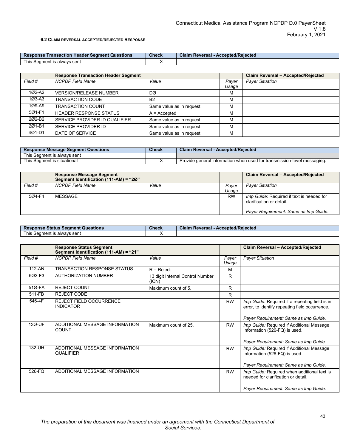### **6.2 CLAIM REVERSAL ACCEPTED/REJECTED RESPONSE**

<span id="page-42-0"></span>

| <b>Response</b><br>↑ Transaction Header Segment Questions | <b>Check</b> | - Accepted/Rejected<br>Claim<br>Reversal |
|-----------------------------------------------------------|--------------|------------------------------------------|
| This Seament is alwavs sent                               |              |                                          |

|                    | <b>Response Transaction Header Segment</b> |                          |                | Claim Reversal - Accepted/Rejected |
|--------------------|--------------------------------------------|--------------------------|----------------|------------------------------------|
| Field #            | <b>NCPDP Field Name</b>                    | Value                    | Payer<br>Usage | <b>Payer Situation</b>             |
| 1Ø2-A2             | <b>VERSION/RELEASE NUMBER</b>              | DØ                       | M              |                                    |
| $103 - A3$         | <b>TRANSACTION CODE</b>                    | B <sub>2</sub>           | M              |                                    |
| 1Ø9-A9             | <b>TRANSACTION COUNT</b>                   | Same value as in request | M              |                                    |
| 5Ø1-F1             | <b>HEADER RESPONSE STATUS</b>              | $A =$ Accepted           | M              |                                    |
| 202-B <sub>2</sub> | SERVICE PROVIDER ID QUALIFIER              | Same value as in request | M              |                                    |
| 201-B1             | SERVICE PROVIDER ID                        | Same value as in request | M              |                                    |
| 4Ø1-D1             | DATE OF SERVICE                            | Same value as in request | M              |                                    |

| <b>Response Message Segment Questions</b> | <b>Check</b> | <b>Claim Reversal - Accepted/Rejected</b>                                         |
|-------------------------------------------|--------------|-----------------------------------------------------------------------------------|
| This Seament is alwavs sent               |              |                                                                                   |
| This Seament is situational               |              | . Provide $\alpha$ eneral information when used for transmission-level messaging. |

|         | <b>Response Message Segment</b><br>Segment Identification (111-AM) = "20" |       |                | Claim Reversal - Accepted/Rejected                                           |
|---------|---------------------------------------------------------------------------|-------|----------------|------------------------------------------------------------------------------|
| Field # | <b>NCPDP Field Name</b>                                                   | Value | Paver<br>Usage | <b>Payer Situation</b>                                                       |
| 5Ø4-F4  | MESSAGE                                                                   |       | <b>RW</b>      |                                                                              |
|         |                                                                           |       |                | <i>Imp Guide:</i> Required if text is needed for<br>clarification or detail. |
|         |                                                                           |       |                | Payer Requirement: Same as Imp Guide.                                        |

| <b>Response Status Segment Questions</b> | <b>Check</b> | - Accepted/Rejected<br><b>Claim Reversal -</b> |
|------------------------------------------|--------------|------------------------------------------------|
| This<br>: Seament is alwavs sent         |              |                                                |

|            | <b>Response Status Segment</b><br>Segment Identification (111-AM) = "21" |                                           |                | Claim Reversal - Accepted/Rejected                                                               |
|------------|--------------------------------------------------------------------------|-------------------------------------------|----------------|--------------------------------------------------------------------------------------------------|
| Field #    | <b>NCPDP</b> Field Name                                                  | Value                                     | Payer<br>Usage | <b>Payer Situation</b>                                                                           |
| 112-AN     | <b>TRANSACTION RESPONSE STATUS</b>                                       | $R =$ Reject                              | м              |                                                                                                  |
| 5Ø3-F3     | <b>AUTHORIZATION NUMBER</b>                                              | 13 digit Internal Control Number<br>(ICN) | R              |                                                                                                  |
| $510 - FA$ | <b>REJECT COUNT</b>                                                      | Maximum count of 5.                       | R              |                                                                                                  |
| 511-FB     | <b>REJECT CODE</b>                                                       |                                           | R              |                                                                                                  |
| 546-4F     | <b>REJECT FIELD OCCURRENCE</b><br><b>INDICATOR</b>                       |                                           | <b>RW</b>      | Imp Guide: Required if a repeating field is in<br>error, to identify repeating field occurrence. |
|            |                                                                          |                                           |                | Payer Requirement: Same as Imp Guide.                                                            |
| 13Ø-UF     | ADDITIONAL MESSAGE INFORMATION<br>COUNT                                  | Maximum count of 25.                      | <b>RW</b>      | Imp Guide: Required if Additional Message<br>Information (526-FQ) is used.                       |
|            |                                                                          |                                           |                | Payer Requirement: Same as Imp Guide.                                                            |
| 132-UH     | ADDITIONAL MESSAGE INFORMATION<br><b>QUALIFIER</b>                       |                                           | <b>RW</b>      | Imp Guide: Required if Additional Message<br>Information (526-FQ) is used.                       |
|            |                                                                          |                                           |                | Payer Requirement: Same as Imp Guide.                                                            |
| 526-FQ     | ADDITIONAL MESSAGE INFORMATION                                           |                                           | <b>RW</b>      | Imp Guide: Required when additional text is<br>needed for clarification or detail                |
|            |                                                                          |                                           |                | Payer Requirement: Same as Imp Guide.                                                            |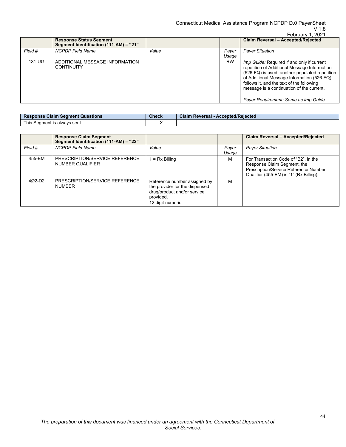|         |                                                                          |       |                | February 1, 2021                                                                                                                                                                                                                                                                                                                     |
|---------|--------------------------------------------------------------------------|-------|----------------|--------------------------------------------------------------------------------------------------------------------------------------------------------------------------------------------------------------------------------------------------------------------------------------------------------------------------------------|
|         | <b>Response Status Segment</b><br>Segment Identification (111-AM) = "21" |       |                | Claim Reversal - Accepted/Rejected                                                                                                                                                                                                                                                                                                   |
| Field # | <b>NCPDP Field Name</b>                                                  | Value | Payer<br>Usage | <b>Payer Situation</b>                                                                                                                                                                                                                                                                                                               |
| 131-UG  | ADDITIONAL MESSAGE INFORMATION<br><b>CONTINUITY</b>                      |       | <b>RW</b>      | <i>Imp Guide:</i> Required if and only if current<br>repetition of Additional Message Information<br>(526-FQ) is used, another populated repetition<br>of Additional Message Information (526-FQ)<br>follows it, and the text of the following<br>message is a continuation of the current.<br>Payer Requirement: Same as Imp Guide. |

| <b>Claim Seament</b><br><b>Resr</b><br>Questions<br>onse        | <b>Check</b> | - Accepted/Rejected<br>Claim<br>Reversal |
|-----------------------------------------------------------------|--------------|------------------------------------------|
| This $\overline{a}$<br>alwavs sent<br>seamen*<br>$\overline{1}$ |              |                                          |

|         | <b>Response Claim Segment</b><br>Segment Identification (111-AM) = "22" |                                                                                                                                |                | Claim Reversal - Accepted/Rejected                                                                                                                      |
|---------|-------------------------------------------------------------------------|--------------------------------------------------------------------------------------------------------------------------------|----------------|---------------------------------------------------------------------------------------------------------------------------------------------------------|
| Field # | <b>NCPDP Field Name</b>                                                 | Value                                                                                                                          | Payer<br>Usage | <b>Payer Situation</b>                                                                                                                                  |
| 455-EM  | PRESCRIPTION/SERVICE REFERENCE<br>NUMBER QUALIFIER                      | $= Rx$ Billing                                                                                                                 | M              | For Transaction Code of "B2", in the<br>Response Claim Segment, the<br>Prescription/Service Reference Number<br>Qualifier (455-EM) is "1" (Rx Billing). |
| 4Ø2-D2  | PRESCRIPTION/SERVICE REFERENCE<br><b>NUMBER</b>                         | Reference number assigned by<br>the provider for the dispensed<br>drug/product and/or service<br>provided.<br>12 digit numeric | M              |                                                                                                                                                         |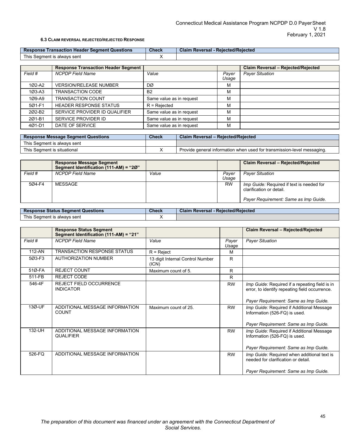## **6.3 CLAIM REVERSAL REJECTED/REJECTED RESPONSE**

<span id="page-44-0"></span>

| <b>Response</b><br>t Questions<br>Transaction <b>F</b><br>"Seamen<br>Header | <b>Check</b> | <b>Rejected/Rejected</b><br>Claim<br>∍versal |
|-----------------------------------------------------------------------------|--------------|----------------------------------------------|
| This $\overline{\phantom{a}}$<br>t is alwavs sent<br>Seament                |              |                                              |

|                    | <b>Response Transaction Header Segment</b> |                          |                | Claim Reversal - Rejected/Rejected |
|--------------------|--------------------------------------------|--------------------------|----------------|------------------------------------|
| Field #            | <b>NCPDP Field Name</b>                    | Value                    | Payer<br>Usage | <b>Payer Situation</b>             |
| 1Ø2-A2             | <b>VERSION/RELEASE NUMBER</b>              | DØ                       | М              |                                    |
| $103 - A3$         | TRANSACTION CODE                           | <b>B2</b>                | М              |                                    |
| 1Ø9-A9             | <b>TRANSACTION COUNT</b>                   | Same value as in request | м              |                                    |
| 5Ø1-F1             | <b>HEADER RESPONSE STATUS</b>              | $R =$ Rejected           | М              |                                    |
| 202-B <sub>2</sub> | SERVICE PROVIDER ID QUALIFIER              | Same value as in request | м              |                                    |
| 201-B1             | SERVICE PROVIDER ID                        | Same value as in request | м              |                                    |
| 4Ø1-D1             | DATE OF SERVICE                            | Same value as in request | М              |                                    |

| <b>Response Message Segment Questions</b> | <b>Check</b> | <b>Claim Reversal - Rejected/Rejected</b>                               |
|-------------------------------------------|--------------|-------------------------------------------------------------------------|
| This Seament is alwavs sent               |              |                                                                         |
| This Segment is situational               |              | Provide general information when used for transmission-level messaging. |

|         | <b>Response Message Segment</b><br>Segment Identification (111-AM) = "20" |       |                | Claim Reversal - Rejected/Rejected                                                                                    |
|---------|---------------------------------------------------------------------------|-------|----------------|-----------------------------------------------------------------------------------------------------------------------|
| Field # | <b>NCPDP</b> Field Name                                                   | Value | Paver<br>Usage | <b>Payer Situation</b>                                                                                                |
| 5Ø4-F4  | MESSAGE                                                                   |       | <b>RW</b>      | <i>Imp Guide:</i> Required if text is needed for<br>clarification or detail.<br>Payer Requirement: Same as Imp Guide. |

| <b>Response Status Segment Questions</b> | <b>Check</b> | <b>Claim Reversal - Rejected/Rejected</b> |
|------------------------------------------|--------------|-------------------------------------------|
| This Seament is always sent              |              |                                           |

|         | <b>Response Status Segment</b><br>Segment Identification (111-AM) = "21" |                                           |                | Claim Reversal - Rejected/Rejected                                                               |
|---------|--------------------------------------------------------------------------|-------------------------------------------|----------------|--------------------------------------------------------------------------------------------------|
| Field # | <b>NCPDP</b> Field Name                                                  | Value                                     | Payer<br>Usage | <b>Payer Situation</b>                                                                           |
| 112-AN  | <b>TRANSACTION RESPONSE STATUS</b>                                       | $R =$ Reject                              | м              |                                                                                                  |
| 5Ø3-F3  | <b>AUTHORIZATION NUMBER</b>                                              | 13 digit Internal Control Number<br>(ICN) | R              |                                                                                                  |
| 51Ø-FA  | <b>REJECT COUNT</b>                                                      | Maximum count of 5.                       | R              |                                                                                                  |
| 511-FB  | <b>REJECT CODE</b>                                                       |                                           | R.             |                                                                                                  |
| 546-4F  | <b>REJECT FIELD OCCURRENCE</b><br><b>INDICATOR</b>                       |                                           | <b>RW</b>      | Imp Guide: Required if a repeating field is in<br>error, to identify repeating field occurrence. |
|         |                                                                          |                                           |                | Payer Requirement: Same as Imp Guide.                                                            |
| 13Ø-UF  | ADDITIONAL MESSAGE INFORMATION<br><b>COUNT</b>                           | Maximum count of 25                       | <b>RW</b>      | Imp Guide: Required if Additional Message<br>Information (526-FQ) is used.                       |
|         |                                                                          |                                           |                | Payer Requirement: Same as Imp Guide.                                                            |
| 132-UH  | ADDITIONAL MESSAGE INFORMATION<br><b>QUALIFIER</b>                       |                                           | <b>RW</b>      | Imp Guide: Required if Additional Message<br>Information (526-FQ) is used.                       |
|         |                                                                          |                                           |                | Payer Requirement: Same as Imp Guide.                                                            |
| 526-FQ  | ADDITIONAL MESSAGE INFORMATION                                           |                                           | <b>RW</b>      | Imp Guide: Required when additional text is<br>needed for clarification or detail                |
|         |                                                                          |                                           |                | Payer Requirement: Same as Imp Guide.                                                            |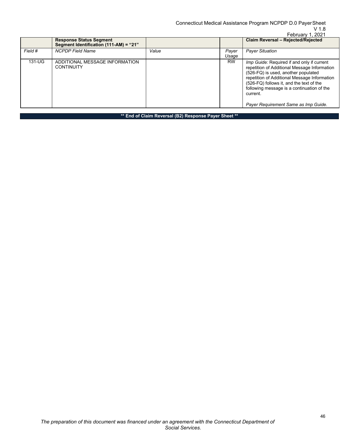|         | February 1, 2021                                                         |       |                |                                                                                                                                                                                                                                                                                                                                 |  |  |
|---------|--------------------------------------------------------------------------|-------|----------------|---------------------------------------------------------------------------------------------------------------------------------------------------------------------------------------------------------------------------------------------------------------------------------------------------------------------------------|--|--|
|         | <b>Response Status Segment</b><br>Segment Identification (111-AM) = "21" |       |                | Claim Reversal - Rejected/Rejected                                                                                                                                                                                                                                                                                              |  |  |
| Field # | <b>NCPDP Field Name</b>                                                  | Value | Payer<br>Usage | <b>Payer Situation</b>                                                                                                                                                                                                                                                                                                          |  |  |
| 131-UG  | ADDITIONAL MESSAGE INFORMATION<br><b>CONTINUITY</b>                      |       | <b>RW</b>      | Imp Guide: Required if and only if current<br>repetition of Additional Message Information<br>(526-FQ) is used, another populated<br>repetition of Additional Message Information<br>(526-FQ) follows it, and the text of the<br>following message is a continuation of the<br>current.<br>Payer Requirement Same as Imp Guide. |  |  |

**\*\* End of Claim Reversal (B2) Response Payer Sheet \*\***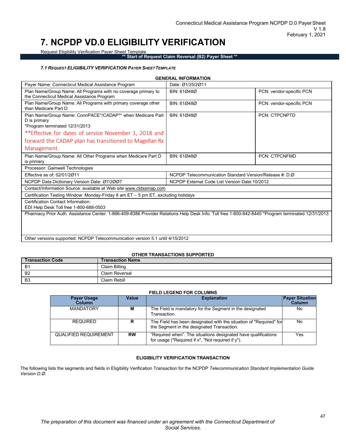## <span id="page-46-0"></span>**7. NCPDP VD.0 ELIGIBILITY VERIFICATION**

Request Eligibility Verification Payer Sheet Template

**\*\* Start of Request Claim Reversal (B2) Payer Sheet \*\***

### *7.1 REQUEST ELIGIBILITY VERIFICATION PAYER SHEETTEMPLATE*

<span id="page-46-1"></span>

|                                                                                                                                                                       | <b>GENERAL INFORMATION</b>                              |                          |
|-----------------------------------------------------------------------------------------------------------------------------------------------------------------------|---------------------------------------------------------|--------------------------|
| Payer Name: Connecticut Medical Assistance Program                                                                                                                    | Date: Ø1/25/2011                                        |                          |
| Plan Name/Group Name: All Programs with no coverage primary to<br>the Connecticut Medical Assistance Program                                                          | BIN: 610480                                             | PCN: vendor-specific PCN |
| Plan Name/Group Name: All Programs with primary coverage other<br>than Medicare Part D                                                                                | BIN: 610480                                             | PCN: vendor-specific PCN |
| Plan Name/Group Name: ConnPACE*/CADAP** when Medicare Part<br>D is primary<br>*Program terminated 12/31/2013<br>**Effective for dates of service November 1, 2018 and | BIN: 610480                                             | PCN: CTPCNPTD            |
| forward the CADAP plan has transitioned to Magellan Rx                                                                                                                |                                                         |                          |
|                                                                                                                                                                       |                                                         |                          |
| Management.                                                                                                                                                           |                                                         |                          |
| Plan Name/Group Name: All Other Programs when Medicare Part D<br>is primary                                                                                           | BIN: 610480                                             | <b>PCN: CTPCNFMD</b>     |
| Processor: Gainwell Technologies                                                                                                                                      |                                                         |                          |
| Effective as of: 02/01/2011                                                                                                                                           | NCPDP Telecommunication Standard Version/Release #: D.Ø |                          |
| NCPDP Data Dictionary Version Date: 07/2007                                                                                                                           | NCPDP External Code List Version Date: 10/2012          |                          |
| Contact/Information Source: available at Web site www.ctdssmap.com                                                                                                    |                                                         |                          |
| Certification Testing Window: Monday-Friday 8 am $ET - 5$ pm $ET$ , excluding holidays                                                                                |                                                         |                          |
| Certification Contact Information:                                                                                                                                    |                                                         |                          |
| EDI Help Desk Toll free 1-800-688-0503                                                                                                                                |                                                         |                          |
| Pharmacy Prior Auth. Assistance Center: 1-866-409-8386 Provider Relations Help Desk Info: Toll free 1-800-842-8440 *Program terminated 12/31/2013                     |                                                         |                          |
|                                                                                                                                                                       |                                                         |                          |
|                                                                                                                                                                       |                                                         |                          |

Other versions supported: NCPDP Telecommunication version 5.1 until 4/15/2012

#### **OTHER TRANSACTIONS SUPPORTED**

| <b>Transaction Code</b> | Transaction Name      |
|-------------------------|-----------------------|
| B <sup>1</sup>          | Claim Billing         |
| B <sub>2</sub>          | <b>Claim Reversal</b> |
| B <sub>3</sub>          | Claim Rebill          |

### **FIELD LEGEND FOR COLUMNS**

| <b>Payer Usage</b><br><b>Column</b> | Value     | <b>Explanation</b>                                                                                                  | <b>Payer Situation</b><br>Column |
|-------------------------------------|-----------|---------------------------------------------------------------------------------------------------------------------|----------------------------------|
| <b>MANDATORY</b>                    | м         | The Field is mandatory for the Segment in the designated<br>Transaction.                                            | No                               |
| <b>REQUIRED</b>                     | R         | The Field has been designated with the situation of "Required" for<br>the Segment in the designated Transaction.    | No                               |
| <b>QUALIFIED REQUIREMENT</b>        | <b>RW</b> | "Required when". The situations designated have qualifications<br>for usage ("Required if x", "Not required if y"). | Yes                              |

## **ELIGIBILITY VERIFICATION TRANSACTION**

The following lists the segments and fields in Eligibility Verification Transaction for the NCPDP *Telecommunication Standard Implementation Guide Version D.Ø*.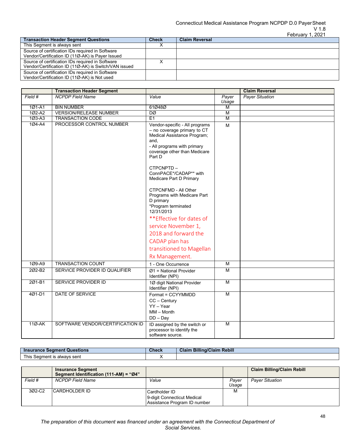|              | <b>UDIUCIV 1.4041</b> |
|--------------|-----------------------|
| <b>Check</b> | <b>Claim Reversal</b> |
|              |                       |
|              |                       |
|              |                       |
|              |                       |
|              |                       |
|              |                       |
|              |                       |
|              |                       |

|         | <b>Transaction Header Segment</b> |                                                                                                                                                                                                                                                                                                                                                                                                                                                                                                            |                | <b>Claim Reversal</b>  |
|---------|-----------------------------------|------------------------------------------------------------------------------------------------------------------------------------------------------------------------------------------------------------------------------------------------------------------------------------------------------------------------------------------------------------------------------------------------------------------------------------------------------------------------------------------------------------|----------------|------------------------|
| Field # | <b>NCPDP</b> Field Name           | Value                                                                                                                                                                                                                                                                                                                                                                                                                                                                                                      | Payer<br>Usage | <b>Payer Situation</b> |
| 101-A1  | <b>BIN NUMBER</b>                 | 61Ø48Ø                                                                                                                                                                                                                                                                                                                                                                                                                                                                                                     | M              |                        |
| 102-A2  | <b>VERSION/RELEASE NUMBER</b>     | DØ                                                                                                                                                                                                                                                                                                                                                                                                                                                                                                         | $\overline{M}$ |                        |
| 103-A3  | <b>TRANSACTION CODE</b>           | E1                                                                                                                                                                                                                                                                                                                                                                                                                                                                                                         | M              |                        |
| 104-A4  | PROCESSOR CONTROL NUMBER          | Vendor-specific - All programs<br>- no coverage primary to CT<br>Medical Assistance Program;<br>and,<br>- All programs with primary<br>coverage other than Medicare<br>Part D<br>CTPCNPTD-<br>ConnPACE*/CADAP** with<br>Medicare Part D Primary<br><b>CTPCNFMD - All Other</b><br>Programs with Medicare Part<br>D primary<br>*Program terminated<br>12/31/2013<br>**Effective for dates of<br>service November 1,<br>2018 and forward the<br>CADAP plan has<br>transitioned to Magellan<br>Rx Management. | M              |                        |
| 1Ø9-A9  | <b>TRANSACTION COUNT</b>          | 1 - One Occurrence                                                                                                                                                                                                                                                                                                                                                                                                                                                                                         | $\overline{M}$ |                        |
| 202-B2  | SERVICE PROVIDER ID QUALIFIER     | $Ø1$ = National Provider<br>Identifier (NPI)                                                                                                                                                                                                                                                                                                                                                                                                                                                               | M              |                        |
| 201-B1  | <b>SERVICE PROVIDER ID</b>        | 1Ø digit National Provider<br>Identifier (NPI)                                                                                                                                                                                                                                                                                                                                                                                                                                                             | $\overline{M}$ |                        |
| 4Ø1-D1  | <b>DATE OF SERVICE</b>            | Format = CCYYMMDD<br>$CC - Century$<br>YY - Year<br>$MM - Month$<br>$DD - Day$                                                                                                                                                                                                                                                                                                                                                                                                                             | M              |                        |
| 11Ø-AK  | SOFTWARE VENDOR/CERTIFICATION ID  | ID assigned by the switch or<br>processor to identify the<br>software source.                                                                                                                                                                                                                                                                                                                                                                                                                              | M              |                        |

| <b>Insurance Segment Questions</b> | Check | <b>Claim Billing/Claim Rebill</b> |
|------------------------------------|-------|-----------------------------------|
| This Seament is alwavs sent        |       |                                   |

|         | <b>Insurance Segment</b><br>Segment Identification (111-AM) = "Ø4" |                                                                              |                | <b>Claim Billing/Claim Rebill</b> |
|---------|--------------------------------------------------------------------|------------------------------------------------------------------------------|----------------|-----------------------------------|
| Field # | <b>NCPDP Field Name</b>                                            | Value                                                                        | Paver<br>Usage | <b>Payer Situation</b>            |
| 302-C2  | ICARDHOLDER ID                                                     | Cardholder ID<br>9-digit Connecticut Medical<br>Assistance Program ID number | м              |                                   |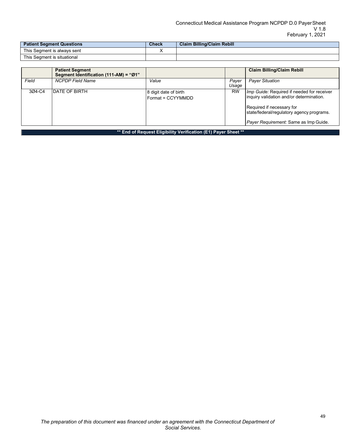| Patient Segment Questions   | <b>Check</b> | <b>Claim Billing/Claim Rebill</b> |
|-----------------------------|--------------|-----------------------------------|
| This Seament is always sent |              |                                   |
| This Seament is situational |              |                                   |

|                                                                | <b>Patient Segment</b><br>Segment Identification (111-AM) = "Ø1" |                                            |                | <b>Claim Billing/Claim Rebill</b>                                                                                                                                                                         |  |
|----------------------------------------------------------------|------------------------------------------------------------------|--------------------------------------------|----------------|-----------------------------------------------------------------------------------------------------------------------------------------------------------------------------------------------------------|--|
| Field                                                          | <b>NCPDP Field Name</b>                                          | Value                                      | Payer<br>Usage | <b>Payer Situation</b>                                                                                                                                                                                    |  |
| 3Ø4-C4                                                         | DATE OF BIRTH                                                    | 8 digit date of birth<br>Format = CCYYMMDD | <b>RW</b>      | Imp Guide: Required if needed for receiver<br>inquiry validation and/or determination.<br>Required if necessary for<br>state/federal/regulatory agency programs.<br>Payer Requirement: Same as Imp Guide. |  |
| ** End of Request Eligibility Verification (E1) Payer Sheet ** |                                                                  |                                            |                |                                                                                                                                                                                                           |  |

*The preparation of this document was financed under an agreement with the Connecticut Department of Social Services.*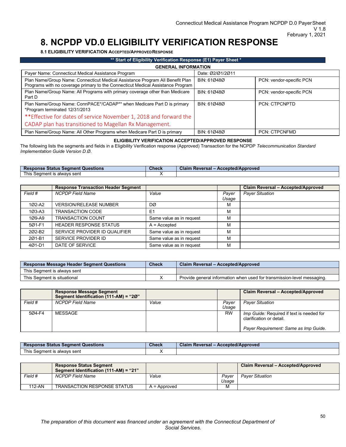## **8. NCPDP VD.0 ELIGIBILITY VERIFICATION RESPONSE**

<span id="page-49-1"></span>**8.1 ELIGIBILITY VERIFICATION ACCEPTED/APPROVEDRESPONSE**

<span id="page-49-0"></span>

| ** Start of Eligibility Verification Response (E1) Payer Sheet *                                                                                                 |                  |                          |  |  |  |
|------------------------------------------------------------------------------------------------------------------------------------------------------------------|------------------|--------------------------|--|--|--|
| <b>GENERAL INFORMATION</b>                                                                                                                                       |                  |                          |  |  |  |
| Payer Name: Connecticut Medical Assistance Program                                                                                                               | Date: 02/01/2011 |                          |  |  |  |
| Plan Name/Group Name: Connecticut Medical Assistance Program All Benefit Plan<br>Programs with no coverage primary to the Connecticut Medical Assistance Program | BIN: 610480      | PCN: vendor-specific PCN |  |  |  |
| Plan Name/Group Name: All Programs with primary coverage other than Medicare<br>Part D                                                                           | BIN: 610480      | PCN: vendor-specific PCN |  |  |  |
| Plan Name/Group Name: ConnPACE*/CADAP** when Medicare Part D is primary<br>*Program terminated 12/31/2013                                                        | BIN: 610480      | <b>PCN: CTPCNPTD</b>     |  |  |  |
| ** Effective for dates of service November 1, 2018 and forward the                                                                                               |                  |                          |  |  |  |
| CADAP plan has transitioned to Magellan Rx Management.                                                                                                           |                  |                          |  |  |  |
| Plan Name/Group Name: All Other Programs when Medicare Part D is primary                                                                                         | BIN: 610480      | <b>PCN: CTPCNFMD</b>     |  |  |  |

#### **ELIGIBILITY VERIFICATION ACCEPTED/APPROVED RESPONSE**

The following lists the segments and fields in a Eligibility Verification response (Approved) Transaction for the NCPDP *Telecommunication Standard Implementation Guide Version D.Ø*.

| <b>Response Status Segment Questions</b>    | Check | Accepted/Approved<br>Claim<br>. Reversal ∗ |
|---------------------------------------------|-------|--------------------------------------------|
| This .<br>alwavs sent<br>Seament<br>1C<br>- |       |                                            |

|            | <b>Response Transaction Header Segment</b> |                          |                | Claim Reversal - Accepted/Approved |
|------------|--------------------------------------------|--------------------------|----------------|------------------------------------|
| Field #    | <b>NCPDP Field Name</b>                    | Value                    | Payer<br>Usage | <b>Payer Situation</b>             |
| 1Ø2-A2     | <b>VERSION/RELEASE NUMBER</b>              | DØ                       | М              |                                    |
| $103 - A3$ | <b>TRANSACTION CODE</b>                    | E <sub>1</sub>           | M              |                                    |
| 1Ø9-A9     | <b>TRANSACTION COUNT</b>                   | Same value as in request | M              |                                    |
| 5Ø1-F1     | <b>HEADER RESPONSE STATUS</b>              | $A = Accepted$           | M              |                                    |
| 202-B2     | SERVICE PROVIDER ID QUALIFIER              | Same value as in request | M              |                                    |
| 201-B1     | SERVICE PROVIDER ID                        | Same value as in request | М              |                                    |
| 401-D1     | DATE OF SERVICE                            | Same value as in request | M              |                                    |

| <b>Check</b><br><b>Response Message Header Segment Questions</b> |  | Claim Reversal - Accepted/Approved                                      |
|------------------------------------------------------------------|--|-------------------------------------------------------------------------|
| This Seament is always sent                                      |  |                                                                         |
| This Segment is situational                                      |  | Provide general information when used for transmission-level messaging. |

|         | <b>Response Message Segment</b><br>Segment Identification (111-AM) = "20" |       |                | Claim Reversal - Accepted/Approved                                                                                    |
|---------|---------------------------------------------------------------------------|-------|----------------|-----------------------------------------------------------------------------------------------------------------------|
| Field # | <b>NCPDP Field Name</b>                                                   | Value | Paver<br>Usage | <b>Payer Situation</b>                                                                                                |
| 5Ø4-F4  | MESSAGE                                                                   |       | <b>RW</b>      | <i>Imp Guide:</i> Required if text is needed for<br>clarification or detail.<br>Payer Requirement: Same as Imp Guide. |

| <b>Response Status Segment Questions</b> | Check | .<br><b>Claim Reversal -</b><br>- Accepted/Approved |
|------------------------------------------|-------|-----------------------------------------------------|
| This.<br>s Seament is alwavs sent l      |       |                                                     |

|         | <b>Response Status Segment</b><br>Segment Identification (111-AM) = "21" |                |                | Claim Reversal - Accepted/Approved |
|---------|--------------------------------------------------------------------------|----------------|----------------|------------------------------------|
| Field # | NCPDP Field Name                                                         | Value          | Paver<br>Usaae | <b>Paver Situation</b>             |
| 112-AN  | <b>TRANSACTION RESPONSE STATUS</b>                                       | $A =$ Approved | м              |                                    |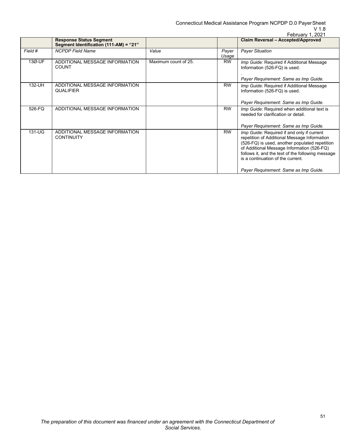Connecticut Medical Assistance Program NCPDP D.0 PayerSheet

## V 1.8

|         |                                                                          |                      |                | February 1, 2021                                                                                                                                                                                                                                                                     |
|---------|--------------------------------------------------------------------------|----------------------|----------------|--------------------------------------------------------------------------------------------------------------------------------------------------------------------------------------------------------------------------------------------------------------------------------------|
|         | <b>Response Status Segment</b><br>Segment Identification (111-AM) = "21" |                      |                | Claim Reversal - Accepted/Approved                                                                                                                                                                                                                                                   |
| Field # | <b>NCPDP Field Name</b>                                                  | Value                | Payer<br>Usage | <b>Payer Situation</b>                                                                                                                                                                                                                                                               |
| 13Ø-UF  | ADDITIONAL MESSAGE INFORMATION<br><b>COUNT</b>                           | Maximum count of 25. | <b>RW</b>      | Imp Guide: Required if Additional Message<br>Information (526-FQ) is used.<br>Payer Requirement: Same as Imp Guide.                                                                                                                                                                  |
| 132-UH  | ADDITIONAL MESSAGE INFORMATION<br><b>QUALIFIER</b>                       |                      | <b>RW</b>      | Imp Guide: Required if Additional Message<br>Information (526-FQ) is used.<br>Payer Requirement: Same as Imp Guide.                                                                                                                                                                  |
|         |                                                                          |                      |                |                                                                                                                                                                                                                                                                                      |
| 526-FQ  | ADDITIONAL MESSAGE INFORMATION                                           |                      | <b>RW</b>      | Imp Guide: Required when additional text is<br>needed for clarification or detail.                                                                                                                                                                                                   |
|         |                                                                          |                      |                | Payer Requirement: Same as Imp Guide.                                                                                                                                                                                                                                                |
| 131-UG  | ADDITIONAL MESSAGE INFORMATION<br><b>CONTINUITY</b>                      |                      | <b>RW</b>      | Imp Guide: Required if and only if current<br>repetition of Additional Message Information<br>(526-FQ) is used, another populated repetition<br>of Additional Message Information (526-FQ)<br>follows it, and the text of the following message<br>is a continuation of the current. |
|         |                                                                          |                      |                | Payer Requirement: Same as Imp Guide.                                                                                                                                                                                                                                                |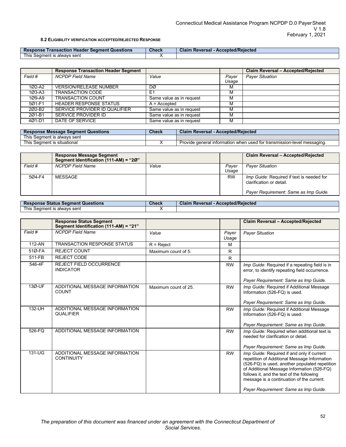#### **8.2 ELIGIBILITY VERIFICATION ACCEPTED/REJECTED RESPONSE**

<span id="page-51-0"></span>

| Response<br>↑ Transaction Header Seament Questions ↑ | <b>Check</b> | - Accepted/Rejected<br><b>Claim Reversal -</b> |
|------------------------------------------------------|--------------|------------------------------------------------|
| This 、<br>t is alwavs sent<br>→ Seament is           |              |                                                |

|                    | <b>Response Transaction Header Segment</b> |                          |       | Claim Reversal - Accepted/Rejected |
|--------------------|--------------------------------------------|--------------------------|-------|------------------------------------|
| Field #            | <b>NCPDP Field Name</b>                    | Value                    | Payer | <b>Payer Situation</b>             |
|                    |                                            |                          | Usage |                                    |
| $102 - A2$         | <b>VERSION/RELEASE NUMBER</b>              | DØ                       | м     |                                    |
| $103 - A3$         | TRANSACTION CODE                           | E                        | м     |                                    |
| 1Ø9-A9             | <b>TRANSACTION COUNT</b>                   | Same value as in request | м     |                                    |
| 501-F1             | <b>HEADER RESPONSE STATUS</b>              | $A = Accepted$           | м     |                                    |
| 202-B <sub>2</sub> | SERVICE PROVIDER ID QUALIFIER              | Same value as in request |       |                                    |
| 201-B1             | SERVICE PROVIDER ID                        | Same value as in request | м     |                                    |
| 401-D1             | DATE OF SERVICE                            | Same value as in request | м     |                                    |

| <b>Response Message Segment Questions</b> | <b>Check</b> | <b>Claim Reversal - Accepted/Rejected</b>                               |
|-------------------------------------------|--------------|-------------------------------------------------------------------------|
| This Seament is always sent               |              |                                                                         |
| This Seament is situational               |              | Provide general information when used for transmission-level messaging. |

|         | <b>Response Message Segment</b><br>Segment Identification (111-AM) = "20" |       |                | Claim Reversal - Accepted/Rejected                                                                             |
|---------|---------------------------------------------------------------------------|-------|----------------|----------------------------------------------------------------------------------------------------------------|
| Field # | <b>NCPDP Field Name</b>                                                   | Value | Paver<br>Usage | <b>Payer Situation</b>                                                                                         |
| 5Ø4-F4  | MESSAGE                                                                   |       | <b>RW</b>      | Imp Guide: Required if text is needed for<br>clarification or detail.<br>Payer Requirement: Same as Imp Guide. |

| <b>Response Status Segment Questions</b> | <b>Check</b> | <b>Claim Reversal - Accepted/Rejected</b> |
|------------------------------------------|--------------|-------------------------------------------|
| This Seament is alwavs sent              |              |                                           |

|         | <b>Response Status Segment</b><br>Segment Identification (111-AM) = "21" |                      |                | Claim Reversal - Accepted/Rejected                                                                                                                                                                                                                                                                                            |
|---------|--------------------------------------------------------------------------|----------------------|----------------|-------------------------------------------------------------------------------------------------------------------------------------------------------------------------------------------------------------------------------------------------------------------------------------------------------------------------------|
| Field # | <b>NCPDP</b> Field Name                                                  | Value                | Payer<br>Usage | <b>Payer Situation</b>                                                                                                                                                                                                                                                                                                        |
| 112-AN  | <b>TRANSACTION RESPONSE STATUS</b>                                       | $R =$ Reject         | M              |                                                                                                                                                                                                                                                                                                                               |
| 51Ø-FA  | <b>REJECT COUNT</b>                                                      | Maximum count of 5.  | R              |                                                                                                                                                                                                                                                                                                                               |
| 511-FB  | <b>REJECT CODE</b>                                                       |                      | R              |                                                                                                                                                                                                                                                                                                                               |
| 546-4F  | <b>REJECT FIELD OCCURRENCE</b><br><b>INDICATOR</b>                       |                      | <b>RW</b>      | Imp Guide: Required if a repeating field is in<br>error, to identify repeating field occurrence.<br>Payer Requirement: Same as Imp Guide.                                                                                                                                                                                     |
| 13Ø-UF  | ADDITIONAL MESSAGE INFORMATION<br><b>COUNT</b>                           | Maximum count of 25. | <b>RW</b>      | Imp Guide: Required if Additional Message<br>Information (526-FQ) is used.<br>Payer Requirement: Same as Imp Guide.                                                                                                                                                                                                           |
| 132-UH  | ADDITIONAL MESSAGE INFORMATION<br><b>QUALIFIER</b>                       |                      | <b>RW</b>      | Imp Guide: Required if Additional Message<br>Information (526-FQ) is used.<br>Payer Requirement: Same as Imp Guide.                                                                                                                                                                                                           |
| 526-FQ  | ADDITIONAL MESSAGE INFORMATION                                           |                      | <b>RW</b>      | Imp Guide: Required when additional text is<br>needed for clarification or detail.<br>Payer Requirement: Same as Imp Guide.                                                                                                                                                                                                   |
| 131-UG  | ADDITIONAL MESSAGE INFORMATION<br><b>CONTINUITY</b>                      |                      | <b>RW</b>      | Imp Guide: Required if and only if current<br>repetition of Additional Message Information<br>(526-FQ) is used, another populated repetition<br>of Additional Message Information (526-FQ)<br>follows it, and the text of the following<br>message is a continuation of the current.<br>Payer Requirement: Same as Imp Guide. |